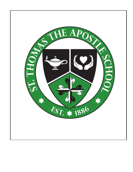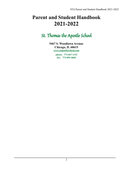# **Parent and Student Handbook 2021-2022**

# St. Thomas the Apostle School

**5467 S. Woodlawn Avenue Chicago, IL 60615 [www.stapostleschool.com](http://www.stapostleschool.com)**

> **phone: 773-667-1142 fax: 773-891-0602**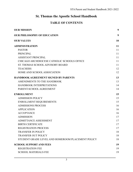# **St. Thomas the Apostle School Handbook**

# **TABLE OF CONTENTS**

| <b>OUR MISSION</b>                                | 9  |
|---------------------------------------------------|----|
| <b>OUR PHILOSOPHY OF EDUCATION</b>                | 9  |
| <b>OUR VALUES</b>                                 | 10 |
| <b>ADMINISTRATION</b>                             | 11 |
| <b>PASTOR</b>                                     | 11 |
| <b>PRINCIPAL</b>                                  | 11 |
| <b>ASSISTANT PRINCIPAL</b>                        | 11 |
| CHICAGO ARCHDIOCESE CATHOLIC SCHOOLS OFFICE       | 11 |
| ST. THOMAS SCHOOL ADVISORY BOARD                  | 11 |
| <b>TEACHERS</b>                                   | 12 |
| HOME AND SCHOOL ASSOCIATION                       | 12 |
| <b>HANDBOOK AGREEMENT SIGNED BY PARENTS</b>       | 13 |
| AMENDMENTS TO THE HANDBOOK                        | 13 |
| HANDBOOK INTERPRETATIONS                          | 14 |
| PARENT-SCHOOL AGREEMENT                           | 14 |
| <b>ENROLLMENT</b>                                 | 15 |
| <b>ADMISSION POLICY</b>                           | 15 |
| ENROLLMENT REQUIREMENTS                           | 15 |
| <b>ADMISSIONS PROCESS</b>                         | 16 |
| <b>APPLICATION</b>                                | 16 |
| <b>ACCEPTANCE</b>                                 | 16 |
| <b>ADMISSION</b>                                  | 17 |
| <b>ADMITTANCE ASSESSMENT</b>                      | 17 |
| <b>BIRTH CERTIFICATE</b>                          | 17 |
| <b>REGISTRATION PROCESS</b>                       | 17 |
| <b>TRANSFER IN POLICY</b>                         | 18 |
| <b>TRANSFER OUT POLICY</b>                        | 18 |
| STUDENT GRADE LEVEL AND HOMEROOM PLACEMENT POLICY | 18 |
| <b>SCHOOL SUPPORT AND FEES</b>                    | 19 |
| <b>REGISTRATION FEE</b>                           | 19 |
| <b>SCHOOL MATERIALS FEE</b>                       | 19 |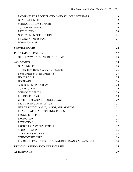| PAYMENTS FOR REGISTRATION AND SCHOOL MATERIALS      | 19 |
|-----------------------------------------------------|----|
| <b>GRADUATION FEE</b>                               | 19 |
| <b>SCHOOL TUITION SUPPORT</b>                       | 19 |
| <b>TUITION PAYMENTS</b>                             | 20 |
| <b>LATE TUITION</b>                                 | 20 |
| NON-PAYMENT OF TUITION                              | 21 |
| <b>FINANCIAL ASSISTANCE</b>                         | 21 |
| <b>SCHOLARSHIPS</b>                                 | 21 |
| <b>SERVICE HOURS</b>                                | 22 |
| <b>FUNDRAISING POLICY</b>                           | 22 |
| OTHER WAYS TO SUPPORT ST. THOMAS                    | 23 |
| <b>ACADEMICS</b>                                    | 25 |
| <b>GRADING SCALE</b>                                | 25 |
| Standards-Based Scale for All Students              | 25 |
| Letter Grades Scale for Grades 4-8                  | 25 |
| <b>HONOR ROLL</b>                                   | 25 |
| <b>HOMEWORK</b>                                     | 26 |
| <b>ASSESSMENT PROGRAM</b>                           | 28 |
| <b>CURRICULUM</b>                                   | 29 |
| <b>SCHOOL SUPPLIES</b>                              | 29 |
| <b>LOCKERS/DESKS</b>                                | 29 |
| <b>COMPUTERS AND INTERNET USAGE</b>                 | 29 |
| 1-to-1 TECHNOLOGY USAGE                             | 31 |
| USE OF SCHOOL NAME, LOGOS, AND MOTTOS               | 31 |
| REPORT CARDS AND ONLINE GRADES                      | 31 |
| <b>PROGRESS REPORTS</b>                             | 31 |
| <b>PROMOTION</b>                                    | 31 |
| <b>RETENTION</b>                                    | 32 |
| PROBATIONARY PLACEMENT                              | 32 |
| <b>STUDENT SUPPORTS</b>                             | 33 |
| <b>TITLE ONE SERVICES</b>                           | 33 |
| <b>STUDENT RECORDS</b>                              | 33 |
| RECORDS - FAMILY EDUCATIONAL RIGHTS AND PRIVACY ACT | 34 |
| <b>RELIGIOUS EDUCATION CURRICULUM</b>               | 35 |
| <b>ATTENDANCE</b>                                   | 39 |
|                                                     |    |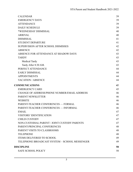| <b>CALENDAR</b>                                     | 39 |
|-----------------------------------------------------|----|
| <b>EMERGENCY DAYS</b>                               | 39 |
| <b>ATTENDANCE</b>                                   | 39 |
| <b>DAILY SCHEDULE</b>                               | 39 |
| *WEDNESDAY DISMISSAL                                | 40 |
| <b>ARRIVAL</b>                                      | 40 |
| <b>DISMISSAL</b>                                    | 41 |
| <b>STUDENT DEPARTURE</b>                            | 41 |
| <b>SUPERVISION AFTER SCHOOL DISMISSES</b>           | 42 |
| <b>ABSENCE</b>                                      | 42 |
| ABSENCE FOR ATTENDANCE AT SHADOW DAYS               | 43 |
| <b>TARDY</b>                                        | 43 |
| <b>Medical Tardy</b>                                | 43 |
| Tardy After 8:30 AM.                                | 43 |
| PERFECT ATTENDANCE                                  | 44 |
| <b>EARLY DISMISSAL</b>                              | 44 |
| <b>APPOINTMENTS</b>                                 | 44 |
| <b>VACATION / ABSENCE</b>                           | 44 |
| <b>COMMUNICATIONS</b>                               | 45 |
| <b>EMERGENCY CARD</b>                               | 45 |
| <b>CHANGE OF ADDRESS/PHONE NUMBER/EMAIL ADDRESS</b> | 46 |
| PARENT NEWSLETTER                                   | 46 |
| <b>WEBSITE</b>                                      | 46 |
| PARENT-TEACHER CONFERENCES - FORMAL                 | 46 |
| PARENT-TEACHER CONFERENCES - INFORMAL               | 46 |
| <b>EMAIL</b>                                        | 47 |
| <b>VISITORS' IDENTIFICATION</b>                     | 47 |
| <b>CHILD CUSTODY</b>                                | 47 |
| NON-CUSTODIAL PARENT / JOINT CUSTODY PARENTS        | 47 |
| PARENT-PRINCIPAL CONFERENCES                        | 48 |
| PARENT VISITS TO CLASSROOMS                         | 48 |
| <b>TELEPHONE</b>                                    | 48 |
| <b>ITEMS DELIVERED TO SCHOOL</b>                    | 49 |
| TELEPHONE BROADCAST SYSTEM - SCHOOL MESSENGER       | 49 |
| DISCIPLINE                                          | 50 |
| <b>SAFE SCHOOL POLICY</b>                           | 50 |
|                                                     |    |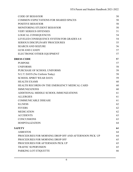| <b>CODE OF BEHAVIOR</b>                               | 50 |
|-------------------------------------------------------|----|
| <b>COMMON EXPECTATIONS FOR SHARED SPACES</b>          | 50 |
| <b>POSITIVE BEHAVIOR</b>                              | 50 |
| <b>MONITORING STUDENT BEHAVIOR</b>                    | 50 |
| <b>VERY SERIOUS OFFENSES</b>                          | 51 |
| <b>LOGICAL CONSEQUENCES</b>                           | 54 |
| LEVELED CONSEQUENCE SYSTEM FOR GRADES 4-8             | 54 |
| <b>SERIOUS DISCIPLINARY PROCEDURES</b>                | 55 |
| <b>SEARCH AND SEIZURE</b>                             | 56 |
| <b>GUM AND CANDY</b>                                  | 57 |
| ELECTRONIC/OTHER EQUIPMENT                            | 57 |
| <b>DRESS CODE</b>                                     | 57 |
| <b>PURPOSE</b>                                        | 57 |
| <b>UNIFORMS</b>                                       | 58 |
| PURCHASE OF SCHOOL UNIFORMS                           | 58 |
| N.U.T. DAYS (No Uniform Today)                        | 58 |
| <b>SCHOOL SPIRIT WEAR DAYS</b>                        | 59 |
| <b>HEALTH EXAMS</b>                                   | 60 |
| HEALTH RECORDS ON THE EMERGENCY MEDICAL CARD          | 60 |
| <b>IMMUNIZATIONS</b>                                  | 60 |
| ADDITIONAL MIDDLE SCHOOL IMMUNIZATIONS                | 61 |
| <b>ALLERGIES</b>                                      | 61 |
| <b>COMMUNICABLE DISEASE</b>                           | 61 |
| <b>ILLNESS</b>                                        | 62 |
| <b>FEVERS</b>                                         | 62 |
| <b>MEDICATION</b>                                     | 62 |
| <b>ACCIDENTS</b>                                      | 63 |
| <b>CONCUSSIONS</b>                                    | 63 |
| <b>HOSPITALIZATION</b>                                | 64 |
| <b>SAFETY</b>                                         | 64 |
| <b>ASBESTOS</b>                                       | 64 |
| PROCEDURES FOR MORNING DROP OFF AND AFTERNOON PICK UP | 64 |
| PROCEDURES FOR MORNING DROP OFF                       | 65 |
| PROCEDURES FOR AFTERNOON PICK UP                      | 65 |
| <b>TRAFFIC SUPERVISION</b>                            | 65 |
| PARKING LOT ETIQUETTE                                 | 66 |
|                                                       |    |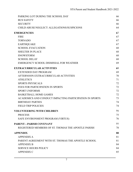| PARKING LOT DURING THE SCHOOL DAY                       | 66 |
|---------------------------------------------------------|----|
| <b>BUS SAFETY</b>                                       | 66 |
| <b>SECURITY</b>                                         | 66 |
| CHILD ABUSE/NEGLECT: ALLEGATIONS/SUSPICIONS             | 64 |
| <b>EMERGENCIES</b>                                      | 67 |
| <b>FIRE</b>                                             | 67 |
| <b>TORNADO</b>                                          | 67 |
| <b>EARTHQUAKE</b>                                       | 67 |
| <b>SCHOOL EVACUATION</b>                                | 68 |
| <b>SHELTER IN PLACE</b>                                 | 68 |
| <b>SNOWSTORM</b>                                        | 68 |
| <b>SCHOOL DELAY</b>                                     | 68 |
| EMERGENCY SCHOOL DISMISSAL FOR WEATHER                  | 69 |
| <b>EXTRACURRICULAR ACTIVITIES</b>                       | 69 |
| <b>EXTENDED DAY PROGRAM</b>                             | 69 |
| AFTERNOON EXTRACURRICULAR ACTIVITIES                    | 70 |
| <b>ATHLETICS</b>                                        | 71 |
| <b>SPORTS PHYSICALS</b>                                 | 72 |
| FEES FOR PARTICIPATION IN SPORTS                        | 72 |
| <b>SPORT UNIFORMS</b>                                   | 72 |
| <b>BASKETBALL HOME GAMES</b>                            | 72 |
| ACADEMICS AND CONDUCT IMPACTING PARTICIPATION IN SPORTS | 73 |
| <b>BIRTHDAY PARTIES</b>                                 | 74 |
| <b>FIELD TRIP POLICIES</b>                              | 74 |
| <b>VOLUNTEERING WITH CHILDREN</b>                       | 75 |
| <b>PROCESS</b>                                          | 75 |
| SAFE ENVIRONMENT PROGRAM (VIRTUS)                       | 76 |
| <b>PARENT-PARISH COVENANT</b>                           | 77 |
| REGISTERED MEMBERS OF ST. THOMAS THE APOSTLE PARISH     | 78 |
| <b>APPENDIX</b>                                         | 80 |
| <b>APPENDIX A</b>                                       | 81 |
| PARENT AGREEMENT WITH ST. THOMAS THE APOSTLE SCHOOL     | 81 |
| <b>APPENDIX B</b>                                       | 84 |
| <b>SERVICE HOURS POLICY</b>                             | 84 |
| <b>APPENDIX C</b>                                       | 85 |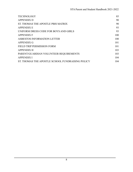| <b>TECHNOLOGY</b>                                | 85  |
|--------------------------------------------------|-----|
| <b>APPENDIX D</b>                                | 90  |
| ST. THOMAS THE APOSTLE PBIS MATRIX               | 90  |
| <b>APPENDIX E</b>                                | 93  |
| UNIFORM DRESS CODE FOR BOYS AND GIRLS            | 93  |
| <b>APPENDIX F</b>                                | 100 |
| ASBESTOS INFORMATION LETTER                      | 100 |
| <b>APPENDIX G</b>                                | 101 |
| FIELD TRIP PERMISSION FORM                       | 101 |
| <b>APPENDIX H</b>                                | 103 |
| PARENT/GUARDIAN VOLUNTEER REQUIREMENTS           | 103 |
| <b>APPENDIX I</b>                                | 104 |
| ST. THOMAS THE APOSTLE SCHOOL FUNDRAISING POLICY | 104 |
|                                                  |     |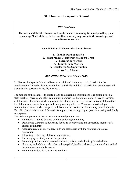## **St. Thomas the Apostle School**

#### *OUR MISSION*

#### <span id="page-8-0"></span>**The mission of the St. Thomas the Apostle School community is to lead, challenge, and encourage God's children in Extraordinary Variety to grow in faith, knowledge, and commitment to service**.

#### *Root Beliefs of St. Thomas the Apostle School*

| 1. Faith Is Our Foundation                |
|-------------------------------------------|
| 2. What Makes Us Different Makes Us Great |
| 3. Learning Is Exercise                   |
| 4. Every Minute Matters                   |
| <b>5. Challenges Are Opportunities</b>    |
| 6. We Are A Family                        |

### *OUR PHILOSOPHY OF EDUCATION*

<span id="page-8-1"></span>St. Thomas the Apostle School believes that childhood is the most critical period for the development of attitudes, habits, capabilities, and skills, and that the curriculum encompasses all that a child experiences in his life at school.

The purpose of the school is to create a faith-filled learning environment. The pastor, principal, staff, teachers, parents, and other community members lay the foundation for a love of learning, instill a sense of personal worth and respect for others, and develop critical thinking skills so that the children can grow to be responsible and practicing citizens. We endeavor to develop a community of learners where respect, collaboration and excitement for learning prevail. Quality Catholic education is provided for students in preschool through eighth grade in a caring and family atmosphere.

The main components of the school's educational program are:

- Embracing a faith to be lived within a believing community.
- Developing Christian attitudes and habits as a contributing and supporting member of a diverse community.
- Acquiring essential knowledge, skills and techniques with the stimulus of practical application.
- Integrating technology skills and applications.
- Encouraging creativity and self-expression.
- Promoting each student's personal academic, artistic, and athletic gifts and talents.
- Nurturing each child to help balance the physical, intellectual, social, emotional and ethical development as a whole person.
- Promoting leadership as a service to others.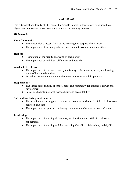## *OUR VALUES*

<span id="page-9-0"></span>The entire staff and faculty of St. Thomas the Apostle School, in their efforts to achieve these objectives, hold certain convictions which underlie the learning process.

#### *We believe in:*

#### **Faith Community**

- The recognition of Jesus Christ as the meaning and purpose of our school
- The importance of modeling what we teach about Christian values and ethics

### **Respect**

- Recognition of the dignity and worth of each person
- The importance of individual differences and potential

### **Academic Excellence**

- The importance of responsiveness by the faculty to the interests, needs, and learning styles of individual children.
- Providing the academic rigor and challenge to meet each child's potential

## **Responsibility**

- The shared responsibility of school, home and community for children's growth and development
- Fostering students' personal responsibility and accountability

## **Safe and Nurturing Environment**

- The need for a warm, supportive school environment in which all children feel welcome, accepted, and safe.
- The importance of open and continuing communication between school and home.

## **Leadership**

- The importance of teaching children ways to transfer learned skills to real world applications.
- *●* The importance of teaching and demonstrating Catholic social teaching in daily life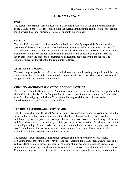## *ADMINISTRATION*

## <span id="page-10-1"></span><span id="page-10-0"></span>**PASTOR**

The pastor is the primary spiritual leader of St. Thomas the Apostle Parish and the parish ministry of the Catholic School. He is responsible for the overall administration and direction of the school together with the school principal. The pastor appoints the principal.

### <span id="page-10-2"></span>**PRINCIPAL**

The principal is the executive director of the school and is chiefly responsible for the effective operation of the school as an educational institution. The principal is responsible to the pastor for the school and cooperates with the Catholic School Superintendent and state school officials for all matters pertaining to the school. The principal administers the educational program, hires and supervises faculty and staff, and coordinates all educational activities within the school. The principal represents the school to the community at large.

## <span id="page-10-3"></span>**ASSISTANT PRINCIPAL**

The assistant principal is selected by the principal to support and help the principal in administering the educational program and all educational activities within the school. The assistant performs all designated duties assigned by the principal.

## <span id="page-10-4"></span>**CHICAGO ARCHDIOCESE CATHOLIC SCHOOLS OFFICE**

The Office of Catholic Schools for the Archdiocese of Chicago provides leadership and guidance for all the Catholic Schools. The Office provides direction on policies and curriculum. St. Thomas the Apostle is located geographically in Vicariate 6 with a regional director as liaison to the Superintendent and the Catholic Schools Office.

## <span id="page-10-5"></span>**ST. THOMAS SCHOOL ADVISORY BOARD**

The St. Thomas the Apostle School Advisory Council is a consultative body providing advice to the pastor and principal on matters concerning the school and all associated activities. Working collaboratively with the pastor and principal, the Advisory Board assists in establishing both current and future direction for the school as part of the parish and school mission. Board members commit to monthly meetings. Parents, parish members, and community members are urged to participate on board committees to further the growth and development of the school. The board's goal is to maintain a Catholic, excellent and vital parish school.

The pastor, assistant principal, advancement director, and the principal serve as ex officio, non-voting members of the board. They provide the leadership for Catholic teaching, thought and culture. Membership consists of parents, parishioners, alumni/ae, and business and professional community members. Membership on board committees is actively sought among all these groups. Committee groups will be created based on the school's strategic plan. Membership on committees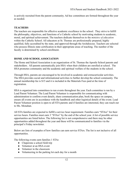is actively recruited from the parent community. Ad hoc committees are formed throughout the year as needed.

## <span id="page-11-0"></span>**TEACHERS**

The teachers are responsible for effective academic excellence in the school. They strive to fulfill the philosophy, objectives, and functions of a Catholic school by motivating students to academic, moral, and spiritual achievement. The teachers dedicate themselves to the *ministry of education* within the Catholic School. All educators at St. Thomas are professionally prepared, highly qualified, fully accredited by the state, and approved through the Archdiocese. Teachers are selected who possess Illinois state certification in their appropriate areas of teaching. The number of the faculty is determined by school enrollment.

### <span id="page-11-1"></span>**HOME AND SCHOOLASSOCIATION**

The Home and School Association is an organization of St. Thomas the Apostle School parents and stakeholders. All parents automatically join HSA when their children are enrolled at school. The HSA promotes community and the academic and spiritual welfare of the students in the school.

Through HSA, parents are encouraged to be involved in academic and extracurricular activities. The HSA provides social and informational activities to further develop the school community. The annual membership fee is \$15 and it is included in the Materials Fees paid at the time of registration.

HSA is organized into committees to run events throughout the year. Each committee is run by a Lead Parent Volunteer. The Lead Parent Volunteer is responsible for communicating with administration to confirm event details, share communication plan, book the space on campus, ensure all events are in accordance with the handbook and other logistical details of the event. Lead Parent Volunteer position is open to all STA parents and if families are interested, they can reach out to Ms. Monahan.

All STA families are expected to fulfill a service hour requirement. Families earn "STArs" for their service hours. Families must earn 3 "STArs" by the end of the school year. A list of possible service opportunities are listed below. The following list is not comprehensive and there may be other opportunities added throughout the year and these will be communicated to families via the principal's Friday newsletter.

Below are lists of examples of how families can earn service STArs. The list is not inclusive of all opportunities.

The following events earn families 1 STAr.

- Chaperone a school field trip
- Volunteer at an HSA event
- Volunteer in the classroom
- Volunteering in the parking lot each day for a month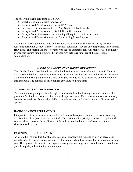The following events earn families 3 STArs:

- Coaching an athletic team for a season
- Being a Lead Parent Volunteer for an HSA event
- Serving on a school committee (STArry Night or School Board)
- Being a Lead Parent Volunteer for 8th Grade Graduation
- Being a Parent Ambassador and attending all required recruitment events
- Being a Lead Parent Volunteer and Coordinating Room Parents

The HSA is NOT a governing body of the school, and they are NOT involved in any decisions regarding curriculum, school finances, and school personnel. They are only responsible for planning HSA events and coordinating these events with school administration. Any money raised from HSA events goes toward funding future HSA events. Any left over funds are at the discretion of administration.

### *HANDBOOK AGREEMENT SIGNED BY PARENTS*

<span id="page-12-0"></span>The Handbook describes the policies and guidelines for most aspects of school life at St. Thomas the Apostle School. All parents receive a copy of the Handbook at the start of the year. Parents sign a statement indicating that they have read and agree to abide by the policies and guidelines within this handbook. The contents of this book are explained to the students.

## <span id="page-12-1"></span>**AMENDMENTS TO THE HANDBOOK**

The pastor and/or principal retain the right to amend the handbook at any time and parents will be given notification in a reasonable time when changes are made. The school administration annually reviews the handbook for updating. Ad hoc committees may be formed to address all suggested updates.

## <span id="page-12-2"></span>**HANDBOOK INTERPRETATIONS**

Interpretation of the provisions made in the St. Thomas the Apostle Handbook is made according to the discretion of the pastor and the principal. The pastor and the principal reserve the right to make any and all decisions on the application of the policies outlined in the handbook to concrete situations as they occur.

## <span id="page-12-3"></span>**PARENT-SCHOOLAGREEMENT**

As a condition of enrollment, a student's parents or guardians are required to sign an agreement with the school. This agreement is signed by the parents when they register for the upcoming school year. This agreement articulates the expectation of parents to be partners with the school in order to provide a quality education for their children.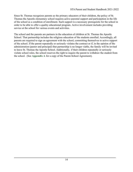Since St. Thomas recognizes parents as the primary educators of their children, the policy of St. Thomas the Apostle elementary school requires active parental support and participation in the life of the school as a condition of enrollment. Such support is a necessary prerequisite for the school in order to be able to offer a quality educational program. Active involvement includes providing service at the school for various events and activities.

The school and the parents are partners in the education of children at St. Thomas the Apostle School. That partnership includes the religious education of the students enrolled. Accordingly, all parents are required to sign an agreement with the school, committing themselves to active support of the school. If the parent repeatedly or seriously violates the contract or if, in the opinion of the administration (pastor and principal) that partnership is no longer viable, the family will be invited to leave St. Thomas the Apostle School. Additionally, if their children repeatedly or seriously violate school rules, the school reserves the right to require the parent to withdraw the student from the school. (See **Appendix A** for a copy of the Parent-School Agreement).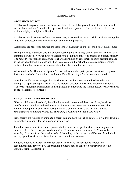## *ENROLLMENT*

### <span id="page-14-1"></span><span id="page-14-0"></span>**ADMISSION POLICY**

St. Thomas the Apostle School has been established to meet the spiritual, educational, and social needs of our students. The school is open to all students regardless of race, color, sex, ethnic and national origin, or religious affiliation.

St. Thomas admits students of any race, color, sex, or national and ethnic origin in administering the education policies, athletic or other school-administered programs.

Admissions are processed between the last Monday in January and the second Friday in December.

We highly value classroom size and children learning in a nurturing, comfortable environment with minimal disruption. We urge interested families to begin the admissions process in a timely manner. The number of sections in each grade level are determined by enrollment and this decision is made in the spring. After all openings are filled in a classroom, the school maintains a waiting list until sufficient numbers warrant the opening of another classroom for that grade.

All who attend St. Thomas the Apostle School understand that participation in Catholic religious instruction and school activities related to the Catholic identity of the school are required.

Questions and/or concerns regarding discrimination in admissions should be directed to the principal (if appropriate), the pastor, and the regional director of the Office of Catholic Schools. Concerns regarding discrimination in hiring should be directed to the Human Resources Department of the Archdiocese of Chicago.

#### <span id="page-14-2"></span>**ENROLLMENT REQUIREMENTS**

When a child enters the school, the following records are required: birth certificate, baptismal certificate for Catholics, and health records. Students must meet state requirements regarding immunization policies before and during their time of attendance. *Until the new student's immunizations and health records are submitted, the student may not attend school.*

New parents are required to complete a parent tour and have their child complete a shadow day/time before they may apply for the upcoming school year.

For admission of transfer students, parents shall present the proper transfer or some appropriate credential from the school previously attended. Upon a written request from St. Thomas the Apostle, all records from the previous school, including health records, shall be transferred within ten days provided financial obligations to the school have been met.

Students entering Kindergarten through grade 8 must have their academic records and recommendations reviewed by the principal. Students may be asked to be interviewed by the principal prior to acceptance.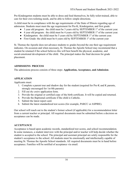Pre-Kindergarten students must be able to dress and feed themselves, be fully toilet-trained, able to care for their own toileting needs, and be able to follow simple directions.

A child must be in compliance with the age requirements of the State of Illinois regarding age of admission. Students must meet the age requirement for Pre-K, Kindergarten, and first grade:

- $\bullet$  3 year old program: the child must be 3 years old by SEPTEMBER 1<sup>st</sup> of the current year.
- $\bullet$  4 year old program: the child must be 4 years old by SEPTEMBER 1<sup>st</sup> of the current year.
- Kindergarten: the child must be 5 years old by SEPTEMBER 1<sup>st</sup> of the current year.
- First Grade: the child must be 6 years old by SEPTEMBER 1<sup>st</sup> of the current year

St. Thomas the Apostle does not advance students to grades beyond the one their age requirement indicates. On occasion and when necessary, St. Thomas the Apostle School may recommend that a student be retained if the school believes this will best benefit the physical, academic, and social-emotional development of the child. The principal makes the final decision for grade placement.

#### <span id="page-15-0"></span>**ADMISSIONS PROCESS**

The admissions process consists of three steps: **Application, Acceptance, and Admission**.

### <span id="page-15-1"></span>**APPLICATION**

Applicants must:

- 1. Complete a parent tour and shadow day for the student (required for Pre-K and K parents, strongly encouraged for 1st-8th parents)
- 2. Fill out *the entire* application form.
- 3. Provide the original or certified copy of the birth certificate. It will be copied and returned.
- 4. Provide the Baptismal certificate if the child is Catholic.
- 5. Submit the latest report card.
- 6. Submit the latest standardized test scores (for example, PARCC or ASPIRE).

Our school will reach out to the student's former school (if applicable) for a recommendation letter from a current teacher or principal. All required documents must be submitted before a decision on acceptance can be made.

#### <span id="page-15-2"></span>**ACCEPTANCE**

Acceptance is based upon academic records, standardized test scores, and school recommendation. In some instances, a student interview with the principal and/or teacher will help decide whether the student is accepted to the school. The principal and assistant principal are solely responsible for the student's acceptance to the school. All students must be emotionally and intellectually capable of meeting St. Thomas the Apostle School standards. All required documents must be in hand before acceptance. Families will be notified of acceptance via email.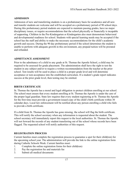## <span id="page-16-0"></span>**ADMISSION**

Admission of new and transferring students is on a probationary basis for academics and all new and transfer students are welcome and will be accepted on a probationary period of 90 school days. During this probationary period students are expected to maintain passing grades, have no major disciplinary issues, or require accommodations that the school physically or financially is incapable of supporting. Children in the Pre-Kindergarten or Kindergarten also must demonstrate behavioral and developmental readiness for school. Students with special learning needs may be accepted if the school has the staff and ability to make the necessary accommodations for the child's academic growth and success. During the 90 day probationary period if the school determines the student is unable to perform with adequate growth in this environment, any prepaid tuition will be prorated and refunded.

#### <span id="page-16-1"></span>**ADMITTANCE ASSESSMENT**

Prior to the admittance of a child to any grade at St. Thomas the Apostle School, a child may be required to be assessed for grade placement. The administration shall have the right to test the student in any subject and/or to require a written recommendation from the teacher at the prior school. Test results will be used to place a child in a proper grade level and will determine acceptance or non-acceptance into the established curriculum. If a student's grade report indicates success at the prior grade level, then testing may be omitted.

## <span id="page-16-2"></span>**BIRTH CERTIFICATE**

St. Thomas the Apostle has a moral and legal obligation to protect children enrolling at our school. The school must ensure that every student enrolling at St. Thomas the Apostle is under the care of the proper legal guardian. State law requires that every student registering at St. Thomas the Apostle for the first time must provide a government-issued copy of the child's birth certificate within 30 calendar days. Local law enforcement will be notified about any person enrolling a child who fails to provide a birth certificate.

If a child from St. Thomas the Apostle has gone missing, the school will flag the birth certificate. This will notify the school secretary when any information is requested about the student. The school secretary will immediately report this request to the local authorities. St. Thomas the Apostle will not forward the records of any student transferring out of the school whose records have been flagged. The requested school will notify authorities of this request.

## <span id="page-16-3"></span>**REGISTRATION PROCESS**

Current families must complete the registration process to guarantee a spot for their child(ren) for the upcoming school year. The administration will provide the link to the online registration form during Catholic Schools Week. Current families must:

- 1. Complete the online registration forms for their child(ren)
- 2. Pay the registration fee and materials fee
- 3. Submit all medical documents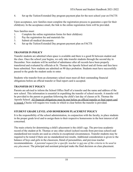4. Set up the Tuition/Extended Day program payment plan for the next school year on FACTS

Upon acceptance, new families must complete the registration process to guarantee a spot for their child(ren). In the acceptance email, the link to the online registration form will be provided.

New families must:

- 1. Complete the online registration forms for their child(ren)
- 2. Pay the registration fee and materials fee
- 3. Submit all medical documents
- 4. Set up the Tuition/Extended Day program payment plan on FACTS

### <span id="page-17-0"></span>**TRANSFER IN POLICY**

Transfer students are admitted when space is available and there is a good fit between student and the class. Once the school year begins, we only take transfer students through the second day in December. New students will be notified of admittance after all records have been properly transferred and evaluated by officials at St. Thomas the Apostle School and all forms and fees have been submitted. New students are admitted on 90 days probation. Students must have successfully passed to the grade the student seeks to enter.

Students who transfer from an elementary school must meet all their outstanding financial obligations before an official transfer or final report card is accepted.

## <span id="page-17-1"></span>**TRANSFER OUT POLICY**

Parents are advised to inform the School Office Staff of a transfer and the name and address of the new school. This information is essential in expediting the transfer of school records. A transfer will be provided to the parent or guardian following the child's last day of classes at St. Thomas the Apostle School. All financial obligations must be met before an official transfer or final report card is issued. Checks will require two weeks in which to clear before the transfer is provided.

## <span id="page-17-2"></span>**STUDENT GRADE LEVEL AND HOMEROOM PLACEMENT POLICY**

It is the responsibility of the school administration, in conjunction with the faculty, to place students in the proper grade level and to assign them to their respective homerooms in the best interest of all concerned.

The main criteria for determining a child's placement is the child's age. The previous academic record of the student at St. Thomas or any other school (school records from previous school) and standardized test results are used as criteria in exceptional circumstances. Transfer students may be required to be tested if there are no standardized test results. Additional consideration is given to the balance of boys and girls in the classroom, blend of personalities, and previous teacher recommendations. *A parental request for a specific teacher is not one of the criteria to be used in any placement.* The principal and assistant principal make the final decision on class placement.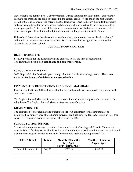New students are admitted on 90 days probation. During that time, the student must demonstrate adequate progress and the skills to succeed in the current grade. At the end of the probationary period, if there is a concern, the parents and the teacher will meet to discuss the student's progress and any prescriptions for further success and determine whether a return to the previous grade is more appropriate. A statement of the school recommendation will be kept in the student's file. If there is not a good fit with the school, the student will no longer continue at St. Thomas.

If the school determines that the student's needs are behavioral rather than academic, a plan of action will be made for the student's success. St. Thomas retains the right to not continue the student in the grade or school.

### *SCHOOL SUPPORT AND FEES*

### <span id="page-18-1"></span><span id="page-18-0"></span>**REGISTRATION FEE**

\$195.00 per child for Pre-Kindergarten and grades K to 8 at the time of registration. **The registration fee is non-refundable and non-transferable.**

### <span id="page-18-2"></span>**SCHOOL MATERIALS FEE**

\$400.00 per child for Pre-kindergarten and grades K to 8 at the time of registration. **The school materials fee is non-refundable and non-transferable.**

## <span id="page-18-3"></span>**PAYMENTS FOR REGISTRATION AND SCHOOL MATERIALS**

Payments to the School Office during school hours can be made by check, credit card, money order, debit card, or cash**.**

The Registration and Materials fees are not prorated for students who register after the start of the school year. The Registration and Materials fees are non-refundable.

#### <span id="page-18-4"></span>**GRADUATION FEE**

The graduation fee for eighth grade students is \$315. An adjustment to that amount may be determined by January once all graduation activities are finalized. The fee is *due in full* no later than April 1<sup>st</sup>. Payment is made in the school office or on FACTS.

#### <span id="page-18-5"></span>**SCHOOL TUITION SUPPORT**

School tuition represents *only a portion* of the *actual cost* of educating a child at St. Thomas the Apostle School for the year. Tuition is paid on a 10-month plan or paid in full. Requests for a 9-month plan may be accepted. Tuition is pro-rated for those who register after September 30th.

| <b>TUTION K to 8</b>  | Tuition | Monthly-10 months<br><b>July-April</b><br><b>PREFERRED PLAN</b> | Monthly - 9 months<br><b>August-April</b> |
|-----------------------|---------|-----------------------------------------------------------------|-------------------------------------------|
| One child in K to $8$ | \$6,275 | \$627.50                                                        | \$697.22                                  |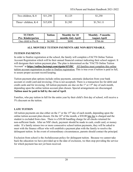| Two children, K-8    | \$11,250 | \$1,125 | \$1,250    |
|----------------------|----------|---------|------------|
| Three+ children, K-8 | \$15,850 | \$1,585 | \$1,761.11 |

| <b>TUTION</b>           | <b>Tuition</b> | <b>Monthly for 10</b> | Monthly - 9 months  |
|-------------------------|----------------|-----------------------|---------------------|
| <b>Pre-Kindergarten</b> |                | months July-April     | <b>August-April</b> |
| One child in Pre-K      | \$6,900        | \$690                 | \$766.66            |

#### **ALL MONTHLY TUITION PAYMENTS ARE NON-REFUNDABLE.**

#### <span id="page-19-0"></span>**TUITION PAYMENTS**

In order to finalize registration at the school, the family will complete a FACTS Online Tuition Account Registration which will be their annual financial contract indicating their school support. It will designate their tuition payment plan. The plan is determined on the "FACTS Online Tuition Account" at **<https://online.factsmgt.com/signin/41YRC>**. All families must complete this online tuition account registration in order to finalize registration. This is true even if tuition is paid in full, to assure proper account record keeping.

Tuition payment plan options include online payments, automatic deduction from your bank account or credit card and invoicing. (Visa is not accepted). There is a transaction fee for debit and credit cards and for invoicing. All tuition payments are due on the 1<sup>st</sup> or 15<sup>th</sup> day of each month, depending upon the online tuition account plan chosen. Special arrangements are discouraged. **Tuition must be paid in full by the end of April**.

Families, who pay tuition in full for the entire year by their child's first day of school, will receive a 5% discount on the tuition.

## <span id="page-19-1"></span>**LATE TUITION**

All tuition payments are due either on the  $1<sup>st</sup>$  or the  $15<sup>th</sup>$  day of each month, depending upon the online tuition account plan chosen. On the  $16<sup>th</sup>$  of the month, a \$30.00 late fee is charged and the student is excluded from class. There is a \$30.00 handling charge for all checks returned for non-sufficient funds. After an NSF check, payment should be made in cash, credit card, or money order. If a family misses two or more consecutive school tuition payments, they will be asked to meet with the finance officer who will establish a payment plan with the family to resolve the delinquent tuition. In the event of extraordinary circumstances, parents should contact the principal.

Exclusion from school is the Archdiocesan policy for delinquent tuition. Because we cannot take back the education we have provided up to the date of exclusion, we then stop providing the service for which payment has not yet been received.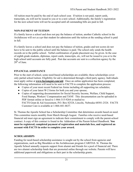All tuition must be paid by the end of each school year. If tuition is not paid, report cards, transcripts, etc.will not be issued to you or to a new school. Additionally, the family's registration for the next school term will not be accepted until all outstanding bills are paid in full.

### <span id="page-20-0"></span>**NON-PAYMENT OF TUITION**

If a family leaves a school and does not pay the balance of tuition, another Catholic school in the Archdiocese will *not accept* that student for admission until the tuition at the sending school is paid in full.

If a family leaves a school and does not pay the balance of tuition, grades and test scores do not have to be sent to the public school until the balance is paid. The school only sends the health records on to the public school. Verbal confirmation of grade placement *may* be given. In the case of eighth grade students, diplomas, report cards, transcripts, etc, will not be issued to you or to the high school until accounts are fully paid. Past due accounts are sent to a collection agency by the  $20<sup>th</sup>$  of June.

## <span id="page-20-1"></span>**FINANCIALASSISTANCE**

Prior to the start of school, some need-based scholarships are available; these scholarships cover only partial school tuition. Eligibility for aid is determined through a third party agency. Individuals must apply online at **[www.factsmgmt.com/aid](http://www.factsmgmt.com/aid)**. Once an online application has been completed, the following information will need to be sent to FACTS to complete the application process:

- Copies of your most recent Federal tax forms including all supporting tax schedules;
- Copies of your latest W-2 forms for both you and your spouse;
- Copies of supporting documentation for Social Security Income, Welfare, Child Support, Food Stamps, Workers' Compensation and TANF. This documentation can be uploaded in PDF format online or faxed to 1-866-315-9264 or mailed to: FACTS Grant & Aid Assessment, P.O. Box 82524, Lincoln, Nebraska 68501-2524. FACTS Customer Care is available at 1-866-441-4637.

St. Thomas the Apostle School has a Scholarship Committee that determines awards based on need. This committee meets monthly from March through August. Families who receive need-based financial aid must sign an agreement to indicate their commitment to comply with the parent-school contract. A copy of this contract is found in the Addendum of the Parent-School Handbook. **You must be registered, completed payment of registration and materials fees, and registered an account with FACTS in order to complete your award.**

## <span id="page-20-2"></span>**SCHOLARSHIPS**

Funding for need-based scholarship assistance is sought out by the school from agencies and organizations, such as Big Shoulders or the Archdiocesan program CARITAS. St. Thomas the Apostle School annually requests support from alumni and friends for a pool of financial aid. There are two alumni scholarship funds that are promoted online through our website. Parents will have additional paperwork and obligations as their part in the scholarship grants.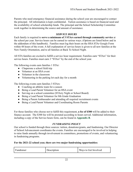Parents who need emergency financial assistance during the school year are encouraged to contact the principal. All information is kept confidential. Tuition assistance is based on financial need and the availability of school scholarship funds. The principal and the School Scholarship Committee work together in determining the source and amount of assistance.

#### *SERVICE HOURS*

<span id="page-21-0"></span>Each family is required to **serve a minimum of 3 STArs earned through community service** at the school per year. Service hours can be earned in various ways. (Options are listed below and in the addendum of this handbook). Families must log their hours on the HSA STAr Google Form within 48 hours of the event. A full explanation of service hours is given to all new families at the New Family Orientation, and to all families at Back To School Night.

All STA families are excited to fulfill a service hour requirement. Families earn "STArs" for their service hours. Families must earn 3 "STArs" by the end of the school year.

The following events earn families 1 STAr:

- Chaperone a school field trip
- Volunteer at an HSA event
- Volunteer in the classroom
- Volunteering in the parking lot each day for a month

The following events earn families 3 STArs:

- Coaching an athletic team for a season
- Being a Lead Parent Volunteer for an HSA event
- Serving on a school committee (STArry Night or School Board)
- Being a Lead Parent Volunteer for 8th Grade Graduation
- Being a Parent Ambassador and attending all required recruitment events
- Being a Lead Parent Volunteer and Coordinating Room Parents

For those families who choose not to fulfill this requirement, **a fee of \$300** will be added to their finance account. The \$300 fee will be prorated according to hours served. Additional information, including a copy of the Service hours form, can be found in **Appendix B**.

#### *FUNDRAISING POLICY*

<span id="page-21-1"></span>Our school is funded through three sources: tuition, donations/grants, and fundraising. Our Director of School Advancement coordinates the events. Families are encouraged to be involved in helping to raise funds annually through involvement in committees, promotions of events, and volunteering in fundraising programs.

#### **For the 2021-22 school year, there are two major fundraising opportunities:**

| Ways to Get Involved<br>Ð<br>Fundraiser<br>cription |  |
|-----------------------------------------------------|--|
|-----------------------------------------------------|--|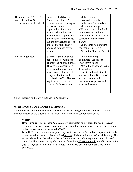| Reach for the STArs - The<br>Annual Fund for St.<br>Thomas the Apostle School | Reach for the STArs is the<br>Annual Fund for STA. It<br>provides annual funding for<br>school needs and<br>opportunities for school<br>growth. All families are<br>encouraged to support this<br>annual fund to help bridge<br>the gap between the cost to<br>educate the students at STA<br>and what families pay for<br>tuition. | - Make a monetary gift<br>- Invite other family<br>members and/or friends to<br>make a monetary gift<br>- Write a letter with school<br>administration inviting<br>constituents to make a gift in<br>support of Reach for the<br><b>STArs</b><br>- Volunteer to help prepare<br>the mailing materials<br>- Attend the "kick-off" event |
|-------------------------------------------------------------------------------|-------------------------------------------------------------------------------------------------------------------------------------------------------------------------------------------------------------------------------------------------------------------------------------------------------------------------------------|----------------------------------------------------------------------------------------------------------------------------------------------------------------------------------------------------------------------------------------------------------------------------------------------------------------------------------------|
| <b>STArry Night Gala</b>                                                      | STArry Night is an annual<br>benefit in celebration of St.<br>Thomas the Apostle School.<br>The evening consists of a<br>meal, entertainment, and<br>silent auction. This event<br>brings all families and<br>stakeholders of St. Thomas<br>together to celebrate and to<br>raise funds for our school.                             | - Join the planning<br>committee (September -<br>May commitment)<br>- Attend the event and invite<br>friends/family!<br>- Donate to the silent auction<br>- Work with the Director of<br>Advancement to solicit<br>businesses to sponsor and<br>support the event                                                                      |

STA's Fundraising Policy is outlined in Appendix I.

## <span id="page-22-0"></span>**OTHER WAYS TO SUPPORT ST. THOMAS**

All families are urged to lend a hand and support the following activities. Your service has a positive impact on the students in the school and on the entire school community.

## **SCRIP**

**How it works**: You purchase *face-value* gift certificates or gift cards for businesses and restaurants and we receive a percentage back from those companies as profit. The program that organizes such sales is called *SCRIP*.

**Benefit**: The program returns a percentage which we use to fund scholarships. Additionally, parents who buy cards receive a defined percent off their tuition for each card they buy. That amount depends on the value of the card and the amount of money spent on purchase of cards. Families are *encouraged to order at least three* SCRIP gift cards *monthly to make the greatest impact on their tuition accounts*. There is NO dollar amount assigned to the purchases.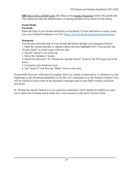**OR** Help to SELL SCRIP cards after Mass at the Sunday Hospitality held in the parish hall. This option provides the added feature of earning multiple service hours for the family.

### **Social Media**

#### **Facebook**

Enlist the help of your friends and family on Facebook! Use the link below to easily create your own Facebook fundraiser for STA: <https://www.facebook.com/fund/stapostleschool/>

#### **Instagram**

You can also enlist the help of your friends and family through your Instagram Stories! 1. Open the camera and take or upload a photo that best highlights STA! You can also use "Create Mode" to create a post with text only.

2. Tap the "sticker" icon at the top.

3. Select the "donation" sticker.

4. Search for and select "St. Thomas the Apostle School" (look for the STA logo next to the name)

5. Customize your fundraiser post.

6. Tap "Send To" and then tap "Share" next to your story.

Occasionally there are collections for tragedy relief (e.g. famine or hurricanes), or missions (e.g. the Orphanage in the Dominican Republic), or for the civic community (e.g. the Veteran's Project). You will be notified of such events in the principal's messages and in your child's weekly classroom newsletter.

St. Thomas the Apostle School is a very generous community which teaches its children to reach out to others less fortunate and to share one's own resources in the spirit of Jesus Christ.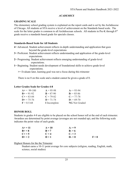## *ACADEMICS*

## <span id="page-24-1"></span><span id="page-24-0"></span>**GRADING SCALE**

The elementary school grading system is explained on the report cards and is set by the Archdiocese of Chicago. All students at STA receive a level of achievement on the Standards based scale. The scale for the letter grades is common to all Archdiocesan schools. All students in Pre-K through 8<sup>th</sup> grade receive a standards based grade for specials classes.

### <span id="page-24-2"></span>**Standards-Based Scale for All Students**

- **4**= Advanced. Student achievement reflects in-depth understanding and application that goes beyond the grade-level expectations
- **3**= Proficient. Student achievement reflects understanding and application of the grade-level expectations.
- **2**= Progressing. Student achievement reflects emerging understanding of grade-level expectations.
- **1**= Beginning. Student needs development of foundational skills to achieve grade-level expectations.

**>**= Evaluate later, learning goal was not a focus during this trimester

There is no 0 on this scale and a student cannot be given a grade of 0.

## <span id="page-24-3"></span>**Letter Grades Scale for Grades 4-8**

| $A+=99-100$    | $A = 95-98$   | $A = 93-94$          |
|----------------|---------------|----------------------|
| $B+=91-92$     | $B = 87-90$   | $B = 85 - 86$        |
| $C+=83-84$     | $C = 79-82$   | $C = 77-78$          |
| $D+= 75-76$    | $D = 71 - 74$ | $D = 69-70$          |
| $F = 0.5 - 68$ | I Incomplete  | <b>NG</b> Not Graded |

## <span id="page-24-4"></span>**HONOR ROLL**

Students in grades 4-8 are eligible to be placed on the school honor roll at the end of each trimester. Awardees are determined by point average (averages are not rounded up), and the following scale indicates the point value of each grade.

| $A+ = 11$ | $A=10$           | $A = 9$ |       |
|-----------|------------------|---------|-------|
| $B+=8$    | $\mathbf{R} = 7$ | $B - 6$ |       |
| $C + = 5$ | $C = 4$          | $C = 3$ |       |
| $D+ = 2$  | $D=1$            | $D = 0$ | $F=0$ |

#### Highest Honors for the the Trimester

Student earns a 10-11 point average for core subjects (religion, reading, English, math, science, social studies)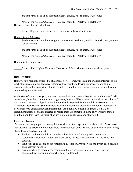Student earns all 3s or 4s in special classes (music, PE, Spanish, art, resource)

None of the *Successful Learner Traits* are marked (1) "Below Expectations" Highest Honors for the School Year

Earned Highest Honors in all three trimesters in the academic year

Honors for the Trimester

Student earns a 7-9 point average for core subjects (religion, reading, English, math, science social studies)

Student earns all 3s or 4s in special classes (music, PE, Spanish, art, resource)

None of the *Successful Learner Traits* are marked (1) "Below Expectations"

Honors for the School Year

Earned either Highest Honors or Honors in all three trimesters in the academic year

## <span id="page-25-0"></span>**HOMEWORK**

Homework is regularly assigned to students at STA. Homework is an important supplement to the work students do in class each day. Homework serves the following purposes: reinforce and practice skills and concepts taught in class, help prepare for future lessons, and/or further develop core reading and math skills.

At the start of each school year, teachers communicate with parents how frequently homework will be assigned, how they communicate assignments, how it will be assessed, and their expectations of the students. Parents will get information on what is expected for their child's classroom at the Classroom Open House. Some teachers choose to include homework information in their weekly newsletter or to email homework information. Additionally, students in grades 3-8 have an assignment notebook and are directed to record their assignments in them daily. Parents should help their children learn the value of an assignment planner as a good study skill.

## Parent Involvement

Parents are an integral part of making homework a positive experience for their child. Please make homework a top priority in your household and show your child that you value its worth by offering the following kinds of support:

- Sit down with your child and together schedule a time for completing homework assignments. Homework habits are more easily formed if children work at the same time each day.
- Help your child choose an appropriate study location. Provide your child with good lighting and necessary supplies
- Ask your child to describe the assignment before beginning, and later show you the completed work or summarize what he or she learned.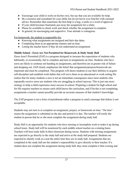- Encourage your child to work on his/her own, but say that you are available for help.
- Be a resource and consultant for your child, but do not hover over him/her with constant advice. Remember that sometimes the best help is a hug, a smile or a word of approval.
- If your child becomes frustrated, put away the assignment for a while.
- Please be available to check work and check whether the assignment is complete.
- In general, be encouraging and supportive. Your attitude is contagious.

For homework, the student is responsible for:

- Knowing what assignments are assigned and their due dates.
- Completing them in an appropriate manner and on time.
- Letting the teacher know if they do not understand an assignment.

### **Middle School - Zeros Are Not Permitted for Homework & Daily Study Hall**

Zeros Aren't Permitted (ZAP) is a program designed to increase the expectation of students who habitually, or occasionally, fail to complete and turn in assignments on time. Students who have zeros are likely to continue not handing in assignments, and therefore are at greater risk of failure and dropping out. ZAP clearly emphasizes the belief that assignments/projects/homework are important and must be completed. This program will direct students to use their abilities to acquire self-discipline and establish work habits that will serve them in an educational or work setting.We realize that for many students a zero is not an immediate consequence since most students who repeatedly receive zeros are students who are struggling in school anyway. This is just one more strategy to help a child experience more success in school. Preparing a student for high school and for life requires teachers to ensure each child knows the curriculum, and if he/she is not completing assignments a teacher cannot possibly provide an accurate measure of that student's knowledge.

The ZAP program is not a form of punishment rather a program to send a message that failure is not acceptable.

Students may not turn in or complete an assignment, project, or homework on time. "On time" means the assignment is submitted on the day and period it is due. The teacher will notify the student in person that he or she must complete the assignment during study hall.

Study Hall is an opportunity for students who have missing or incomplete work to make it up during school hours. Study hall will be monitored by each middle school teacher on a rotating basis. Teachers will host study halls in their classroom during recess. Students with missing assignments are expected to go directly to the study hall and arrive at the study hall prepared. Students are expected to silently work at a seat the entire time they are in study hall. Assignments that are completed in the study hall are the student's responsibility to give directly to their teacher. If a student does not complete the assignment during study hall, they must complete it that evening and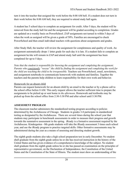turn it into the teacher that assigned the work before the 8:00 AM bell. If a student does not turn in their work before the 8:00 AM bell, they are required to attend study hall again.

A student has 5 school days to complete an assignment for credit. After 5 days, the student will be removed from the study hall list and the assignment will be graded according to completion. Grades are updated on a weekly basis on PowerSchool. ZAP assignments not turned in within 5 days of when the work as assigned will be given a grade of 50%. Families are encouraged to check PowerSchool and then email individual teachers with questions about assignments and grades.

After Study Hall, the teacher will review the assignment for completeness and quality of work. An assignment automatically drops 1 letter grade for each day it is late. If a student fails to complete an assignment he/she will remain in ZAP and attend study hall until the assignment has been completed for up to 5 days.

*Note that the student is responsible for knowing the assignment and completing the assignment. Parents who consistently "rescue" the child by finding the assignment and completing the work for the child are teaching the child to be irresponsible.* Teachers use PowerSchool, email, newsletters, and assignment notebooks to communicate homework with students and families. Together the teachers and the parents help children to learn responsibility for their own work and behavior.

#### Homework for an absent child

Parents can request homework for an absent child by an email to the teacher or by a phone call to the school office before 8 AM. This early request allows the teacher sufficient time to prepare the assignments to be picked up or sent home *in the afternoon*. Homework and textbooks may be picked up from the school office from 2:30-3:30 PM and after school until 5:30 PM.

#### <span id="page-27-0"></span>**ASSESSMENT PROGRAM**

The classroom teacher administers the standardized testing program according to policies determined by the Archdiocese of Chicago. Students in grades 3-8 participate in standardized testing as designated by the Archdiocese. There are several times during the school year that students may participate in benchmark assessments in order to measure their progress and growth towards the summative assessment in the spring. iReady is a formative assessment required by the Archdiocese. Kindergarten - 8th grade students will take the iReady assessment 3 times each school year, and use the iReady program to practice targeted skills. Other formative assessments may be administered during the year as a means of assessing and directing student growth.

The eighth grade students also take a high school preparation test in early December. No student shall graduate from the eighth grade unless he or she has received instruction in the history of the United States and has given evidence of a comprehensive knowledge of the subject. No student shall graduate from the eighth grade unless he or she has passed an examination on the principles of representative government, on the Declaration of Independence, the Constitution of the United States and the Constitution of the State of Illinois. The student must show an understanding of the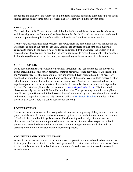proper use and display of the American flag. Students in grades seven and eight participate in social studies classes at least three hours per week. The test is first given in the seventh grade.

## <span id="page-28-0"></span>**CURRICULUM**

The curriculum of St. Thomas the Apostle School is built around the Archdiocesan Benchmarks, which are aligned to the Common Core State Standards. Textbooks and our resources are chosen in order to support the acquisition of the skills outlined in the Archdiocesan Benchmarks.

Technology, textbooks and other resources are *rented* from the school and the fee is included in the Materials Fee paid at the start of each year. Students are expected to take care of all materials entrusted to them. In the event a book or device is damaged, lost or defaced, the student will be assessed a fee. That fee will be based on the cost to replace or to repair the material. If the supply is lost or damaged beyond repair, the family is expected to pay the entire cost of replacement*.*

## <span id="page-28-1"></span>**SCHOOL SUPPLIES**

Many school supplies are provided by the school throughout the year and the fee for the various items, including materials for art projects, computer projects, science activities, etc., is included in the Materials Fee. Not all classroom materials are provided. Each student has a list of necessary supplies that should be provided from home. At the end of the school year, students receive a list of school supplies they will need for the following school year. Students are expected to have these supplies replenished as the need arises. Parents should carefully choose the items as designated on the list. The list of supplies is also posted online at [www.stapostleschool.com](http://www.stapostleschool.com). The individual classroom supply list can be fulfilled with an online order. The opportunity to purchase supplies is coordinated by the Home and School Association and announced by the school through the website and emails. Supply kit orders are only accepted online at [EPI School Supplies.](https://www.educationalproducts.com/shoppacks/) Families will be given an STA code. There is a stated deadline for ordering.

## <span id="page-28-2"></span>**LOCKERS/DESKS**

School desks and/or lockers will be assigned to students at the beginning of the year and remain the property of the school. School authorities have a right and a responsibility to examine the contents of desks, lockers, and book bags for reasons of health, safety and security. Students are not to change desks or lockers without permission from the teacher. Students show respect for school property and keep the desks and lockers in good repair. Damages to desks and lockers will be assessed to the family of the student who abused the property.

## <span id="page-28-3"></span>**COMPUTERS AND INTERNET USAGE**

Access to the school devices and the school network is given to students who attend our school, for their responsible use. Often the teachers will guide and direct students to retrieve information from the internet for research. At school, students are only allowed to access sites in order to complete an assignment.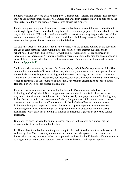Students will have access to desktop computers, Chromebooks, laptops, and tablets. This property must be used appropriately and safely. Damages that arise from careless use will be paid for by the student (or paid for by the student's parents) who abused the property.

Fourth through eighth grade students will receive a school email account that will enable them to use Google Apps. This account should only be used for academic purposes. Students should do this only to interact with STA teachers and other middle school students. Any inappropriate use of this account could result in loss of their account or additional disciplinary measures. Students should never use their personal email accounts on school devices.

All students, teachers, and staff are required to comply with the policies outlined by the school for the use of computers and tablets within the school and use of the internet in school and in school-related activities. The computer network and internet use policies are outlined in an Acceptable Use Agreement. All students and their parents are required to sign the agreement and a copy of the agreement is kept on file for the calendar year. Another copy of these guidelines can be found in **Appendix C.**

Student websites referencing the name *St. Thomas the Apostle School* or any member of the STA community should reflect Christian values. Any derogatory comments or pictures, personal attacks, rude or inflammatory language or postings on the internet (including, but not limited to Facebook, Twitter, etc.) will result in disciplinary consequences. Conduct, whether inside or outside the school, which is detrimental to the reputation of the school, can result in discipline. (See section in this Handbook on Discipline for further explanation)

Parents/guardians are primarily responsible for the student's appropriate and ethical use of technology *outside of* school. Some inappropriate use of technology outside of school, however, may subject the student to disciplinary action. Action-worthy inappropriate use of technology may include but is not limited to: harassment of others, derogatory use of the school name, remarks directed to or about teachers, staff, and students. It also includes offensive communications including videos/photographs and threats. Students who appear in photos or send messages conducting themselves in rude, vulgar, or inappropriate manner or gestures and are wearing identifiable school uniforms depicting St. Thomas in a negative light will be subject to serious discipline.

Unauthorized costs incurred for online purchases charged to the school by a student are the responsibility of the student and her/his family.

Per Illinois law, the school may not request or require the student to share content in the course of an investigation. The school may not require a student to provide a password or other account information, but may require a student to cooperate in an investigation if there is sufficient evidence to suggest the student's social network account violates the school's disciplinary policy.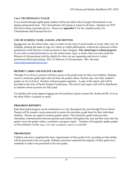#### <span id="page-30-0"></span>**1-to-1 TECHNOLOGY USAGE**

Every fourth through eighth grade student will be provided with a Google Chromebook to use during instructional time. The Chromebook will remain at school at all times. Students are NOT allowed to bring a personal device. Please see **Appendix C** for the complete policy for Chromebooks and Personal Devices.

## <span id="page-30-1"></span>**USE OF SCHOOL NAME, LOGOS, AND MOTTOS**

No one may use the school name, logo or motto on any type of social media or in any other way, for example, printing the name or logo on t-shirts or within publications, without the expressed written permission of the Director of Advancement or their designee. **The school logo is school property.** If you want or need permission to use the school name, logo, or motto, then you must email the Director of Advancement with the details for what you are requesting and receive written permission before proceeding. 2021-22 Director of Advancement - Mrs. Howard, [mhoward@stapostleschool.com](mailto:mhoward@stapostleschool.com).

## <span id="page-30-2"></span>**REPORT CARDS AND ONLINE GRADES**

Through *PowerSchool*, parents will have access to the grade book for their own children. Students receive a trimester grade report derived from the grades online. Parents may view their student's grades on *PowerSchool.* Teachers will post grades regularly. A copy of the report card will be provided at the time of Parent Teacher Conferences. The end of year report card will be distributed to students whose accounts are fully paid.

For families that need support logging into PowerSchool, please contact Ms. Keith and Ms. Irvin in the Main Office via phone or email.

## <span id="page-30-3"></span>**PROGRESS REPORTS**

Individual pupil progress can be monitored *every day* throughout the year through Power School Parents will be issued a secure password to assess the electronic grade book for their individual children. Parents are urged to monitor grades online. This electronic grade book provides immediate communication between parents and teachers throughout the year and thus each time the parent views the grades online, constitutes a progress report. Teachers will regularly update grades on PowerSchool. In this way, *every day a progress report is available.*

## <span id="page-30-4"></span>**PROMOTION**

Children who have completed the basic requirements of their grade level, according to their ability, will be promoted to the next grade. Students must have mastered the majority of their grade level standards in order to be promoted to the next grade.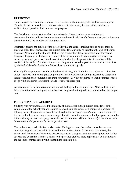#### <span id="page-31-0"></span>**RETENTION**

Sometimes it is advisable for a student to be retained at the present grade level for another year. This should not be considered a punitive action, but rather a way to ensure that a student is sufficiently prepared for further academic progress.

The decision to retain a student shall be made only if there is adequate evaluation and documentation that indicate that the student would most likely benefit from another year in the same grade to achieve the standards of that grade level.

Ordinarily parents are notified of the possibility that the child is making little or no progress in grasping grade level standards at the current grade level, usually no later than the end of the first trimester (November). If a student's lack of improvement continues past the end of the second trimester, the school will advise the parents of the appropriate interventions that are needed to ensure growth and progress. Families of students who face the possibility of retention will be notified of this at their March conference and be given measurable goals for the student to achieve by the end of the school year in order to advance to the next grade.

If no significant progress is achieved by the end of May, it is likely that the student will likely be either (1) placed in the next grade on probation for six weeks after having successfully completed summer school or a comparable program of tutoring; (2) will be required to attend summer school; or (3) will be required to repeat the grade level for another year.

A statement of the school recommendation will be kept in the students' file. New students who have been retained at their previous school will be placed in the grade level indicated on their report card.

## <span id="page-31-1"></span>**PROBATIONARY PLACEMENT**

Students who have not mastered the majority of the material in their current grade level at the completion of the school year are required to attend summer school or a comparable program of tutoring during the summer in order to be placed in the next year *on probation.* Upon the start of the next school year, we may require receipt of a letter from the summer school program or from the tutor outlining the work and progress made over the summer. *Without that receipt, the student will be retained in the grade level from the previous year.*

The probationary period is four to six weeks. During that time, the student must demonstrate adequate progress and the skills to succeed in the current grade. At the end of six weeks, the parents and the teacher will meet to discuss the student's progress and any prescriptions for further success and determine whether a return to the previous grade is more appropriate. A statement of the school recommendation will be kept in the student's file.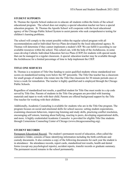## <span id="page-32-0"></span>**STUDENT SUPPORTS**

St. Thomas the Apostle School endeavors to educate all students within the limits of the school educational program. The school does not employ a special education teacher nor have a special education program. St. Thomas the Apostle School will cooperate with the local educational agency of the Chicago Public School System to assist parents who seek comprehensive testing for children's learning problems.

The school will comply to the extent possible within the regular school program with all recommendations and/or Individual Service Plans developed by the local educational agency. St. Thomas will determine if they cannot implement a student's IEP. We can fulfill it according to our available resources within the school. This school can, with the help of the Archdiocese, in some cases develop Catholic Individual Education Service Plans (CIEP) for students with special needs that can be managed in a regular classroom. A special education teacher may be available through the Archdiocese for a limited percentage of time to help implement the CIEP.

## <span id="page-32-1"></span>**TITLE ONE SERVICES**

St. Thomas is a recipient of Title One funding to assist qualified students whose standardized test scores on standardized testing were below the 50<sup>th</sup> percentile. The Title One teacher has a classroom for small groups of students who rotate into the Title One classroom for 30 minute periods once or twice a week for remediation. The teacher is highly qualified and is employed through the Chicago Public Schools.

Regardless of standardized test results, a qualified student for Title One must reside in a zip code served by Title One. Parents of students in the Title One program are provided with learning materials and input to work with their child. Parents are offered background support by the Title One teacher for working with their children.

Additionally, Academic Counseling is available for students who are in the Title One program. The program focuses on social and emotional skills for school success: setting student expectations, examining classroom behaviors, improving listening and study skills, practicing conflict resolution, encouraging self esteem, learning about bullying, reacting to peers, developing organizational skills, and more. A highly credentialed Academic Counselor is provided for eligible Title One students through Cornerstone Counseling Center of Chicago (www.chicagocounseling.org).

## <span id="page-32-2"></span>**STUDENT RECORDS**

Permanent Educational Record: The student's permanent record of education, often called the cumulative folder, consists of basic identifying information including the birth certificate and custody documents. It also contains a copy of the following documents for each year the student is in attendance: the attendance records, report cards, standardized test results, health and dental forms (except any psychological reports), accident reports, transfer records or graduate summary. The permanent record remains in the school permanently.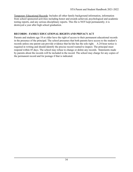Temporary Educational Records: Includes all other family background information, information from school sponsored activities including honor and awards achieved, psychological and academic testing reports, and any serious disciplinary reports. This file is NOT kept permanently; it is destroyed a year after high school graduation.

#### <span id="page-33-0"></span>**RECORDS - FAMILY EDUCATIONAL RIGHTS AND PRIVACY ACT**

Parents and students age 18 or older have the right of access to their permanent educational records in the presence of the principal. The school presumes that both parents have access to the student's records unless one parent can provide evidence that he/she has the sole right. A 24-hour notice is required in writing and should identify the precise record wanted to inspect. The principal must respond within 45 days. The school may refuse to change or delete any records. Statements made by parents about the records will be included in the record. The school may charge for any copies of the permanent record and for postage if that is indicated.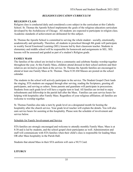### *RELIGIOUS EDUCATION CURRICULUM*

#### <span id="page-34-0"></span>**RELIGION CLASS**

Religion class is conducted daily and considered a core subject in the curriculum at this Catholic School. St. Thomas the Apostle School implements the goals of the religious education curriculum developed by the Archdiocese of Chicago. All students are expected to participate in religion class. Academic standards of achievement are delineated for this subject.

St. Thomas the Apostle School is committed to serving the whole student - socially, emotionally, academically and spiritually. Therefore, all students in preschool through 8th grade will participate in weekly Social Emotional Learning (SEL) lessons led by their classroom teacher. Students in elementary and middle school will be responsible for homework and assignments in SEL. SEL lessons will be assessed and graded as part of a student's Religion grade.

#### **FAMILY MASS**

The families of the school are invited to form a community and celebrate Sunday worship together throughout the year. At this Family Mass, children attend dressed in their school uniform and their relatives are invited to join them at the service. St. Thomas the Apostle families are encouraged to attend at least one Family Mass at St. Thomas. These 8:30 AM Masses are posted on the school calendar.

The students in the school will actively participate in the service. The Student Gospel Choir leads the singing, STA students are engaged through altar serving, reading the Scriptures, greeting all participants, and serving as ushers. Some parents and guardians will participate in processions. Students from each grade level will have a regular turn to lead. All families are invited to enjoy refreshments and fellowship in the parish hall after the Mass. Families can earn service hours for helping with hospitality after Family Mass. Regardless of your religious affiliation; all families are welcome to worship together.

St. Thomas Families also take a turn by grade level on a designated month for hosting the hospitality after the church service. Your grade level teacher will explain the details. You will also earn service hours for assisting at this hospitality. Please note the schedule of involvement and service below.

#### Schedule for Family Involvement and Service

STA families are strongly encouraged and welcome to attendly monthly Family Mass. Mass is at 8:30 and is led by students, and the school gospel choir participates as well. Administration and staff will communicate with STA families when their child's class is responsible for leading Mass OR after Mass hospitality in the Parish Hall.

Students that attend Mass in their STA uniform will earn a NUT Card.

#### **LITURGY**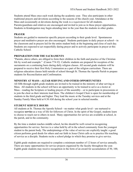Students attend Mass once each week during the academic year. They also participate in other traditional prayers and devotions according to the seasons of the church year. Attendance at the Mass and occasionally at devotions during the week is a *requirement* for all students. Parents/guardians and relatives are encouraged and invited to join us in these prayer opportunities. Students in Kindergarten may begin attending later in the year than the students in other grades.

## **PRAYER**

Students are guided to memorize specific prayers according to their grade level. Spontaneous prayer and meditative prayer are also encouraged. Students participate in daily prayer at school—in the classroom and in prayers led for the entire student body at the beginning and close of each day. Students are expected to act respectfully during prayer and to actively participate in prayer at this Catholic School.

## **PREPARATION FOR THE SACRAMENTS**

"Parents, above others, are obliged to form their children in the faith and practice of the Christian life by word and example." (Canon 774 #2) Catholic students are prepared for reception of the sacraments on a continuing basis during daily religion classes. All second grade students will be prepared to receive their first Holy Communion as a part of the religion curriculum. There are religious education classes held outside of school through St. Thomas the Apostle Parish to prepare students for Reconciliation and Confirmation.

## **MINISTRY AT MASS—ALTAR SERVING AND OTHER OPPORTUNITIES**

All fifth through eighth grade students are invited to be trained in the ministry of altar serving at Mass. All students in the school will have an opportunity to be trained to serve as a lector at Mass—reading the Scripture or leading prayers of the assembly—or to participate in processions or to join the choir as their interests lead them. The children's Gospel Choir is open for membership of students in the third grade and higher. They lead the music at the Tuesday services and at the Sunday Family Mass held at 8:30 AM during the school year in selected months.

## **STUDENT SERVICE HOURS**

All students at St. Thomas the Apostle School—no matter what grade level—are nurtured to recognize **service** as a way of life for followers of Christ. In the spirit of the Gospel, students learn to choose to reach out to others in need. Many opportunities for service are available at school, in the parish, and in the community.

By the time a student reaches middle school, he/she should be well-versed in recognizing opportunities for service. Service is a value held by all in the school community from the youngest student to the parent body. The underpinnings of the value of service are explicitly taught: a good citizen performs good deeds for others and our faith in Jesus Christ calls us to practice His teaching of service as a disciple. Students recite a school pledge in which they promise to give service.

Eighth grade students are required to complete a minimum number of 12 hours of service annually. There are many opportunities for service projects organized by the faculty throughout the year. Eighth grade students may receive recognition in the form of an award for accumulation of 50, 100,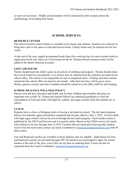or more service hours. Middle school students will be informed by their teachers about the methodology of recording their hours.

# **SCHOOL SERVICES**

#### **RESOURCE CENTER**

The school resource center/Library is available to all classes and students. Teachers are welcome to bring their class to the space to read and borrow books. Library books may be checked out for two weeks.

At the end of the year, unpaid accumulated book fines (five cents per day for each overdue book) or replacement book fees (full cost of lost book) for the St. Thomas School resource center will be added to the family financial accounts.

#### **LOST AND FOUND**

Parents should mark the child's name on all articles of clothing and property. Parents should check the Lost & Found box periodically. Lost articles may be claimed from the container provided in the school office. The school is not responsible for lost or misplaced items. Clothing and other articles turned into the school office are kept for one month. After that time they will be given away. Money, glasses, jewelry and other valuables should be turned in to the office staff for safe keeping.

#### **SCHOOL HEALTH & WELLNESS POLICY**

Parents want the best education and health care for their children and a healthy diet plays an important role in both. St. Thomas the Apostle School has embraced guidelines to limit the consumption of food and drink with high fat, sodium, and sugar content while the students are in school.

## **LUNCH**

Students have a choice of bringing lunch or buying a hot lunch at school. The hot lunch program follows the federally approved nutrition standards that became effective July 1, 2015. Food or drink with high sugar content will not be served through the hot lunch program. Each month a menu is published by the FSP Food Services and it is posted online. Based on the USDA waiver, hot lunch will continue to be free through June of 2022. Families that are interested in having their student receive free hot lunch must contact our lunch coordinator at [hotlunch@stapostleschool.com](mailto:hotlunch@stapostleschool.com) with 48 hours notice.

Free and Reduced Lunches are available to those families who are eligible. Applications for Free and Reduced Lunches are provided through FSP. All families are encouraged to apply for school lunches at the start of the year, even if they do not plan on ordering them. Forms can also be requested from the Lunch Coordinator- [hotlunch@stapostleschool.com](mailto:hotlunch@stapostleschool.com).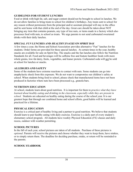### **GUIDELINES FOR STUDENT LUNCHES**

Food or drink with high fat, salt, and sugar content should not be brought to school in lunches. We do not allow families to bring treats to school for children's birthdays. Any treats sent to school for any reason without permission from the principal and/or assistant principal will stay in the office and be sent home with that child at the end of the day. Great care should be taken about NOT bringing any item that contains peanuts, any type of tree nuts, or items made in a factory which also processes food with nuts, to school as treats. We urge parents to not send carbonated sweetened drinks with their daily lunches.

## **SPECIAL** *FUN* **LUNCHES AND** *HEALTHY SNACKS* **ON SPIRIT DAY**

A few times a year, the Home and School Association provides alternative "Fun" lunches for the students. Order forms are provided for these special lunches. At certain times in the year, healthy snacks are available for sale on Spirit Day. The snacks and the fun lunches also follow the Nutrition Standards for all. Food and beverages will be caffeine free and feature healthier foods with more whole grains, low-fat dairy, fruits, vegetables, and leaner protein. Carbonated soda will not be sold at school for lunches or snacks.

### **ALLERGIES AND SAFETY**

Some of the students have extreme reactions to contact with nuts. Some students can go into anaphylactic shock from this exposure. We do not want to compromise our children's safety at school. When students bring food to school, please check that manufactured items have not been produced in factories where nuts have been processed e.g., granola bars.

#### **NUTRITION EDUCATION**

At school, students learn about good nutrition. It is important for them to *practice what they have learned about healthy eating and drinking in the classroom, especially while they are present in school*. Students are educated on healthy eating during the course of the school year. It is our greatest hope that through our combined home and school efforts, good habits will be learned and practiced for a lifetime.

#### **PHYSICAL EDUCATION**

Exercise is a critical part of healthy living and a partner to good nutrition. We believe that students should learn to pair healthy eating with daily exercise. Exercise is a daily part of every student's elementary school program. All students have weekly Physical Education (*P.E)* classes and daily recess, outdoor with weather permitting.

#### **SCHOOL PICTURES**

In the fall of each year, school pictures are taken of all students. Purchase of these pictures is *optional*. Parents will receive the pictures and choose whether they want to keep them, have retakes, or to simply return them. The deadline for deciding purchase, retake, or return will be reminded to the parents.

#### **SCHOOL YEARBOOK**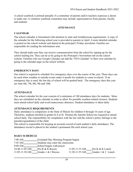A school yearbook is printed annually if a committee of parents and/or teachers expresses a desire to make one. A volunteer yearbook committee may include representatives from parents, faculty and students.

#### *ATTENDANCE*

### **CALENDAR**

The school calendar is formulated with attention to state and Archdiocesan requirements. A copy of the calendar for the following school year is provided to parents in April. A more detailed calendar is posted on the school website and shared in the principal's Friday newsletter. Families are responsible for reading the information sent.

They should make sure they can receive communication from the school by signing up for the school mailing list. They can do so by going to the Principal's Newsletters tab on the school website. Families who use Google Calendar can add the "STA Calendar" to their own calendar by going to the calendar page on the school website.

### **EMERGENCY DAYS**

Our school is required to schedule five emergency days over the course of the year. These days can be used when weather or outside events make it unsafe for students to come to school. If an emergency day is used, the last day of school will be pushed back. The emergency days this year are June 6th, 7th, 8th, 9th and 10th.

#### **ATTENDANCE**

The school calendar for the year consists of a minimum of 180 attendance days for students. More days are scheduled on the calendar in order to allow for possible weather-related closures. Students must attend school daily and avoid unnecessary absences. Student attendance is taken daily.

#### **ATTENDANCE REQUIREMENTS**

Daily attendance is compulsory in the State of Illinois for children 6 through 16 years of age. Therefore, students enrolled in grades K-8 at St. Thomas the Apostle School are required to attend school daily. The responsibility for compliance with the law and the school's policy belongs to the parent(s)/guardian(s) of the child.

The school is responsible for keeping an accurate record of each student's daily attendance. The attendance record is placed in the student's permanent file each school year.

## **DAILY SCHEDULE**

| 7:00 AM                  | <b>Extended Day Morning Program begins</b> |                  |                    |
|--------------------------|--------------------------------------------|------------------|--------------------|
| 7:45 AM                  | Students may enter the classrooms          |                  |                    |
| 8:00 AM                  | School begins with prayer                  |                  |                    |
| $10:40-11:05 \text{ AM}$ | Pre-K & K Recess                           | $11:05-11:35$ AM | Pre-K & K Lunch    |
| $11:05-11:30$ AM         | Grades 1 & 2 Recess                        | $11:30-11:55$ AM | Grades 1 & 2 Lunch |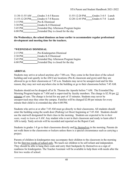| $11:30-11:55$ AM           | Grades 3-4-5 Recess                   | $11:55-12:20 \text{ PM}$   | Grades 3-4-5 Lunch |  |
|----------------------------|---------------------------------------|----------------------------|--------------------|--|
| $11:55 - 12:20 \text{ PM}$ | Grades 6-7-8 Recess                   | $12:20 - 12:45 \text{ PM}$ | Grades 6-7-8 Lunch |  |
| $3:15$ PM                  | Pre-K Dismissal                       |                            |                    |  |
| $3:30 \text{ PM}$          | Grades K-8 Dismissal                  |                            |                    |  |
| 3:45 PM                    | Extended Day Afternoon Program begins |                            |                    |  |
| $6:00$ PM                  | Extended Day is closed for the day    |                            |                    |  |

#### **On Wednesdays, the school dismisses an hour earlier to accommodate regular professional development and meeting time for the teachers.**

#### **\*WEDNESDAY DISMISSAL**

| $2:15 \text{ PM}$ | Pre-Kindergarten Dismissal            |
|-------------------|---------------------------------------|
| 2:30 PM           | Grades K-8 Dismissal                  |
| $2:45 \text{ PM}$ | Extended Day Afternoon Program begins |
| $6:00$ PM         | Extended Day is closed for the day    |

### **ARRIVAL**

Students may arrive at school anytime *after* 7:00 a.m. They come in the front door of the school building and wait quietly in the AM Care locations (Pre-K classroom and gym) until they are allowed to go to their classrooms at 7:45 a.m. Students may never be unsupervised and for this reason, they may not wait anywhere else in the building or go to their classrooms before 7:45 AM.

Students should not be dropped off at St. Thomas the Apostle before 7 AM. The Extended Day Morning Program begins at 7 AM and is supervised by faculty members. The charge is \$2.50 per 15 minutes of care. The charge is levied for any part of 15 minutes. Students may never be unsupervised once they enter the campus. Families will be charged \$2.00 per minute for every minute their child is in extended day after 6:00 PM.

Students who arrive at or after 7:45 AM must go directly to their classrooms. All students should enter the building using the south door (Parking Lot Door) beginning at 7:45 AM. Students should use the stairwell designated for their class in the morning. Students are expected to be *in their seats, ready to learn at 8 AM.* Any student who is not in their classroom and ready to learn after 8 AM is tardy. Tardy arrivals will be recorded and reported on the Report Card.

Students in grades 1-8 go to their classrooms directly and by themselves in the morning. Parents do not walk them to the classrooms or lockers unless there is a special circumstance such as carrying a project.

Parents of children in kindergarten may accompany their children to the classroom in the morning for the first two weeks of school only. We teach our children to be self-reliant and independent. They should be able to hang their coats and carry their backpacks by themselves as a sign of readiness for kindergarten. The Teacher Assistant will be available to help them with needs after the first two weeks of school.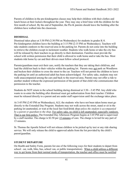Parents of children in the pre-kindergarten classes may help their children with their clothes and lunch boxes at their lockers throughout the year. They may stay a brief time with the children for the first month of school. By the end of September, the Pre-K parents should leave the building after the children have walked into the classroom.

### **DISMISSAL**

Dismissal takes place at 3:30 PM (2:30 PM on Wednesdays) for students in grades K-8. Pre-kindergarten children leave the building at 3:15 PM (2:15 PM on Wednesdays). Teachers will take students outdoors to the reserved area in the parking lot. Parents do not come into the building to retrieve the children except in inclement weather. Students who walk home or take the city bus will be released by their teachers to go directly to their destination. Families must provide the school with written permission that their child is allowed to walk home and/or take the bus. Most students ride home by car and their drivers must follow school protocol.

Parents/guardians must exit their cars, notify the teachers that they are taking their child/ren, and lead the child/ren back to their vehicles within the parking lot. Parents may not park on Woodlawn and beckon their children to cross the street to the car. Teachers will not permit the children to leave the parking lot until an authorized adult has been acknowledged. For safety sake, students may not walk unaccompanied among the cars and back to the reserved area. Parents may not offer a ride to another student without the expressed permission of the parent of that child who communicates that permission to the teacher.

Students do NOT return to the school building during dismissal at 3:30—3:45 PM. Any child who wants to re-enter the building after dismissal must get authorization from their teacher. Children must be released directly to a parent and are under staff supervision until the exchange takes place.

At 3:45 PM (2:45 PM on Wednesdays), ALL the students who have not been taken home must go directly to the Extended Day Program. Students may not walk across the street, stand or sit in the parking lot unattended, or wait at the local fast food/drink shop *unless the student is accompanied by a parent or guardian to the shop*. For safety sake, no child is left unattended, especially outdoors. That is our firm policy. The Extended Day Afternoon Program begins at 3:45 PM and is supervised by a staff member. The charge is \$2.50 per 15 minutes of care. The charge is levied for any part of 15 minutes.

St. Thomas the Apostle School will not release children to be picked up by taxi or any ride sharing service. We will only release the child to approved adults from the list provided by the child's parent/guardian.

## **STUDENT DEPARTURE**

On Health and Safety Form, parents list one of the following ways for their students to depart from school: car, walk, bike, bus, school van, or public transportation). When a child utilizes a different way to get home from their normal mode of transportation, the teacher and office must be notified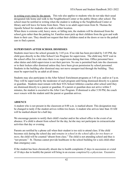in writing every time by the parent. This rule also applies to students who do not take their usual designated ride home and walk to the Neighborhood Center or the public library after school. The school must be notified in writing when the student is walking to the Neighborhood Center or library and will leave for home from there. There is no adult supervision from St. Thomas the Apostle School for students who walk to either location.

When there is extreme cold, heavy snow, or falling rain, the students will be dismissed from the school gym rather than the parking lot. Families must pick up their children from the gym and walk them to their cars. They should not request that their children stand at the doors or run to the parked cars to find a parent.

## **SUPERVISION AFTER SCHOOL DISMISSES**

Students must leave the school grounds by 3:45 p.m. If no ride has been provided by 3:45 PM, the child goes directly to the After School Care Program for supervision. The child may NOT wait in the school office for a ride since there is no supervision during that time. Office personnel have other duties and child supervision is not their purview. No one is permitted back into the classroom or to their lockers after dismissal unless they have been given permission by school personnel. Students in the building after dismissal may not move unsupervised through the building. They must be supervised by an adult at all times.

Students may also participate in the After School Enrichment programs at 3:45 p.m. and/or at 5 p.m. They will be supervised by the moderator of each program until being dismissed directly to a parent or guardian. Students must remain with their STA School Athletics coaches after school until they are dismissed directly to a parent or guardian. If a parent or guardian does not arrive within 5 minutes, the student is escorted to the After Care Program. If dismissal is after 5:50 PM, the coach *must remain* with the student until the parent or guardian arrives.

# **ABSENCE**

A student who is not present in the classroom at 8:00 a.m. is marked absent. This designation may be changed to tardy if the student arrives within two hours. A student who arrives later than 10 AM will be marked absent for a half day.

We encourage parents to notify their child's teacher and/or the school office in the event of an absence. If a child is absent from school for the day, he/she may not participate in extracurricular activities that day or evening.

Parents are notified by a phone call when their student is too sick to attend class. If the child becomes sick during the school day and *remains in school in the school office for two hours or more*, the child will be counted "absent from class." The child is not attending school and thus is "not present." St. Thomas cannot provide healthcare in the school building for a sick child other than emergency care.

If the student has been chronically absent due to health complaints (5 days in succession or a total of 10 days due to health) the parent will bring in an excuse *completed by a physician.* Excessive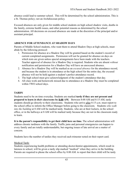absence could lead to summer school. This will be determined by the school administration. This is a St. Thomas policy; not an Archdiocesan policy.

Excused absences are only given for middle school students on high school shadow visits, deaths in the family, extreme health issues, and other potential reasons as determined by the school administration. All decisions on excused absences are made at the discretion of the principal and/or assistant principal.

## **ABSENCE FOR ATTENDANCE AT SHADOW DAYS**

Parents of Middle School students, who want them to attend Shadow Days at high schools, must abide by the following protocol:

- 1. Permission for absence at a Shadow Day will be granted based on the student's record of current completed assignments. Permission will not be granted for absence on days on which tests are given unless special arrangements have been made with the teachers. Teacher approval of absence for a Shadow Day is required. Students who are absent *without* notification and permission for a Shadow Day will have an unexcused absence.
- 2. Absence for a Shadow Day will be marked as an *excused absence* for the attendance record, and because the student is in attendance at the high school for the entire day, the excused absence will not be held against a student's perfect attendance record.
- 3. The high school must give acknowledgment of the student's attendance that day.
- 4. All class work and homework missed due to attendance at a Shadow Day must be completed within TWO school days.

## **TARDY**

Students need to be on time everyday. Students are marked **tardy if they are not present and prepared to learn** *in their classrooms* **by 8:00 AM.** Between 8:00 AM and 8:15 AM, tardy students should go directly to their classrooms. Students who arrive after 8:15 a.m. must report to the school office to inform the Office Manager before going to the classroom. Students *who walk into the building* at 8 AM will be marked tardy. Students, who are at their lockers, in the school office, or in the hallways at 8 AM will be marked tardy because they are not in the classroom ready to learn.

**It is the parent's responsibility to get their child here on time.** The school administration will address chronic tardiness with the family. Traffic jams and personal emergencies can happen to every family and are totally understandable, but ongoing issues of late arrival are a matter of concern.

Students have the number of tardies they received each trimester noted on their report card.

#### Medical Tardy

Students experiencing health problems or attending doctor/dentist appointments, which result in lateness to school, will be given a tardy slip marked "medical" when they arrive in the building. Parents are required to phone the school office by 8:00 AM. to report that their child will be tardy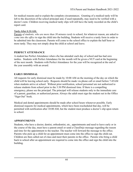for medical reasons and to explain the complete circumstances. Granting of a medical tardy will be left to the discretion of the school principal and, if used repeatedly, may need to be verified with a doctor's note. Children receiving medical tardy slips will still have the tardy recorded on the child's report card.

## Tardy After 8:30 AM.

Parents *of students, who are more than 30 minutes tardy* to school, for whatever reason, are asked to *come into the office* to sign the child into the building. Students will receive a tardy form in order to be admitted into the classroom. Parents will come to the school office to explain the half hour or more tardy. They may not simply drop the child at school and leave.

# **PERFECT ATTENDANCE**

A student has Perfect Attendance when s/he has attended each day of school and has had zero tardies. Students with Perfect Attendance for the month will be given a NUT card at the beginning of the next month. Students with Perfect Attendance for the year will be recognized at the end of the year assembly with an award.

# **EARLY DISMISSAL**

All requests for early dismissal must be made by 10:00 AM on the morning of the day on which the child will be leaving school early. Requests should be made via phone call or email before 7:45AM when students arrive at school. Without prior notification, school personnel are not authorized to release students from school prior to the 3:30 PM dismissal time. If there is a compelling emergency, please see the principal. The principal will release students only to the immediate care of a parent, guardian, or authorized person. Always the adult must sign the student out in the Office "Sign-Out" book.

Medical and dental appointments should be made after school hours whenever possible. Early dismissal requests for medical appointments, which have been rescheduled that day, will be permitted with notification after 10:00 AM, but the student must produce a doctor's slip upon return to school.

# **APPOINTMENTS**

Students, who have a doctor, dentist, orthodontist, etc., appointments and need to leave early or in the course of the day, must have a parent email or send a ClassDojo message regarding the reason and time for the appointment to the teacher. The teacher will forward the message to the office. Parents who pick up a child for an appointment must come into the office to sign the child out. Children are then called out of class and meet their parents in the office. Parents who bring a child back to school after an appointment are required to come into the office and sign the child into the building.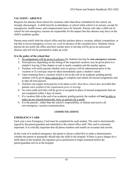## **VACATION / ABSENCE**

Requests for absence from school for vacations other than those scheduled for the school, are strongly discouraged. A child must be in attendance at school while school is in session, except for emergencies, health issues, and compassionate leave for funerals. Parents who take a child out of school for non-emergency reasons are responsible for the impact that this absence may have on the child's academic grades.

Parents must notify both the school office and the teachers about a vacation, athletic competition, or trip that is not an emergency *at least one week* in advance of the extended leave. Students whose parents do not notify the office and their teacher prior to leaving will be given an unexcused absence and will not be permitted to make up work.

#### **It is the policy of the school that**

- 1. No assignments will be given *in advance* for students leaving for *non-emergency reasons.*
- 2. Tests/quizzes, depending on the timing of the requested vacation, *may* be given prior to a student's leaving if that chapter or unit is nearly complete and the teacher agrees.
- 3. Teachers will notify parents whether tests or quizzes will be administered prior to the vacation or if a test/quiz must be taken immediately upon a student's return
- 4. Upon returning from a vacation which is not at the end of an academic grading period, students will be given three school days to complete and submit all missed assignments and to take all tests/quizzes.
- 5. Teachers can require tests/quizzes to be taken *earlier than three school days* provided that parents were *notified of the requirement prior to leaving*.
- 6. No extra credit activities will be given or accepted in place of missed assignments that are not completed within 3 days of return.
- 7. If a vacation falls at the end of an academic grading period, the student will **not** be able to make up any missed homework, tests, or quizzes for a grade.
- 8. It is the parents', rather than the school's responsibility, to initiate and receive all non-emergency vacation communication.

# *COMMUNICATIONS*

## **EMERGENCY CARD**

Each year a new Emergency Card must be completed for each student. The card is electronically signed by the parent/guardian and submitted to the school office staff. This card is extremely important. It is critically important that all phone numbers and emails are accurate and current.

In the event of a medical emergency, the parent is always called first to make a determination whether the parent or paramedic should take the child to the hospital. If there is grave danger for a child taken to the hospital, the signature gives permission to begin treatment before the parent/guardian arrives at the hospital.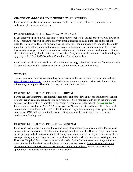## **CHANGE OF ADDRESS/PHONE NUMBER/EMAIL ADDRESS**

Parents should notify the school as soon as possible when a change of custody, address, email address, or phone number takes place.

## **PARENT NEWSLETTER -** *THE GOOD NEWS AT STA*

Every Friday the principal will send an electronic newsletter to all families called *The Good News at STA*. This newsletter will be sent to all given email addresses and also published on the school website. This newsletter is the primary way the school will communicate with families. It includes important information, news, and upcoming events in the school. All parents are expected to read this weekly message. If families do not receive the message in their email or need to receive it in an alternative form, they should notify the school office. They can also add their email to the mailing list by going to the "Principal's Newsbriefs" section of the school website.

Parents and guardians must read and inform themselves of all school messages sent from school. It is the parent's responsibility to be current on all school messages sent to the homes.

### **WEBSITE**

School events and information, including the school calendar can be found on the school website, [www.stapostleschool.com](http://www.stapostleschool.com). Families can find information on academics, extracurricular activities, tuition, ways to support STA, school news, and more on the website.

## **PARENT-TEACHER CONFERENCES — FORMAL**

Parent-Teacher Conferences are formally held at the end of the first and second trimester of school when the report cards are issued for Pre-K-8 students. It is a requirement to attend the conference twice a year. This matter is indicated in the Parent Agreement with the school. **See Appendix A.** Parent Conferences for the 2021-2022 school year are November 19th and March 4th. There will be no school for students on Parent Teacher Conference days. Parents are urged to sign up for the conferences ONLINE and in a timely manner. Students are welcome to attend the report card conference *with* the parents.

## **PARENT-TEACHER CONFERENCES — INFORMAL**

Parents and teachers are encouraged to contact each other whenever a concern arises. Please make an appointment in advance either by phone, through email, or in a ClassDojo message. In order to ensure privacy and adequate time, the teacher may schedule a conference only at a time when she is not supervising students. Do not expect to speak with a teacher when he/she is supervising students. If parents "drop by" the classroom before or after school, this does *not constitute an appointmen*t unless the teacher has the time available and students are *not* present. Parents **cannot** visit in the classroom **after 7:45 AM** when the teachers are supervising students. Parents must have an appointment in advance in order to meet with a teacher.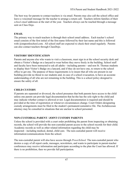The best way for parents to contact teachers is via email. Parents may also call the school office and leave a voicemail message for the teacher to arrange a return call. Teachers inform families of their *school email* addresses at the start of the year. Teachers always can be reached through a message sent on Class Dojo.

## **EMAIL**

The primary way to reach teachers is through their school email address. Each teacher's school email consists of the first initial of the first name followed by their last name and this is followed with @stapostleschool.com. All school staff are expected to check their email regularly. Parents can also contact teachers through ClassDojo.

## **VISITORS' IDENTIFICATION**

Parents and anyone else who wants to visit a classroom, must sign in at the school security desk and obtain a Visitor's Badge on a lanyard to wear before they move freely in the building. School staff and faculty have been instructed to ask all adults—including parents—and non St. Thomas students to display their Visitor's Badge on a lanyard, and if they do not have one, to return to the school office to get one. The purpose of these requirements is to insure that all who are present in our building provide no threat to our students and, in case of a school evacuation, to have an accurate understanding of all who are not remaining in the building. This is a school policy designed to ensure the safety of all.

## **CHILD CUSTODY**

If parents are separated or divorced, the school presumes that both parents have access to the child unless one parent can provide legal documentation that he/she has the sole right to the child and may indicate whether contact is allowed or not. Legal documentation is required and should be provided at the time of registration or whenever circumstances change. Court Orders designating custody arrangements must be filed in the student's permanent/cumulative file. The Archdiocesan attorney may be consulted in situations that are unclear to school personnel.

## **NON-CUSTODIAL PARENT / JOINT CUSTODY PARENTS**

Unless the school is provided with a court order prohibiting the parent from inspecting or obtaining records, the school will provide the non-custodial parent access to the school records for their child. Academic records as well as other related information regarding the child may be inspected—including medical, dental, child care. The non-custodial parent will receive information/communications from the school.

The non-custodial parent will also have access through *PowerSchool.* The non-custodial parent who desires a copy of all report cards, messages, newsletters, and wants to participate in parent-teacher conferences may receive information and participate according to the plan the Court has allowed. If there is no prohibition, then we provide full participation.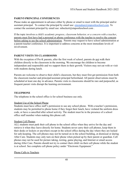## **PARENT-PRINCIPAL CONFERENCES**

Please make an appointment in advance either by phone or email to meet with the principal and/or assistant principal. To contact the principal by email use:  $\epsilon$ monahan $\omega$ stapostleschool.com. To contact the assistant principal by email use: mbeckert@stapostleschool.com.

If the topic involves a *child's academic progress, classroom behavior, or a concern with a teacher*, parents must first have had a personal or phone conference with the teacher to resolve the concern before asking to see the school administration. Parents may request to have school administration at a parent-teacher conference. It is important to address concerns at the most immediate levels of involvement.

### **PARENT VISITS TO CLASSROOMS**

With the exception of Pre-K parents, after the first week of school, parents do not walk their children directly to the classroom in the morning. We encourage the children to become independent and responsible and we support them in their growth. Visitors may not eat with or visit with students during lunch.

Parents are welcome to observe their child's classroom, but they must first get permission from both the classroom teacher and principal/assistant principal beforehand. All parent observations must be scheduled at least one day in advance. Parents visits to classrooms should be rare and purposeful, as frequent parent visits disrupt the learning environment.

#### **TELEPHONE**

The telephone in the school office is for school business use only.

#### Student Use of the School Phone

Students must have office staff's permission to use any school phone. With a teacher's permission, students may be permitted to phone home if they forgot their lunch, have violated the uniform dress code, or have a cancelled after school activity. The student must be in the presence of a school office staff member when making this phone call.

#### Student Cell Phones

ALL students must park their cell phone in the school office when they arrive for the day and retrieve it when they leave directly for home. Students never carry their cell phones, keep them in their desks or lockers or anywhere except in the school office during the day where they are locked for safe-keeping. The cell phones may not be turned on in the school building, at dismissal or during After Care. Students may only turn on their phone when picked up by their parent or guardian. Cell phones may not be used for picture taking, texting, game playing, and Internet or email access during After Care. Parents should not try to contact their child via their cell phone while the student is at school. See complete cell phone policy under "Electronic Equipment."

#### Phone Calls to Teachers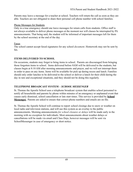Parents may leave a message for a teacher at school. Teachers will return the call as soon as they are able. Teachers are not obligated to share their personal cell phone number with school families.

#### Phone Messages for Students

Only in a true emergency should one leave messages for return calls from students. Office staff is not always available to deliver phone messages at the moment nor will classes be interrupted by PA announcements. That being said, the student will be informed of important messages left for them by the school secretary at the end of the day.

#### Faxes

The school cannot accept faxed signatures for any school *document*. Homework may not be sent by fax.

### **ITEMS DELIVERED TO SCHOOL**

On occasions, students may forget to bring items to school. Parents are discouraged from bringing those forgotten items to school. Items delivered before 8AM will be delivered to the students, but classes begin at 8:10 AM after morning announcements and prayer, and we will not interrupt them in order to pass on any items. Items will be available for pick up during recess and lunch. Families should only order lunches to be delivered to the school or deliver a lunch for their child during the day in rare and exceptional situations, and they should not be doing this regularly.

## **TELEPHONE BROADCAST SYSTEM –** *SCHOOL MESSENGER*

St. Thomas the Apostle School uses a telephone broadcast system that enables school personnel to notify all households and parents by phone within minutes of an emergency or unplanned event that causes early dismissal, school cancellation or late start times. This service is provided by **School Messenger.** Parents are asked to ensure that correct phone numbers and emails are on file.

St. Thomas the Apostle School will continue to report school closings due to snow or weather on local radio and television stations, and will use this system as an overlay to the public announcements. Morning announcements *for school closures or delays* will be made early in the morning with no exception for individuals. Most announcements about weather delays or cancellations will be made via email and Class Dojo, however messages will be sent via SchoolMessenger in case of emergency or short notice.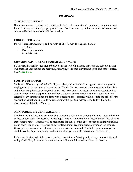## *DISCIPLINE*

## *SAFE SCHOOL* **POLICY**

Our school mission requires us to implement a faith-filled educational community, promote respect for self, others, and others' property at all times. We therefore expect that our students' conduct will be formed by and demonstrate Christian values.

### **CODE OF BEHAVIOR**

### **for ALL students, teachers, and parents at St. Thomas the Apostle School:**

- o **S**tay Safe
- o **T**ake Responsibility
- o **A**ct Christ-like

## **COMMON EXPECTATIONS FOR SHARED SPACES**

St. Thomas has matrices for proper behavior in the following shared spaces in the school building. Our shared spaces include the hallways, stairways, restrooms, playground, gym, and school office. See Appendix D.

## **POSITIVE BEHAVIOR**

Students will be recognized individually, as a class, and as a school throughout the school year for staying safe, taking responsibility, and acting Christ-like. Teachers and administrators will explain and model the guidelines during the August Teach Day and throughout the year as needed so that students know what is expected at our school. Students can be recognized with a positive office referral by any staff member. Students with a positive office referral will be sent to the office for the assistant principal or principal to be call home with a positive message. Students will also be recognized at Motivation Monday.

## **MONITORING STUDENT BEHAVIOR**

STA believes it is important to collect data on student behavior to better understand when and where particular behaviors are occurring. ClassDojo is one way our school will record the positive choices that students make. Students will be recognized for their positive choices both on an individual and group basis. Use of ClassDojo will allow for teachers to recognize students over periods of time. ClassDojo is secure and any student information will be protected. No student last names will be used. ClassDojo's privacy policy can be found at <https://www.classdojo.com/privacycenter/>

In the event that a student does not meet the expectations of staying safe, taking responsibility, and acting Christ-like, the teacher or staff member will remind the student of the expectations.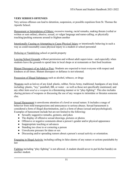### **VERY SERIOUS OFFENSES**

Very serious offenses can lead to detention, suspension, or possible expulsion from St. Thomas the Apostle School.

Harassment or Intimidation of Others: excessive teasing, racial remarks, making threats (verbal or written or sent online), abusive, sexual, or vulgar language and name-calling, or physically touching/pushing someone around to frighten another

Intentionally Causing or Attempting to Cause Physical Injury or intentionally behaving in such a way as could reasonably cause physical injury to a student or school personnel

Defacing or Vandalizing school or parish property

Leaving School Grounds without permission and without adult supervision—and especially when students leave the grounds to spend time in local shops or at restaurants or fast food locations

Blatant Disrespect of an Adult or Peer: Students are expected to treat everyone with respect and kindness at all times. Blatant disrespect or defiance is not tolerated.

Possession of Illegal Substances such as alcohol, tobacco, or drugs

Weapons such as knives of any kind: plastic, rubber, Swiss Army, traditional; handguns of any kind, including: plastic, "toy," paintball, BB, or water – as well as those not specifically mentioned; and any other item *used as a weapon* in a threatening manner or in "play-fighting". This also includes sharing pictures of weapons or discussing the use of any weapon to intimidate or threaten someone else.

Sexual Harassment is unwelcome attention of a lewd or sexual nature. It includes a range of behavior from mild transgressions and annoyances to serious abuses. Sexual harassment is considered a form of illegal discrimination, and is a form of abuse (sexual and psychological). Examples of harassment include but are not limited to the following:

- Sexually suggestive remarks, gestures, and jokes
- The display of offensive sexual drawings, pictures or photos
- Offensive or negative comments about a person's gender and/or physical appearance
- Inappropriate touching or advances
- Standing too close to or cornering a person
- Unwelcome pressure for dates or sex
- Discussing and/or spreading rumors about a person's sexual activity or orientation.

Engaging in Illegal Activity including calling in false alarms of any nature or actions punishable by law

Fighting including "play fighting" is not allowed. A student should never to put his/her hand(s) on another student.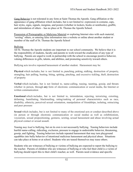Gang Behavior is not tolerated in any form at Saint Thomas the Apostle. Gang affiliation or the appearance of gang affiliation which includes, but is not limited to: expression in costume, caps, hair styles, signs, signals, insignias, and posters (whether in lockers, books or notebooks), graffiti, and intimidation of others – has no place at St. Thomas the Apostle School.

Possession of Pornographic or Malicious Material or exploring Internet sites with such material, "sexting" others, or entering false information into a website or online about another student or member of the staff of St. Thomas the Apostle School

#### Bullying

All St. Thomas the Apostle students are important to our school community. We believe that it is the responsibility of students, faculty and parents to work toward the eradication of any type of bullying. Parents are urged to work in partnership with the school to encourage positive behavior, valuing differences in gifts, talents, and abilities, and promoting sensitivity toward others.

Bullying acts involve repeated harassment of another student. Harassment may be:

**Physical** which includes, but is not limited to, punching, poking, stalking, destruction of property, strangling, hair pulling, beating, biting, spitting, pinching, and excessive tickling, theft, destruction of property

**Verbal** which includes, but is not limited to, name-calling, teasing, taunting, gossip, and threats whether in person, through **any** form of electronic communication or social media, the Internet or written communication

**Emotional** which includes, but is not limited to, intimidation, rejecting, terrorizing, extorting, defaming, humiliating, blackmailing, rating/ranking of personal characteristics such as race, disability, ethnicity, perceived sexual orientation, manipulation of friendships, isolating, ostracizing and peer pressure

**Sexual** which includes, but is not limited to many of the emotional acts or conduct described above (in person or through electronic communication or social media) as well as exhibitionism, voyeurism, sexual propositioning, gestures, sexting, sexual harassment and abuse involving actual physical contact or sexual assault.

Teasing *may lead to* bullying, but on its own is not necessarily bullying. Teasing behaviors include hurtful name-calling, ridiculing, exclusion, pressure to engage in undesirable behavior, threatening, gossip, and fighting. Teasing behaviors include repeated harassment that may turn playground squabbles into bully behavior of intentional malicious harassment and physical abuse. Situations can take place at home or at school. Students who are teased themselves may tease others.

Students who are witnesses of bullying or victims of bullying are expected to report the bullying to the teacher. Parents of children who are witnesses of bullying or who feel their child is a victim of bullying should report this to their child's teacher, as well. Parents need evidence and specific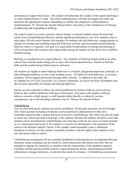information to support their claim. The teacher will determine the validity of this report and bring it to school administration, if valid. The school administration will then investigate the claim and determine the appropriate response depending on whether the allegation is substantiated or unsubstantiated. St. Thomas the Apostle School follows the policy of the Archdiocese of Chicago in addressing and responding to bullying.

The school's goal is to create a positive school climate, to educate students about the harm that results from teasing/bullying behaviors and the significant participative role of by-standers when it takes place. We also teach students the strategies for dealing with such behaviors, engage parents as partners in teaching and modeling respectful behaviors at home, and to promptly punish bullying behavior when it is reported. Our goal is to teach skills for prevention of teasing and bullying as well as to promote self-resilience and coping skills among all students so they know how to deflect harmful teasing.

Bullying is considered to be a major behavior. Any incidents of bullying should result in an office referral form and the student being sent to meet with school administration. Parents of both the bully and the student being bullied must be informed.

All students are taught to report bullying behaviors to a teacher, playground supervisor, principal, or other delegated authority as soon as the incident occurs. All reports of such behaviors, even minor incidents, will be logged and tracked through office referrals. In addition to the bully, the by-standers are *also held responsible*. As a school community, we all are involved. Bystanders may also be held responsible for teasing and bullying behaviors.

Parents are also expected to follow the school guidelines for positive behavior and avoid any behavior that could be defined as bullying or harassment. Any parent who displays bullying behavior towards a child, parent, or staff member either directly or indirectly can face consequences, up to and including expulsion from St. Thomas the Apostle School.

#### **Cyberbullying**

Acts of cyber bullying by students are strictly prohibited. All personal electronic devices brought onto school grounds including cell phones can be searched by administrators if they have reasonable suspicion that a student has been involved in cyberbullying. The school also has the right to search any school-provided technology of the students. Parents and students should be aware that students can be disciplined for cyberbullying even when the events do not occur on school grounds or at a school sponsored event if: the conduct is viewed to be detrimental to the reputation of the school or the Roman Catholic Church; if the conduct could reasonably cause a substantial disruption at school; or if the conduct reasonably interferes with the rights of the students to feel safe and secure while at school.

Cyberbullying encompasses all acts currently prohibited as bullying that are accomplished through electronic means including, but not limited to, direct harassment and indirect activities that are intended to damage the reputation or interfere with the relationships of the student(s) targeted. Examples include posting harmful material, impersonating the person, disseminating personal information or images (pictures), or activities that result in exclusion. Cyberbullying encompasses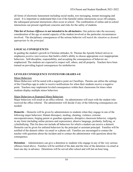all forms of electronic harassment including social media, text messaging, instant messaging and email. It is important to understand that even if the harmful online interactions occur off-campus, the subsequent personal interactions often occur at school. The combination of online and in-school interactions can present significant concerns and risks for the safety of students.

**This list of** *Serious Offenses* **is not intended to be all-inclusive**. Our policies take the necessary consideration of the age or mental capacity of the student involved or the particular circumstances involved. The disciplinary consequences of the serious behavior *will match the situation as deemed appropriate by the principal*.

## **LOGICAL CONSEQUENCES**

In guiding the student's growth in Christian attitudes, St. Thomas the Apostle School strives to emphasize *positive interventions* that build a child's ability to choose appropriate over inappropriate behaviors. Self-discipline, responsibility, and accepting the consequences of behavior are emphasized. The students are expected to respect self, others, and all property. Teachers have been trained on providing logical consequences for misbehavior.

## **LEVELED CONSEQUENCE SYSTEM FOR GRADES 4-8**

#### Minor Behaviors

Minor Behaviors will be noted with a negative point on ClassDojo. Parents can utilize the settings of the ClassDojo app in order to receive notifications for when their students receive a negative point. Teachers may implement leveled consequences within their classrooms for times when students display multiple minor behaviors.

#### Major Behaviors or Repeated Minor Behaviors

Major behaviors will result in an office referral. An administrator will meet with the student who received the office referral. The administrator will decide if any of the following consequences are needed:

**Demerits** – Demerits will be given by administrators to students when they engage in one of the following major behaviors: blatant disrespect, stealing, cheating, violence, extreme uncooperativeness, forging parent or guardian signatures, disruptive classroom behavior, vulgarity in any form (including online pictures and expressions), abusive language, profanity, bullying, or cyberbullying. This list does not include all behaviors for which a student can receive a demerit. Demerits can be given for unlisted behaviors by the principal or assistant principal. Families will be notified of the demerit either via email or a phone call. Families are encouraged to contact the teacher with questions about the incident and to contact the administrator with questions about the consequence.

**Detention** – Administrators can give a detention to students who engage in any of the very serious offenses listed above. Families will be notified of the date and the time of the detention via email at least one day in advance. Detentions will be served after school and will last an hour long.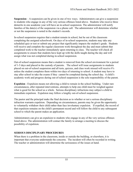**Suspension** – A suspension can be given in one of two ways. Administrators can give a suspension to students who engage in any of the very serious offenses listed above. Students who receive three demerits in one academic year will have an in-school suspension. The administrator will notify families of the date(s) of the suspension via a phone call. The administrator will determine whether or not the suspension is noted in the student's records.

In-school suspension requires that a student remain in school, but be out of the classroom completing the assigned schoolwork. On days of in-school suspension, students may take any scheduled quiz or test or submit any project that significantly impacts the student's grade. Students will receive and complete the regular classroom work throughout the day and must submit that completed work to the teacher immediately upon returning to class. The teacher will check all assignments to ensure that students have kept up with the skills taught during the day and will assign what was not completed during in-school suspension.

Out-of-school suspension means that a student is removed from the school environment for a period of 1-5 days and placed in the custody of parents. The school will issue assignments to students placed on out-of-school suspension and all tests, quizzes, and class work missed will receive 0's unless the student completes them within two days of returning to school. A student may have to stay after school to take the exams if they cannot be completed during the school day. A child's academic work and progress during out-of-school suspension is the sole responsibility of the parent.

**Expulsion** - Expulsion means not allowing a child to remain in the school building. Under rare circumstances, after repeated interventions, attempts to help one child must be weighed against what is good for the school as a whole. Serious disciplinary infractions may subject a child to immediate expulsion. Expulsion may follow a lengthy out-of-school suspension.

The pastor and the principal make the final decision as to whether or not a serious disciplinary infraction warrants expulsion. Depending on circumstances, parents may be given the opportunity to voluntarily withdraw their child rather than face involuntary expulsion. If expelled, the record of that expulsion remains on the child's permanent record and will follow the child to any subsequent school to which the parent makes an application.

Administrators can give an expulsion to students who engage in any of the very serious offenses listed above. The administration will contact the family to arrange a meeting to discuss the possibility of expulsion.

## **SERIOUS DISCIPLINARY PROCEDURES**

When there is a problem in the classroom, inside or outside the building, or elsewhere, it is important that everyone understands the concerns. The incident will often be recorded in writing. The teacher or administration will determine the seriousness of the issues at hand.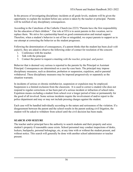In the process of investigating disciplinary incidents at all grade levels, students will be given the opportunity to explain the incident before any action is taken by the teacher or principal. Parents will be notified of any disciplinary consequences.

According to the Catechism of the Catholic Church (no.2223) "Parents have the first responsibility for the education of their children." Our role at STA is to assist parents in this vocation, not to replace them. We strive for a partnership based on good communication and mutual support. Therefore, when a student's behavior is out of line or misguided, we expect parents to support us in our attempt at correcting the behavior as the student progresses.

Following the determination of consequences, if a parent thinks that the student has been *dealt with unfairly*, they are asked to observe the following order of contact for resolution of the concern:

- 1. Conference with the teacher.
- 2. Talk with the principal.
- 3. Contact the pastor to request a meeting *with the teacher, principal, and pastor*.

Behavior that is deemed very serious is reported to the parents by the Principal or Assistant Principal. Consequences are determined on a case-by-case basis. The principal may impose disciplinary measures, such as detention, probation or suspension, expulsion, and/or parental withdrawal. These disciplinary measures may be imposed progressively or separately as the situation warrants.

In incidents of serious or chronic misbehavior, suspension or expulsion may be employed. Suspension is a limited exclusion from the classroom. It is used to correct a student who does not respond to regular corrections or has been part of a serious incident or infraction of school rules. Expulsion means excluding a student from school over a longer period of time or permanently for the good of all involved. Some serious incidents require the involvement of and/or report to the police department and may or may not include pressing charges against the student.

Each case will be handled individually according to the nature and seriousness of the violation. If a disagreement between the parent and the school results in the parent seeking civil litigation, the student will be asked to withdraw from school until the civil decision has been made.

#### **SEARCH AND SEIZURE**

The teacher and/or principal have the authority to search students and their property and seize student's property if reasonable cause exists. School personnel may conduct inspections of desks, lockers, backpacks, personal belongings, etc, at any time with or without the student present, and without notice. This search will generally be done with another school administrator or teacher present.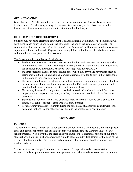### **GUM AND CANDY**

Gum chewing is NEVER permitted anywhere on the school premises. Ordinarily, eating candy treats is limited. Teachers may arrange for class treats occasionally in the classroom or in the lunchroom. Students are never permitted to eat in the school hallways.

## **ELECTRONIC/OTHER EQUIPMENT**

Students may not bring electronic equipment to school. Students with unauthorized equipment will have those things removed and kept in the office until the end of the school day or longer. The equipment will be returned *directly to the parents—not to the student*. If a phone or other electronic equipment is found in the student's possession during defined school hours after the first incident and reminder, a consequence will be assessed.

The following policy applies to all cell phones:

- Students must turn them off when they are on school grounds between the time they arrive in the morning and 3:30 p.m. *when they leave the grounds with their rides*. If a student stays for Extended Day, the phone is retrieved *when they leave Extended Day*.
- Students check the phones in at the school office when they arrive and never keep them on their person, in their locker, backpack, or desk. Students who fail to turn in their cell phone in the morning may receive a demerit.
- Phones may not be used for taking pictures, text messaging, or game playing after school as the student waits for a ride. They may not be used at Extended Day since phones are not permitted to be retrieved from the office until students leave.
- Phones may be turned on only after school is dismissed and students have left the school property in the company of an adult; or if they have received permission from the school personnel.
- Students may not carry them along on school trips. If there is a need to use a phone, the student will contact his/her teacher who will carry a phone.
- For emergency messages to parents during the school day, students will consult with school personnel first and use the school office phone in the presence of a staff member.

## *DRESS CODE*

#### **PURPOSE**

The school dress code is important to our parochial school. We have developed a standard of proper dress and general appearance for our students that will demonstrate the Christian values of our school program. We believe that the dress code will enhance the educational purpose of our entire student body. Families must cooperate with it and to set aside individual desires for the good of the overall school community. The clothing and appearance of all students should be appropriate, modest, and neat.

School uniforms are designed to remove the pressure of competition and economic status for students. Uniforms permit a neat, consistent appearance and allow students to concentrate on their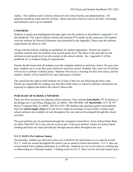studies. The uniform code is strictly enforced by the school faculty and administration. All uniforms should be clean and free of holes. Shoes and socks must be worn at all times. Grooming and hairstyles meet a given standard.

### **UNIFORMS**

Students in grades pre-kindergarten through eight wear the uniform as described in **Appendix E** of this handbook. The school uniform features the stylized STA initials on the outerwear. All students wear the uniform for Physical Education class described in the Appendix. Please note the uniform requirements for shoes as well.

Along with the uniform clothing are guidelines for student appearance. Parents are urged to carefully read the rules for uniform wear at each grade level. The Dress Code and rules for the uniforms at each grade level are also posted on the school website. See **Appendix E** of this handbook for a complete listing of requirements.

Parents should ensure that all students wear the complete uniform to and from school. On gym class days, students are to wear their gym uniform to and from school. Students who come out of uniform will receive a uniform violation notice. Students will receive a warning for their first notice, and the student's family will be fined \$20 for each subsequent violation.

The school has the right to hold students out of class if they are not following the dress code. Parents are responsible for making sure that their child comes to school in uniform, and parents are expected to support and enforce the school's dress code.

## **PURCHASE OF SCHOOL UNIFORMS**

There are three resources for ordering school uniforms. They include *Schoolbelles* 79<sup>th</sup> & Harlem at the Bridgeview Court Plaza, Bridgeview, IL 60455; 708-598-8008. OR **MartiNelli's** 3517 W. 95th Street, Evergreen Park, IL 60805; 708-425-6287. OR families may purchase gently used uniforms from the **school supply closet** at \$5 per item or make an exchange of used clothes. Gently-used school uniforms are available for sale throughout the year and can be arranged through the school secretary.

The gym uniform may be purchased through the companies listed above. Some School Spirit Wear tee shirts \*but NOT ALL) may also be worn as part of the gym uniform. Orders for School Spirit clothing and items are made periodically through special orders throughout the year.

## **N.U.T. DAYS (No Uniform Today)**

Occasionally, students are allowed to dress out of uniform for special days or as a special reward. N.U.T. cards are earned throughout the school year as stated in school newsletters. N.U.T. days are not permitted when students participate in a field trip. Students are not to ever dress in clothing that is unbecoming to a Christian student. Clothing worn for N.U.T. Days is to be neat and modest and a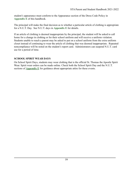student's appearance must conform to the Appearance section of the Dress Code Policy in **Appendix E** of this handbook.

The principal will make the final decision as to whether a particular article of clothing is appropriate for a N.U.T. Day. See N.U.T. days in **Appendix E** for details.

If an article of clothing is deemed inappropriate by the principal, the student will be asked to call home for a change in clothing or for their school uniform and will receive a uniform violation. Students unable to reach a parent may be asked to put on a school uniform from the extra uniform closet instead of continuing to wear the article of clothing that was deemed inappropriate. Repeated noncompliance will be noted on the student's report card. Administrators can suspend N.U.T. card use for a period of time.

#### **SCHOOL SPIRIT WEAR DAYS**

On School Spirit Days, students may wear clothing that is the official St. Thomas the Apostle Spirit Wear. Spirit wear orders can be made online. Check both the School Spirit Day and the N.U.T. sections of **Appendix E** for guidance about appropriate attire for these events.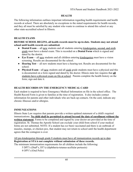### **HEALTH**

The following information outlines important information regarding health requirements and health records at school. There are absolutely no exceptions to the stated requirements for health records, and they all must be satisfied by any student who wants to continue to attend this school or any other state-accredited school in Illinois.

### **HEALTH EXAMS**

**BEFORE SCHOOL BEGINS, all health records must be up-to-date. Students may not attend school until health records are submitted.**

- **● Dental Exam** all new students and all students entering kindergarten, second, and sixth grade must have a dental exam. This is recorded on a **Dental Form** which is signed and dated by the dentist.
- **Eye Exam** all new students and all children entering kindergarten must have a vision screening. Results are documented for the school.
- **Hearing Test** all new students must have a hearing test. Results are documented for the school.
- **Physical Exam—all new** students and all sixth grade students must have a physical and this is documented on a form signed and dated by the doctor. Illinois state law requires that **all** students have a physical exam on file at school. Parents complete the health history on the form; sign and date it.

#### **HEALTH RECORDS ON THE EMERGENCY MEDICAL CARD**

Each student is required to have Emergency Medical Information on file in the school office. The Health Record Form is given to families at the time of registration. It also includes contact information for parents and other individuals who are back-up contacts. On the card, indicate any chronic illnesses and/or allergies.

## **IMMUNIZATIONS**

Illinois State Law requires that parents provide a written updated statement of a child's required immunizations. **No child shall be permitted to attend beyond the date of enrollment without the written statement**. Forms to be completed and signed by your doctor are provided at the time of registration. St. Thomas the Apostle School can exclude your child from school if your medical forms are not submitted. NOTE: If a student has *not* been vaccinated and there is an outbreak of measles, mumps, or chicken pox, that student may not return to school until the health department agrees that the contagion is over.

All pre-kindergarten through grade 8 students must have all immunization records up to date. **Registration at STA is not complete without submission of these records.** The minimum immunization requirements for all children include the following:

5 DPT's (DtaP's, DT's) (diphtheria-tetanus-acellular pertussis)

4 OPV's (Oral Polio)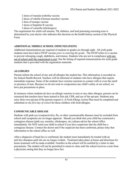2 doses of measles (rubella) vaccine

- 2 doses of rubella (German measles) vaccine
- 2 dose of mumps vaccine
- 3 doses of hepatitis B vaccine
- 2 doses of varicella (chickenpox)

The requirement for sickle cell anemia, TB, diabetes, and lead poisoning screening tests is determined by your doctor who indicates this decision on the health history section of the Physical Form.

## **ADDITIONAL MIDDLE SCHOOL IMMUNIZATIONS**

Additional immunizations are required of students in grades six through eight. All sixth grade students must have had a DTAP vaccine *prior to entering the grade*. The DTAP refers to a vaccine to prevent whooping cough, diphtheria, and tetanus. Students who are not in compliance will stay out of school until the requirement is met. See the listing of required immunizations for sixth grade students that is provided with the registration materials.

## **ALLERGIES**

Parents inform the school of any and all allergies the student has. This information is recorded on the School Health Record. Teachers will be informed of students who have allergies that require immediate response. Some of the students have extreme reactions to contact with or even the smell or presence of nuts. Because we do not want to compromise any child's safety at our school, we have put precautions in place.

In instances where students do have an allergic reaction to nuts or any other allergen, parents can be reassured that teachers have been trained in first aid, CPR, and use of the epi-pen. Students may carry their own epi-pen if the parents request it. A Food Allergy Action Plan must be completed and submitted *on the first day of school* for those children with food allergies.

## **COMMUNICABLE DISEASE**

Students with pink eye (conjunctivitis), flu, or other communicable diseases must be excluded from school until symptoms are no longer apparent. Should you think that your child has contracted a contagious disease (pink eye, measles, chickenpox, etc.) please advise the school office immediately. Do NOT send your child to school if you have suspicions that the child has a contagious disease. Contact the doctor and if the suspicion has been confirmed, please relay that information to the school office as well.

After a diagnosis of head lice is confirmed, the student must immediately be treated with an anti-lice shampoo until nits are no longer evident. Treatment takes place at home and directions for home treatment will be made available. Families in the school will be notified by a letter to take precautions. The student will not be permitted to return to class until the school receives a note from a physician stating that they no longer have lice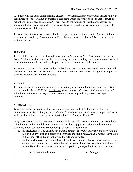A student who has other communicable diseases (for example, ringworm or strep throat) cannot be readmitted to school without a physician's certificate which states that he/she is able to return to school and is no longer contagious. A letter is sent to the families of that student's classroom indicating that someone in the class contracted the communicable disease and warns parents of symptoms for which to watch.

If a student contracts measles, no textbooks or papers may be sent home until after the child returns to school. At that time, all assignments will be given and sufficient time will be arranged for the make-up of work.

## **ILLNESS**

If your child is sick or has an elevated temperature *before leaving for school*, keep your child at home. Students must be fever free before returning to school. Sending children who do not feel well to school does not help the student, the parents, or the other students at the school.

In the event of illness of a student while at school, the parent or other designated person indicated on the Emergency Medical Form will be telephoned. Parents should make arrangements to pick up their child who is sick *in a timely manner*.

## **FEVERS**

If a student is sent home with an elevated temperature, he/she should remain at home until his/her temperature has been NORMAL for 24 hours *from the time of dismissal.* Students who have left school with a temperature may not return to school to participate in any after-school sports activities.

# **MEDICATION**

Generally, school personnel will not maintain or supervise students' taking medications or administer medications. Only in *extraordinary circumstances* may medication be supervised by the staff—asthma inhalers, epi-pen, or medication for ADHD such as Ritalin<sup>™</sup>

Only those medications that are necessary to maintain the child in school and must be given during school hours shall be administered. Students with asthma, epipen, or diabetes medication may self-carry and/or self-administer upon receipt of necessary documents.

- 1. No medication will be given to any student *without the written consent of the physician and parent*. The physician and parent will complete and sign a *medication form* that is available in the school office. No exceptions to this rule are permitted.
- 2. For those who have a medication form, the following applies. Medications prescribed for a student must come in the original container/package with the pharmacy label and student's name affixed. The medication must be accompanied by a signed note and must include:
	- Name of medication Dosage
-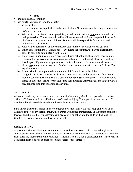- Time
- Indicated health condition
- Complete instructions for administration of the medication.
	- 3. All medications are kept locked in the school office. No student is to have any medication in his/her possession.
	- 4. With written permission from a physician, a student with asthma *may* keep an inhaler in their possession. The student will self-medicate as needed, and may keep the inhaler with him/her and away from other children. Students will be responsible for cleaning and maintaining their inhaler.
	- 5. With written permission of the parents, the student may carry his/her own epi-pen.
	- 6. If non-prescription medication is necessary during school time, the parent/guardian must come to school to administer it to the child.
	- 7. If non-prescription medication is necessary during school time, the parent/guardian must complete the necessary *medication form* with the doctor so the student can self-medicate.
	- 8. It is the parent/guardian's responsibility to notify the school if medication orders change.
	- 9. Under no circumstances may the *school personnel* administer pain relievers (Tylenol™ or aspirin) to students.
	- 10. Parents should never put medication in the child's lunch box or book bag.
	- 11. Cough drops, throat lozenges, aspirin, etc., constitute medication at school. If the doctor requires such medication during the day, a *medication form* is required. The medication is stored in the school office for the student to self-medicate. Alternatively, the student would stay at home until this condition is alleviated.

# **ACCIDENTS**

All accidents during the school day or at a co-curricular activity should be reported to the school office staff. Parents will be notified in case of a serious injury. The supervising teacher or staff member who witnessed the accident will complete an accident report.

State law regulates that minor injuries be treated by school staff with only soap and water and a bandage. If there is any serious injury, the parents are notified immediately. If the parent cannot be located, and if immediately necessary, paramedics will be called and the child will be taken to Children's Hospital accompanied by the principal.

# **CONCUSSIONS**

Any student who exhibits signs, symptoms, or behaviors consistent with a concussion (loss of consciousness, headache, dizziness, confusion, or balance problems) shall be immediately removed from class and their parent will be notified. Students who have had a concussion must have written permission from a doctor in order to return for after school athletics.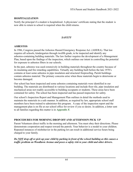## **HOSPITALIZATION**

Notify the principal if a student is hospitalized. A physicians' certificate stating that the student is now able to return to school is required when the child returns.

## *SAFETY*

### **ASBESTOS**

In 1986, Congress passed the Asbestos Hazard Emergency Response Act. (AHERA). That law requires all schools, kindergarten through twelfth grade, to be inspected and identify any asbestos-containing building materials. The law further requires the development of a Management Plan, based upon the findings of the inspection, which outlines our intent in controlling the potential for exposure to asbestos fibers in our schools.

In the past, asbestos was used extensively in building materials throughout the country because of its insulating and fire retarding capabilities. Virtually any building built before the late 1970's contains at least some asbestos in pipe insulation and structural fireproofing. Parish buildings contain asbestos material. The primary concerns arise when these materials begin to deteriorate or become damaged.

Our school has been inspected and some asbestos containing materials were identified in our building. The materials are distributed in various locations and include floor tile, pipe insulation and mechanical areas not readily accessible to building occupants or students. These areas have been contained for safety. The school has been inspected and has passed inspection for safety.

Our school's Inspection Report and Management Plan outlines in detail the methods used to maintain the materials in a safe manner. In addition, as required by law, appropriate school staff members have been trained to administer this program. A copy of the inspection report and the management plan is on file at our school office for review if you so desire. In addition, a letter sent to all families regarding this matter is in **Appendix F.**

# **PROCEDURES FOR MORNING DROP OFF AND AFTERNOON PICK UP**

Parent Volunteers direct traffic in the morning and afternoon. You must obey their directions. Please demonstrate cooperation and respect toward the patrols. Your behavior is a model to your children. Repeated instances of misbehavior in the parking lot can result in additional service hours being charged to your family.

*Do NOT drop off or pick up your child by parking in front of the school building as this causes a traffic problem on Woodlawn Avenue and poses a safety risk to your child and other drivers.*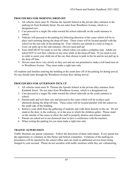#### **PROCEDURES FOR MORNING DROP OFF**

- 1. All vehicles must enter St. Thomas the Apostle School at the private alley entrance to the parking lot from Kimbark Street. Do not enter from Woodlawn Avenue, which is a designated exit.
- 2. Cars proceed in a single file order toward the school sidewalk on the south entrance to school.
- 3. Vehicles will proceed to the parking lot following direction of the cones which will be in place each morning during the drop-off time. These cones will be located parallel with the school on the east side of the parking lot. Four vehicles can unload at a time as long as every car pulls up to the side entrance. Drivers must pull up!
- 4. Your child MUST be ready to exit the vehicle when you make a complete stop. Adults are asked NOT to exit their vehicles at any time while in the drop-off lane. If you need to exit in order to assist your child out of the car, then choose to park in the lot and do not pull up in the drop off lane.
- 5. Drivers must drive very slowly as they exit and are not permitted to make a left hand turn on to Woodlawn Avenue. They must make a right turn only.

All students and families entering the building at the south door off of the parking lot during arrival. No one should enter through the Woodlawn Avenue door during arrival.

#### **PROCEDURES FOR AFTERNOON PICK UP**

- 1. All vehicles must enter St. Thomas the Apostle School at the private alley entrance from Kimbark Street. Do not enter from Woodlawn Avenue, which is a designated exit.
- 2. Cars proceed in a single file order toward the school sidewalk on the south entrance to school.
- 3. Parents park and exit their cars and proceed to the cones which will be in place each afternoon during the drop-off time. These cones will be located parallel with the school on the south side of the building
- 4. Retrieve your child from the gathering of students and walk them directly to the car. Do not stand at the door, in the walkway, or in the area in which the children gather. Please stand on the outside of the cones to allow the staff to properly dismiss and release students.
- 5. Parents are asked not to use dismissal time to have a conference with the teachers.
- 6. When exiting the parking lot you must make a right turn only.

#### **TRAFFIC SUPERVISION**

Traffic Monitors are parent volunteers. Follow the directions of these individuals. Every parent has the opportunity to volunteer on this Home and School committee. Violations of the parking lot procedures will be reported to the school office and can result in additional service hours being charged to your account. Please do not socialize with traffic monitors while they are volunteering.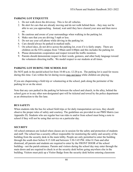## **PARKING LOT ETIQUETTE**

- 1. Do not walk down the driveway. This is for all vehicles.
- 2. Be alert for cars that are already moving and do not walk behind them they may not be able to see you approaching. Instead, wait until they have cleared your area and then move on.
- 3. Be cautious and aware of your surroundings when walking in the parking lot.
- 4. Make sure that you are driving 5 mph or less.
- 5. Do not use your cell phone while driving in the parking lot.
- 6. Cars should always be parked in marked stalls.
- 7. On school days, do not drive across the parking lot, even if it is fairly empty. There are children on the STA campus from 7:00am until 6:00pm and this includes the parking lot.
- 8. Please demonstrate cooperation and respect toward the traffic monitors.
- 9. Parents should demonstrate respect in their words, gestures, and other body language toward the volunteers directing traffic. We model respect to our students at all times.

# **PARKING LOT DURING THE SCHOOL DAY**

Do NOT park in the parish/school lot from 10:40 a.m.-12:20 p.m. The parking lot is used for recess during this time. Cars within the lot during recess may not leave while children are playing.

If you are chaperoning a field trip or volunteering at the school, park along the perimeter of the parking lot or on the street.

Note that any cars parked in the parking lot between the school and church, in the alley, behind the school gym or in any other non-designated spot will be ticketed and towed by the police department as an obstruction to the fire lane.

## **BUS SAFETY**

When students ride the bus for school field trips or for daily transportation services, they should observe the proper rules of safety and courtesy. The guidelines are provided in our PBIS Matrix (see Appendix D). Students who are regular bus/van rides to and/or from school must bring a note to school if they will not be using that service on a particular day.

# **SECURITY**

All school entrances are locked when classes are in session for the safety and protection of students and staff. The school has a security officer responsible for monitoring the safety and security of the building from the security desk in the main lobby. People are only permitted to enter the building through the south door before 8:15 AM and between 3:30-3:45 PM. After 8:15am and after dismissal, all parents and students are required to enter by the FRONT DOOR of the school building—not the parish entrance. Parents and visitors during the school day may enter through the main doors and are required to check in at the security desk before going anywhere else in the building. Visitors must pick up a Visitor Badge from the security desk before entering classroom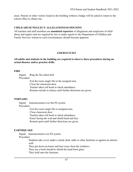areas. Parents or other visitors found in the building without a badge will be asked to return to the school office to obtain one.

#### **CHILD ABUSE/NEGLECT: ALLEGATIONS/SUSPICIONS**

All teachers and staff members are **mandated reporters** of allegations and suspicions of child abuse and neglect and are required by law to make reports to the Department of Children and Family Services whenever such circumstances should become apparent.

## *EMERGENCIES*

#### **All adults and students in the building are required to observe these procedures during an actual disaster and/or practice drills.**

#### **FIRE**

Signal: Ring the fire alarm bell. Procedure:

Exit the room single file to the assigned area. Close the classroom door. Teacher takes roll book to check attendance. Remain outside in silence until further directions are given.

## **TORNADO**

Signal: Announcement over the PA system Procedure:

> Exit the room single file to assigned area. Close classroom door. Teacher takes roll book to check attendance. Kneel facing the wall and shield head and face Remain quiet until further directions are given.

## **EARTHQUAKE**

Signal Announcement over PA system

#### Procedure:

Students take cover under a sturdy desk, table or other furniture or against an interior wall.

They get down on knees and face away from the windows.

They use a book should to shield the head from glass.

They hold onto the furniture.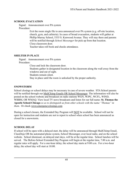## **SCHOOL EVACUATION**

Signal: Announcement over PA system Procedure:

> Exit the room single file to area announced over PA system (e.g. off-site location, church, gym, and cafeteria). In cases of broad evacuation, students will gather at Phillip Murray School, 5335 S. Kenwood Avenue. They will stay there and parents will be notified through *School Messenger* for pick up from that location. Close classroom door. Teacher takes roll book and checks attendance.

### **SHELTER IN PLACE**

Signal: Announcement over PA system Procedure: Close and lock the classroom door. Students gather in designated location in the classroom along the wall away from the windows and out of sight. Students remain silent. Stay in place until the room is unlocked by the proper authority.

## **SNOWSTORM**

School closings or school delays may be necessary in case of severe weather. STA School parents will be notified through our MailChimp Emails OR School Messenger. The information will also be posted on the school website and broadcast on radio stations WGN, WJPC, WCFL, WIND, WBBM, OR WMAQ. View local TV news broadcasts and listen for our full name: **St. Thomas the Apostle School-Chicago** *so as to distinguish us from other schools with the name "Thomas" in them*. Or check www.emergencyclosings.com

During a school closure, the Extended Day Program will **NOT** be available. School will not be open for instruction and students are not to report to school when school has been announced as closed for a snowstorm.

## **SCHOOL DELAY**

If school will be open with a delayed start, the delay will be announced through MailChimp Email, ClassDojo OR the automated phone system, School Messenger, over local radio, and on the school website. School dismissal, on delayed start days, will be at the regular time. School lunches will be served. The Before-School Extended Day Program will begin at the regular time, 7.00 a.m. and regular rates will apply. For a one-hour delay, the school day starts at 9:00 a.m. For a two-hour delay, the school day will start at 10:00.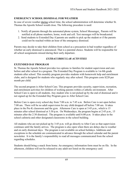## **EMERGENCY SCHOOL DISMISSAL FOR WEATHER**

In case of severe weather during school time, the school administration will determine whether St. Thomas the Apostle School would close. The following procedure is used:

- 1. Notify all parents through the automated phone system, School Messenger. Parents will be notified at all phone numbers, home, work and cell. Text messages will be broadcasted.
- 2. Send students to Extended Day if parents are unable to pick up the student or if the parents could not be reached within an hour of the emergency dismissal.

Parents may decide to take their children from school as a precaution in bad weather regardless of whether an early dismissal is announced. That is a parental choice. Students will be responsible for all school assignments missed during their early departure.

### *EXTRACURRICULAR ACTIVITIES*

#### **EXTENDED DAY PROGRAM**

St. Thomas the Apostle School provides two options to families for student supervision and care before and after school in a program. The Extended Day Program is available to 1st-8th grade students after school. This monthly program provides students with homework help and enrichment clubs, and is designed for students who regularly stay after school. This program costs \$220 per month per child.

The second program is After School Care. This program provides security, supervision, recreation, and enrichment activities for children of working parents within a Catholic environment. After School Care is open to all students. Any student who is not picked up by the end of dismissal and it not signed up for the Extended Day Program goes to After School Care.

Before Care is open every school day from 7:00 a.m. to 7:45 a.m. Before Care is not open before 7:00 am. There will be no adult supervision for any child dropped off before 7:00 am. It takes place in the Pre-K classroom and the gym. Afternoon Care is open at 3:45 p.m., which is 15 minutes after school dismissal at 3:30 p.m. On Wednesdays, the program begins at 2:45 p.m., 15 minutes after the 2:30 dismissal. The program is available until 6:00 p.m. It takes place in the school cafeteria and other designated classrooms in the school building.

All students who are not picked up by 3:45 p.m. will go directly to After Care so that supervision continues until the family arrives. The program is also open when there are delays due to weather and on early dismissal days. The program is not available on school holidays. Additions and exceptions to the schedule are communicated in advance through the school calendar and the parent newsletter. It is the family's responsibility to read all messages communicated from the school regarding schedules.

Students should bring a snack from home. An emergency information form must be on file. In the afternoon, children will not be released to any adult not listed on the emergency card.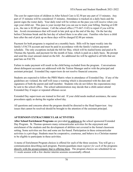The cost for supervision of children in After School Care is \$2.50 per any part of 15 minutes. Any part of 15 minutes will be considered 15 minutes. Attendance is tracked on a daily basis and the parent signs the roster daily. Your daily total will be written on the pass you will receive when you sign your child out. This pass is your receipt that you can use to track your billing. Starting at 6:00 p.m., the rate is \$2.00 per minute. Call the school office (773-667-1142) to report if you will be late. Avoid circumstances that will result in late pick up at the end of the day. On the last day before Christmas break and the last day of school there is no after care. Families who have a child here after the end of pick up on these days will be charged \$2.00 per minute.

Payment for both programs is required on a monthly basis. Bills will be input weekly into the family's FACTS account and must be paid in accordance with the family's tuition payment schedule. The only exceptions include the bill for May, which will be mailed home and paid at St. Thomas the Apostle, and payment for the month of June, which is paid on a daily basis. Be prompt and send the exact amount stated on the bill. An additional fee will be applied to all bills that are paid late on FACTS.

Failure to make payment will result in the child being excluded from the program. Conversations about delinquent accounts are addressed with the Tuition Manager and/or with the principal and assistant principal. Extended Day supervisors do not resolve financial concerns.

Students are expected to follow the PBIS Matrix when in attendance of Extended Day. If any of the guidelines are violated, the staff will issue a warning which is documented with the date and signatures of both the parent and staff member. Students who do not follow the expectations may be sent to the school office. The school administration may decide that a child cannot attend Extended Day if major or repeated offenses occur.

Extended Day supervisors are trained in first aid. If your child needs medical assistance, the same procedures apply as during the regular school day.

All questions and concerns about the program should be directed to the Head Supervisor. Any issues that cannot be resolved should be brought to the attention of the assistant principal.

## **AFTERNOON EXTRACURRICULAR ACTIVITIES**

**After School Enrichment Programs** are provided in addition to the school sponsored Extended Day Program. St. Thomas sponsors many extracurricular activities for the enjoyment and enrichment of the students and the development of abilities not covered in the formal classroom setting. Some activities are free and some are fee-based. Participation in these extracurricular activities is a privilege. Students must be cooperative, courteous, and behave in a Christian manner to be eligible to participate in these activities.

A menu of Enrichment Program choices is offered for each of the three sessions. You will get a c communication describing each program. Parents/guardians must *register for each* of the programs directly with the group/company that is offering them. The program choices are scheduled for an 11-week session with a few shorter interim sessions occasionally offered.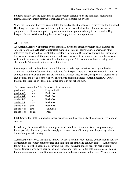Students must follow the guidelines of each program designated on the individual registration forms. Each enrichment offering is managed by a designated supervisor.

When the Enrichment activity is completed for the day, the students may go directly to the Extended Day Program or parents may pick them up from the security desk within 10 minutes after the program ends. Students not picked up within ten minutes go immediately to the Extended Day Program for supervision and regular rates will apply for the time spent there.

## **ATHLETICS**

An **Athletic Director**, appointed by the principal, directs the athletic program at St. Thomas the Apostle School. An **Athletics Committee** made up of parents, alumni, parishioners, and other interested adults are led by the Athletic Director. The Athletic Director works with the guidance of the principal to establish the program and address all aspects of the athletics program. Parents are welcome to volunteer to assist with the athletics program. All coaches must have a background check and be Virtus trained for work with the team.

League sports will be held based on the following criteria in place before the program begins: a minimum number of students have registered for the sport, there is a league or venue in which to compete, and a coach and assistant are available. Without these criteria, the sport will organize as a club activity and not as a school sport. The athletic program adheres to Archdiocesan CYO rules. Practice for league sports takes place after school in our school gym.

The **league sports** for 2021-22 consist of the following

| grades $5-8$ : | boys  | Flag football     |
|----------------|-------|-------------------|
| grades $K-2$ : | co-ed | <b>Basketball</b> |
| grades $3-4$ : | co-ed | <b>Basketball</b> |
| grades $5-6$ : | boys  | <b>Basketball</b> |
| grades $7-8$ : | boys  | <b>Basketball</b> |
| grades $5-8$ : | girls | <b>Basketball</b> |
| grades $5-8$ : | girls | Volleyball        |
| grades $3-8$ : | co-ed | Track             |

**Club Sports** for 2021-22 includes soccer depending on the availability of a sponsoring vendor and coaches.

Periodically, the teams will have home games and established tournaments on campus or away. Parent participation at all games is strongly advocated. Annually, the parents help to organize a Sports Banquet held in May.

Administration reserves the right to limit CYO Sports and all school-related extracurricular activity participation for student athletes based on a student's academic and conduct grades. Athletes must follow the established academic policy and the school behavior code in order to participate in sports. Students who have been suspended from school may not participate in practices or games for a minimum of one week. Students who are expelled are no longer on the team. When a student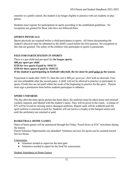transfers to a public school, the student is no longer eligible to practice with our students or play games.

Students must register for participation in sports according to the established guidelines. No exceptions are granted for those who have not followed them.

#### **SPORTS PHYSICALS**

Sports physicals are required before a child participates in sports. All forms documenting the student's physical must be submitted to the child's coach before the first practice. No exceptions to this rule are granted. The safety of the children who participate in sports is paramount.

#### **FEES FOR PARTICIPATION IN SPORTS**

There is a per-child and per-sport fee **for league sports. \$80 per sport per child \$120 for two sports if paid by 10/01/21 \$150 for three sports if paid by 10/01/21 If the student is participating in football/volleyball, the fee must be paid prior to the season.**

If payment is made after 10/01/21, then the cost is \$80 *per sport per child* with no discount. Fees are non-refundable after the second game. A child will not be allowed to practice or participate in sports if both fees are not paid within the week of the beginning to practice for the sport. Parents must sign a permission form before students participate in athletics.

#### **SPORT UNIFORMS**

The day after the team sports picture has been taken, the uniforms must be taken home and returned washed, repaired, and labeled with the student's name. They will be given to the coach. A charge of \$75 will be levied for missing and/or damaged uniforms. Report cards will be withheld until the sport uniform is returned or paid for. Students will not receive a trophy at the banquet unless and until the uniform(s) are returned or paid.

#### **BASKETBALL HOME GAMES**

Dates of home games will be announced through the Friday "Good News at STA" newsletter during the season.

Parent Volunteer Opportunities are abundant! Volunteer services for sports can be counted toward Service Hours.

**Concessions** 

- Volunteer needed to supervise the door/gate
- Volunteers needed to supervise the food for concessions

#### Student Attendance at Home Games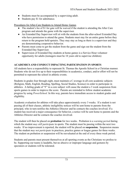- Students must be accompanied by a supervising adult.
- Students pay \$1 for admittance.

Procedures for After-Care Students to Attend Home Games

- The student's fee of \$1 for gate will be waived if the student is attending the After Care program and attends the game with the supervisor.
- An Extended Day Supervisor will sit with the students from the after-school Extended Day who have permission to attend the game. Students must stay for an entire game before they return to the program held upstairs. They may stay as long as there is a supervisor and they are demonstrating cooperative behavior.
- Parents must come to get the student from the game and sign out the student from the Extended Day Supervisor.
- Supervision of Extended Day students at home games is a Service Hour volunteer opportunity for adults (teenagers must be 18 years old to supervise children)

## **ACADEMICS AND CONDUCT IMPACTING PARTICIPATION IN SPORTS**

All students have a responsibility to represent St. Thomas the Apostle School in a Christian manner. Students who do not live up to their responsibilities in academics, conduct, and/or effort will not be permitted to represent the school in athletic events.

Students in grades four through eight, must maintain a C average in all core academic subjects (Religion, Math, English, Reading, Spelling, Social Studies, Science) in order to participate in athletics. A failing grade of "F" in a core subject will cause the student a 3 week suspension from sports games in order to improve the score. Parents are reminded to follow student academic progress by using *PowerSchool.* In this way, parents have immediate access to student grades and eligibility.

Academic evaluation for athletes will take place approximately every 3 weeks. If a student is not passing all of their classes, athletic ineligibility notices will be sent home to parents from the principal, who in turn notifies the Athletics Director and he contacts the coaches involved. If a student has received a major consequence for behavior, a notice will be sent home to parents and the Athletics Director and he contacts the coaches involved.

The student will then be placed on **probation** for two weeks. Probation is a *warning period* during which the student *may still participate* in sports. The student must be passing within the next two weeks. If no improvement is reported, the student will be placed on **suspension.** Suspension means that the student *may not participate* in practices, practice games or league games for three weeks. The student on probation or suspension will be reevaluated at the end of every three week period.

Students and parents must present themselves at all sporting events as the Christians we profess to be. Supporting our teams is laudable, but no abusive or improper language and gestures by spectators or students will be tolerated.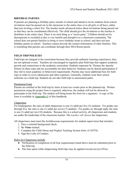## **BIRTHDAY PARTIES**

If parents are planning a birthday party outside of school and intend to invite students from school, invitations must be passed out in the classroom to the entire class or to all girls or all boys, rather than just inviting a select few. The teacher needs advanced notice about invitations being passed out so that they can be coordinated effectively. The child should give the invitations to the teacher to distribute to the entire class. There is no such thing as a "secret party." Children should not be disrespected or excluded as this is very hurtful and disruptive to a classroom community. The school does not permit families to bring or serve birthday treats to school, and does not host birthday parties at school. Teachers cannot provide the contact information of other families. This is something that parents can coordinate through their HSA Room parent.

# **FIELD TRIP POLICIES**

Field trips are integral to the curriculum because they provide authentic learning experiences; they are not optional events. Teachers are encouraged to regularly plan field trips that support academic growth and connections to the academic curriculum. Students represent St. Thomas the Apostle School on these trips and are accountable for their behavior. Students can be denied participation if they fail to meet academic or behavioral requirements. Parents may incur additional fees for field trips in order to cover admissions and other expenses. Generally, students wear their school uniforms on a field trip. Students do not take field trips to amusement parks.

#### Permission Form

Parents are notified of the field trip by letter at least two weeks prior to the planned trip. Written permission using the proper form is required; otherwise, the student will not be allowed to participate in the field trip. The student will bring home the form for a signature. A copy of the form is available in **Appendix G** of this handbook.

## **Chaperones**

For kindergarten, the ratio of adult chaperones is one (1) adult per five (5) students. For grades one through five, the ratio is one (1) adult per seven (7) students. For grades six through eight, the ratio is one (1) adult per ten (10) students. Because this is a school activity, all chaperones and students are under the leadership of the classroom teacher. The *teacher will choose* the chaperones.

All chaperones must meet the Archdiocesan requirements for student supervision that includes:

- 1. Pass a criminal background check.
- 2. Be *Virtus* trained.
- 3. Complete the Child Abuse and Neglect Tracking System form. (CANTS).
- 4. Sign the Code of Conduct.

## Rules for Chaperones include:

- Verification of completion of all four requirements listed above must be submitted prior to the field trip.
- The time spent while chaperoning field trips may be applied toward service STArs.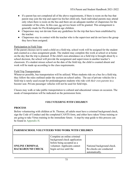- If a parent has not completed all of the above requirements, if there is room on the bus that parent may join the trip and supervise his/her child only. Such individual parents may attend only when there is room on the bus and there are an adequate number of chaperones for the remainder of the class. In this case, no service hours will be granted. This arrangement is generally made for Pre-Kindergarten age children.
- Chaperones may not deviate from any guidelines for the trip that have been established by the teacher.
- Chaperones stay in contact with the teacher who is the supervisor and do not leave the group they have been assigned.

#### Participation in Field Trips

If the parent chooses not to send a child on a field trip, school work will be assigned for the student and counted as a class assignment grade. The student may complete this work at school or at home on the day that the trip is planned. If the child's non-attendance on a field trip is brought about by a school decision, the school will provide the assignment and supervision in another teacher's classroom. If a student misses school on the date of the field trip, the child is counted absent and work will be made up according to the class requirements.

#### Field Trip Transportation

Whenever possible, bus transportation will be utilized. When students ride on a bus for a field trip, they follow the rules outlined under the section on school safety. The use of private vehicles for a field trip is rarely used except for prekindergarten students who ride *with their own parents* in a booster seat. Private passenger vehicles will not be used for field trips.

Classes may walk or take public transportation to cultural and educational venues on occasion. The mode of transportation will be indicated on the permission form.

## *VOLUNTEERING WITH CHILDREN*

#### **PROCESS**

Before volunteering with children at St. Thomas, all adults must have a criminal background check, sign the Code of Conduct and the completed CANTS form, and either have taken Virtus training or are going to take Virtus training in the immediate future. A step-by-step guide to this process can be found in Appendix H.

| PARISH/SCHOOL VOLUNTEERS WHO WORK WITH CHILDREN |  |
|-------------------------------------------------|--|
|                                                 |  |

|                         | Complete an online criminal<br>background check application |                            |
|-------------------------|-------------------------------------------------------------|----------------------------|
|                         | before being accepted as a                                  |                            |
| <b>ONLINE CRIMINAL</b>  | volunteer. Applicants cannot                                | National background check. |
| <b>BACKGROUND CHECK</b> | begin service until the                                     | Re-checks are conducted    |
|                         |                                                             | automatically.             |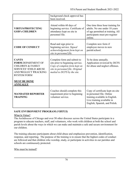|                                                                                                                                                         | background check approval has<br>been received.                                                                                                                     |                                                                                                                                                                |
|---------------------------------------------------------------------------------------------------------------------------------------------------------|---------------------------------------------------------------------------------------------------------------------------------------------------------------------|----------------------------------------------------------------------------------------------------------------------------------------------------------------|
| <b>VIRTUS/PROTECTING</b><br><b>GOD's CHILDREN</b>                                                                                                       | Attend within 60 days of<br>beginning service. Certificate of<br>attendance kept on site in<br>personnel file.                                                      | One time three hour training for<br>adults. No one under 18 years<br>of age permitted at training. All<br>participants must pre-register<br>online.            |
| <b>CODE OF CONDUCT</b>                                                                                                                                  | Read and sign prior to<br>beginning service. Signed<br>acknowledgement form kept on<br>site in personnel file.                                                      | Complete new form if<br>employee moves to new<br>parish/school.                                                                                                |
| <b>CANTS</b><br><b>FORM.DEPARTMENT OF</b><br><b>CHILDREN &amp; FAMILY</b><br><b>SERVICES' CHILD ABUSE</b><br>AND NEGLECT TRACKING<br><b>SYSTEM FORM</b> | Complete form and submit to<br>site prior to beginning service.<br>Copy of complete form kept on<br>site in personnel file. Original<br>mailed to DCFS by the site. | To be done annually.<br>Application reviewed by DCFS<br>for abuse and neglect offenses.                                                                        |
| <b>MUST BE DONE</b><br><b>ANNUALLY</b>                                                                                                                  |                                                                                                                                                                     |                                                                                                                                                                |
| <b>MANDATED REPORTER</b><br><b>TRAINING</b>                                                                                                             | Coaches should complete this<br>requirement prior to beginning<br>volunteer service.                                                                                | Copy of certificate kept on-site<br>in personnel file. Online<br>training available in English.<br>Live training available in<br>English, Spanish, and Polish. |

#### **SAFE ENVIRONMENT PROGRAM (***VIRTUS***)**

#### What Is Virtus?

The Archdiocese of Chicago and over 50 other dioceses across the United States participate in a program to educate teachers, staff, and volunteers, who work with children at both the school and parish levels about the ways in which we can make and maintain a safe and secure environment for our children.

The training educates participants about child abuse and emphasizes prevention, identification, response, and reporting. The purpose of the training is to ensure that the highest codes of conduct are followed and that children who worship, study, or participate in activities in our parishes and schools are continuously protected.

Who must be trained?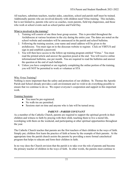All teachers, substitute teachers, teacher aides, catechists, school and parish staff must be trained. Additionally parents who are involved directly with children need Virtus training. This includes, but is not limited to, parents who serve as coaches, room parents, field trip chaperones, and those who work at school events such as school parties and Field Day.

#### What is involved in the training?

- 1. Training will consist of one three hour group session. This is provided throughout the Archdiocese at various locations in the city during the entire year. The dates are noted on the school website and reminders will be announced in the parish and school bulletins.
- 2. Following the training session, your name and email address will be given to the archdiocese. You must sign on to the diocesan website to register. Click on VIRTUS and sign in and establish a password.
- 3. You will then have access to the follow-up training program entitled "Virtus." You must read the printed article and answer the question posed at the end. You will receive online informational bulletins, one per month. You are required to read the bulletins and answer the question at the end of each bulletin.
- 4. Unless you have completed or are regularly completing the online portion of the training, you will NOT be permitted to work or volunteer at STA

#### Why *Virtu*s Training?

Nothing is more important than the safety and protection of our children. St. Thomas the Apostle Parish and School already provides a safe environment and we wish to do everything possible to ensure that we continue to do so. We expect everyone's cooperation and support in this important work.

#### Training Sessions

- You must be pre-registered.
- No walk-ins are permitted.
- Sessions start on time and anyone who is late will be turned away.

#### *PARENT—PARISH COVENANT*

As a member of the Catholic Church, parents are required to support the spiritual growth in their children and witness to faith by praying with their child, teaching them to live a moral life, worshiping with them on the weekend, and participating at other spiritual opportunities throughout the year.

The Catholic Church teaches that parents are the first teachers of their children in the ways of faith. Simply put, children first learn the practice of faith at home by the example of their parents. At the appropriate time the parish church assists the parents by providing a more formal catechetical program that helps to educate and form their children in faith.

In no way does the Church envision that the parish is to take over the role of parents and become the primary teacher of children in the ways of faith. In other words, the parents must continue to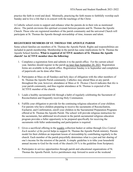practice the faith in word and deed. Minimally, practicing the faith means to faithfully worship each Sunday and to live a life that is in concert with the teachings of the Christ.

A Catholic school exists to support and enhance what the parents do in their role as mentioned above. The parish envisions this spiritual covenant between parents and St. Thomas the Apostle Church. Those who are registered members of the parish community and the universal Church will participate at St. Thomas the Apostle through stewardship of time, treasure and talent.

### **REGISTERED MEMBERS OF ST. THOMAS THE APOSTLE PARISH**

Some school families are members of St. Thomas the Apostle Parish. Rights and responsibilities are included in parish membership. Membership in the parish has some implications for St. Thomas the Apostle School families. **What is required of ACTIVE members of St. Thomas the Apostle church? An ACTIVE member does the following:**

- 1. Completes a registration form and submits it to the parish office. For the current school year, families should register in the parish no later than September 20, 2021. Registration forms are available in the parish office. Registration Sunday is in September and completion of paperwork can be done after Mass.
- 2. Participates at Mass on all Sundays and holy days of obligation with the other members of St. Thomas the Apostle Parish community. Catholics may attend Mass at any parish throughout the year, however, attendance at Mass *at St. Thomas Church* indicates that *this* is your parish community, and thus regular attendance at St. Thomas is expected of the ACTIVE member of the church.
- 3. Leads a healthy sacramental life through a habit of regularly celebrating the Sacrament of Reconciliation and frequently receiving Holy Communion.
- 4. Fulfills your obligation to provide for the continuing religious education of your children. For parents who have children preparing to receive the sacraments of Reconciliation, Eucharist, and Confirmation, enroll your children in the Sacramental Preparation Programs offered at St. Thomas the Apostle Parish. The school will provide religious instruction for the sacraments, but additional involvement in the parish sacramental religious education program provides a fuller opportunity to be prepared specifically for receiving the sacraments with fuller understanding and participation is required.
- *5.* Gives a sacrificial offering in the weekly collection basket or online through *Give Central. Each member of the parish* helps to support St. Thomas the Apostle Parish ministry. Parents model for their children an important lesson of stewardship by contributing regularly to the church. Each member of the parish prayerfully determines what is a just and fair sharing of one's income for the mission of the parish. A simple guideline is to tithe your household annual income to God for the work of the church (10 % is the guideline from Scripture).
- 6. Participates in service opportunities through parish and educational organizations of St. Thomas the Apostle Parish. Active parishioners step forward to assist at the weekend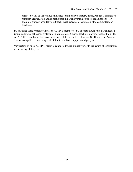Masses by any of the various ministries (choir, carry offertory, usher, Reader, Communion Minister, greeter, etc.) and/or participate in parish events /activities/ organizations (for example, Sunday hospitality, outreach, teach catechism, youth ministry, committees, or fundraisers).

By fulfilling these responsibilities, an ACTIVE member of St. Thomas the Apostle Parish leads a Christian life by believing, professing, and practicing Christ's teaching in every facet of their life. An ACTIVE member of the parish who has a child or children attending St. Thomas the Apostle School is eligible for receiving a \$1,000 tuition scholarship per child per year.

Verification of one's ACTIVE status is conducted twice annually prior to the award of scholarships in the spring of the year.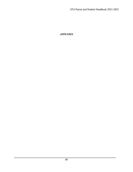*APPENDIX*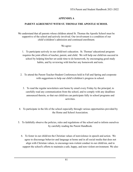# **APPENDIX A**

## **PARENT AGREEMENT WITH ST. THOMAS THE APOSTLE SCHOOL**

We understand that all parents whose children attend St. Thomas the Apostle School must be supportive of the school and actively involved. Our involvement is a condition of our child's/children's admission and continued enrollment.

### We agree:

1. To participate actively in our child/ren's education. St. Thomas' educational program requires the joint efforts of teacher, parent, and child. We will help our child/ren succeed in school by helping him/her set aside time to do homework, by encouraging good study habits, and by reviewing with him/her any homework and tests.

- 2. To attend the Parent-Teacher-Student Conferences held in Fall and Spring and cooperate with suggestions to help our child's/children's progress in school.
	- 3. To read the regular newsletters sent home by email every Friday by the principal, to carefully read any communication from the school, and to comply with any deadlines announced therein, so that our child/ren can participate fully in school programs and activities.
- 4. To participate in the life of the school especially through various opportunities provided by the Home and School Association.
- 5. To faithfully observe the policies, rules and regulations of the school and to inform ourselves by carefully reading the Parent Handbook.
	- 6. To foster in our child/ren the Christian values of nonviolence in speech and action. We agree to discourage behavior and language at home and in all social media that does not align with Christian values, to encourage non-violent conduct in our child/ren, and to support the school's efforts to maintain a safe, happy, and non-violent environment. We also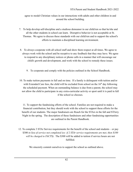agree to model Christian values in our interactions with adults and other children in and around the school building.

- 7. To help develop self-discipline and a studious demeanor in our child/ren so that he/she and all the other students in school can learn. Disruptive behavior is not acceptable at St. Thomas. We agree to discuss these standards with our child/ren and to support the school's efforts to maintain a disciplined learning environment.
- 8. To always cooperate with all school staff and show them respect at all times. We agree to always work with the school and be receptive to any feedback that they may have. We agree to respond to any disciplinary notices or phone calls in a manner that will encourage our child's growth and development, and work with the school to remedy these issues.
	- 9. To cooperate and comply with the policies outlined in the School Handbook.
- 10. To make tuition payments in full and on time. If a family is delinquent with tuition and/or with Extended Care fees, the child will be excluded from school on the  $16<sup>th</sup>$  day following the scheduled payment. When an outstanding balance is due from a parent, the school may not allow the child to participate in any extra-curricular activity or sport until it is paid in full if the school so chooses.

11. To support the fundraising efforts of the school. Families are not required to make a financial contribution, but they should work with the school to support these efforts for the benefit of our students. The major fundraisers are Reach for the STArs in the fall and STArry Night in the spring. The description of these fundraisers and other fundraising opportunities are outlined in the Parent Handbook.

12. To complete 3 STAr Service requirements for the benefit of the school and students – or pay \$300 *in lieu of service not completed (ex: if 2 STAr service requirements are met, then \$100 will be charged to FACTS)*. The \$300 will be added to tuition if service hours are not fulfilled.

We sincerely commit ourselves to support the school as outlined above.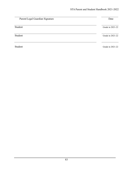| Parent/Legal Guardian Signature | Date             |
|---------------------------------|------------------|
| Student                         | Grade in 2021-22 |
| Student                         | Grade in 2021-22 |
| Student                         | Grade in 2021-22 |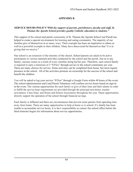## **APPENDIX B**

#### **SERVICE HOURS POLICY***"With the support of parents, parishioners, faculty and staff, St. Thomas the Apostle School provides quality Catholic education to students."*

This support of the school and parish community of St. Thomas the Apostle School and Parish has helped to create a special environment for learning and caring community. The majority of our families give of themselves in so many ways. Their example has been an inspiration to others as well as a powerful example to their children. Many have discovered for themselves that "it is in giving that we receive."

Our school is an extension of the ministry of the church. School parents are asked to be active participants in various outreach activities conducted by the school and the parish. Just as in any family, success comes as a result of every member doing his/her part. Therefore, each school family is required to earn a minimum of 3 "STArs" through service to the school community per year. There are many choices for service. Some activities can be completed from home, but most require presence at the school. All of the activities promote an ownership for the success of the school and benefit the children.

You will be asked to log your service "STArs" through a Google Form within 48 hours of the event. The school administration and Lead Parent Volunteers will confirm service hours based on sign-in at the event. The various opportunities for each family to give of their time and their talents in order to fulfill the service hour requirement are provided through the principal newsletter, teacher newsletters, Class Dojo, and Home and School Association throughout the year. These opportunities directly support the operation of the school through financial savings.

Each family is different and there are circumstances that prevent some parents from spending time away from home. There are many opportunities to help at home or at school. If a family has been unable to accumulate service hours, it is *their* responsibility to contact the school office before the third trimester begins for information about service opportunities.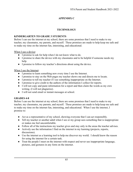# **APPENDIX C**

## **TECHNOLOGY**

#### **KINDERGARTEN TO GRADE 3 STUDENTS**

Before I can use the internet at my school, there are some promises that I need to make to my teacher, my classmates, my parents, and myself. These promises are made to help keep me safe and to make my time on the internet fun, interesting, and educational.

When I use a device:

- I promise to ask for help when I do not know what to do.
- I promise to share the device with my classmates and to be helpful if someone needs my help.
- I promise to follow my teacher's directions about using the device.

When I use the Internet:

- I promise to learn something new every time I use the Internet.
- I promise to stay on the Web pages my teacher shows me and directs me to locate.
- I promise to tell my teacher if I see something inappropriate on the Internet.
- I promise to give credit to the authors of the information I collect for reports.
- I will not copy and paste information for a report and then claim the words as my own writing. (I will not plagiarize).
- I will not send email or instant messages at school.

#### **GRADES 4-8**

Before I can use the internet at my school, there are some promises that I need to make to my teacher, my classmates, my parents, and myself. These promises are made to help keep me safe and to make my time on the internet fun, interesting, and educational. When I use the internet, I promise to:

- Act as a representative of my school, showing everyone that I can act responsibly.
- Tell my teacher or another adult when I see or my group sees something that is inappropriate or makes me feel uncomfortable.
- Follow all of the instructions my teacher gives and stay only in the areas the teacher advises.
- Actively use the information I find on the internet in my learning (projects, reports, discussions).
- Use the internet as a learning tool to help me discover my world. I should know the reason for using the internet for a certain task.
- Treat the people I meet on the internet with respect and never use inappropriate language, pictures, and gestures in any form on the internet.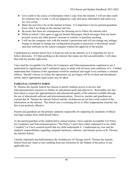- Give credit to the source of information when I copy from the internet. I will not take credit for someone else's words. I will not plagiarize: copy and paste information and claim it as my own words.
- Share the activities I do on the internet at home. It is important to let my parents/guardians know what I am doing on the internet and why.
- Be aware that there are consequences for choosing not to follow the internet rules.
- While at school, I also agree to not use Instant Messenger, check messages from my home account, access any other person's account or website, or purchase anything.
- I will use the computer only with the teacher's permission and will not change any settings, change or attempt to change any configuration program or password, or download, install and store software on the school computer without the approval of the teacher.

I understand my teacher knows how to keep me safe on the internet, so it is important for me to follow directions. If I find anything on the internet that makes me feel uncomfortable, I will share that with my teacher right away.

I have had the Acceptable Use Policy for Computers and Telecommunications explained to me. I understand its significance and I voluntarily agree to abide with all terms and conditions of it. I further understand that violation of this agreement would be unethical and might even constitute a criminal offense. Should I choose to violate this agreement, my privileges will be revoked and disciplinary action, and/or appropriate legal action may be taken.

### **PARENTAL CONSENT FORM**

St. Thomas the Apostle School has chosen to permit students access to devices and telecommunication resources to further its educational goals and objectives. Reasonable care has been taken to assure the appropriateness and educational quality of the material available through the use of educational software and telecommunications. However, parents and guardians are warned that St. Thomas the Apostle School and the Archdiocese do not have total control of the information on the internet. The school uses a screening device to filter inappropriate material, but this is not perfectly effective.

Parents and guardians are the primary authority responsible for imparting the standards of ethical and legal conduct their child should follow.

As the parent/guardian of the student below named student, I have read the Acceptable Use Policy for Computers and Telecommunications ("The Policy") and I have either explained it to my child ("student") or I have assured myself that my child understands it. I understand my own and the student's responsibilities regarding computer hardware, software, and internet access at St. Thomas the Apostle School.

I hereby indemnify and hold harmless the Archdiocese of Chicago and St. Thomas the Apostle School from any claim or loss resulting from any infraction by the student of the policy or any applicable law.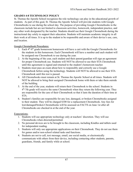#### **GRADES 4-8 TECHNOLOGY POLICY**

St. Thomas the Apostle School recognizes the role technology can play in the educational growth of students. As part of this goal, St. Thomas the Apostle School will provide students with Google Chromebooks to use during the school day. The purpose of providing Google Chromebooks in the classroom include but are not limited to classroom activities, homework, independent practice, and any other work designated by the teacher. Students should use their Google Chromebook during the instructional day solely to support their education. Students will maintain academic integrity in all their work at all times. It is up to the student to be responsible and aware of their device's use, care, and location.

Google Chromebook Procedures:

- 1. Each 4<sup>th</sup>-8<sup>th</sup> grade homeroom homeroom will have a cart with the Google Chromebooks for the students in this homeroom. Each Chromebook will have a number and each student will be assigned one Chromebook to use during the year.
- 2. At the beginning of the year, each student and their parent/guardian will sign an agreement for proper Chromebook use. Students will NOT be allowed to use their STA Chromebook until this agreement is signed and returned to the student's homeroom teacher.
- 3. Students must pass an exam about how to responsibly and correctly use a Google Chromebook before using the technology. Students will NOT be allowed to use their STA Chromebook until this test is passed.
- 4. All Chromebooks must remain at St. Thomas the Apostle School at all times. Students will NOT be allowed to bring their assigned Chromebook home with them or take them outside of the building.
- 5. At the end of the year, students will return their Chromebook to the school. Students in 4<sup>th</sup>-7th grade will receive the same Chromebook when they return the following year. They are responsible for the care of their Chromebook so that it lasts the duration of their time at STA.
- 6. Student's families are responsible for any lost, damaged, or broken Chromebooks assigned to their student. They will be charged \$100 for a replacement Chromebook. Any fees for lost/damaged/broken Chromebooks will be assessed on FACTS on June 1st after all Chromebooks are checked in at the end of the year.

#### Expectations:

- 1. Students will use appropriate technology only at teachers' discretion. They will use Chromebooks when directed/permitted.
- 2. No personal devices are to be brought to the classroom, including Kindles and tablets used for independent reading.
- 3. Students will only use appropriate applications on their Chromebook. They do not use them for games and/or non-school related tasks and functions.
- 4. Students are not to call, text message, email, use social media, or electronically communicate with others from their device, including contacting other students, parents, guardians, friends, and family while at school.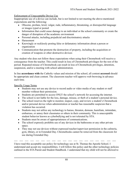#### Enforcement of Unacceptable Device Use

Inappropriate use of a device can include, but is not limited to not meeting the above-mentioned expectations and the following:

- Obscene, profane, lewd, vulgar, rude, inflammatory, threatening, or disrespectful language or images typed or posted
- Information that could cause damage to an individual or the school community or create the danger of disruption of the academic environment
- Personal attacks, including prejudicial and discriminatory attacks
- Harassment
- Knowingly or recklessly posting false or defamatory information about a person or organization
- Communication that promote the destruction of property, including the acquisition or creation of weapons or other destructive devices

Any student who does not follow these expectations when using their Chromebook will receive a consequence from the teacher. This could result in loss of Chromebook privileges for the rest of the period. Repeated misuse of Chromebook can result in loss of Chromebook privileges, detention, suspension, and/or a meeting with school administration.

In line **accordance with** the Catholic values and mission of the school, all content **accessed** should be appropriate and clean content. The classroom teacher will approve web browsing in advance each time.

#### Specific Usage Terms

- Students may not use any device to record audio or video media of any student or staff member without their permission.
- Students are permitted to access ONLY the school's network for accessing the internet.
- The school is not liable for the loss, damage, misuse, or theft of a student's personal device.
- The school reserves the right to monitor, inspect, copy, and review a student's Chromebook and/or personal device when administration or teacher has reasonable suspicion that a violation has occurred.
- Students may not utilize any technology to harass, threaten, demean, humiliate, intimidate, embarrass, or annoy their classmates or others in their community. This is unacceptable student behavior known as cyberbullying and is not tolerated by STA.
- Students must be aware of appropriateness of communications.
- The school expressly prohibits use of any devices in the bathrooms or any other private space.
- They may not use devices without expressed teacher/supervisor permission in the cafeteria, gym, library, or in Extended Day. Chromebooks cannot be removed from the classroom for use during Extended Day.

---- ---- ---- ---- ---- ---- ---- ---- ---- ---- ---- ---- ---- ---- ---- ---- ---- ---- ---- I have read this acceptable use policy for technology use at St. Thomas the Apostle School. I understand and accept my responsibilities. I will follow this policy and the other technology policies outlined in the STA Parent and Student Handbook. I understand that my child will not be allowed to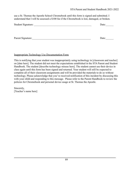use a St. Thomas the Apostle School Chromebook until this form is signed and submitted. I understand that I will be assessed a \$100 fee if the Chromebook is lost, damaged, or broken.

| Student Signature: | Date: |
|--------------------|-------|
|                    |       |
|                    |       |
| Parent Signature:  | Date: |

#### Inappropriate Technology Use Documentation Form

This is notifying that your student was inappropriately using technology in [classroom and teacher] on [date here]. The student did not meet the expectations established in the STA Parent and Student Handbook. The student [describe technology misuse here]. The student cannot use their device in class again until this form has been signed and returned. Your student will still be expected to complete all of their classroom assignments and will be provided the materials to do so without technology. Please acknowledge that you've received notification of this incident by discussing this with your child and responding to this message. Please refer to the Parent Handbook to review the policies for Chromebook and personal device usage at St. Thomas the Apostle.

Sincerely, [Teacher's name here]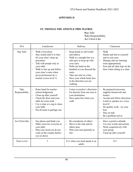### **APPENDIX D**

#### **ST. THOMAS THE APOSTLE PBIS MATRIX**

#### **S**tay Safe **T**ake Responsibility **A**ct Christ-Like

– –

–

–

– –

–

–

–

| <b>STA</b>             | Lunchroom                                                                                                                                                                                                                                                                                        | Hallway                                                                                                                                                                                                                                                                                                                                                                  | Classroom                                                                                                                                                                                                                                                                                                                                       |
|------------------------|--------------------------------------------------------------------------------------------------------------------------------------------------------------------------------------------------------------------------------------------------------------------------------------------------|--------------------------------------------------------------------------------------------------------------------------------------------------------------------------------------------------------------------------------------------------------------------------------------------------------------------------------------------------------------------------|-------------------------------------------------------------------------------------------------------------------------------------------------------------------------------------------------------------------------------------------------------------------------------------------------------------------------------------------------|
| <b>Stay Safe</b>       | Walk everywhere<br>$\overline{\phantom{0}}$<br>Stay seated until it is time<br>$\qquad \qquad -$<br>for your class' clean up<br>procedure<br>Talk with people only at<br>your table<br>Walk to line up and follow<br>your class's route when<br>given permission by a<br>teacher (voice level 1) | Keep hands to self (walls<br>and others)<br>Walk in a straight line at a<br>$\overline{\phantom{0}}$<br>safe pace to keep up with<br>your class<br>Hold one hand on the<br>handrail as you descend the<br>stairs<br>Take one stair at a time<br>$\overline{\phantom{0}}$<br>Have your whole body face<br>$\overline{\phantom{0}}$<br>in the direction you are<br>walking | Walk<br>$\overline{\phantom{0}}$<br>Hands and feet to yourself<br>$\qquad \qquad -$<br>and in your area<br>Manage and use learning<br>$\overline{\phantom{0}}$<br>tools appropriately<br>Feet and all chair legs on the<br>$\overline{\phantom{0}}$<br>floor when sitting in a chair                                                            |
| Take<br>Responsibility | Raise hand for teacher<br>$\equiv$<br>acknowledgement<br>Clean up after yourself<br>Check the floor and your<br>table for extra trash<br>Use a wipe or a rag to clean<br>your table<br>Put all trash in garbage can                                                                              | Listen to teacher's directions<br>$\overline{\phantom{0}}$<br>Go directly from one area to<br>$\overline{\phantom{0}}$<br>your destination<br>Have quiet feet when you<br>walk                                                                                                                                                                                           | Be prepared (necessary<br>$\overline{\phantom{0}}$<br>supplies-homework and<br>books)<br>Accept and follow directions<br>Listen to speaker at a voice<br>$\qquad \qquad -$<br>level 0<br>Do quality work - try your<br>$\qquad \qquad -$<br>best<br>Stay on task<br>$\overline{\phantom{0}}$<br>Be a problem-solver<br>$\overline{\phantom{0}}$ |
| Act Christ-like        | Say please and thank you<br>$\overline{\phantom{m}}$<br>Make room for everyone at<br>$\qquad \qquad -$<br>your table<br>Place any food you do not<br>want on the counter before<br>you sit down                                                                                                  | Be considerate of others<br>$\overline{\phantom{0}}$<br>Move to the side and let<br>$\overline{\phantom{0}}$<br>others pass<br>Wait your turn patiently in<br>line                                                                                                                                                                                                       | Have a positive attitude<br>$\overline{\phantom{0}}$<br>Use nice words and actions<br>$\overline{\phantom{0}}$<br>Work cooperatively with<br>$\qquad \qquad -$<br>your group<br>Clean up after yourself<br>$\qquad \qquad -$                                                                                                                    |
| Voice Level            | 3                                                                                                                                                                                                                                                                                                | 0 (1 when you need speak to an<br>adult)                                                                                                                                                                                                                                                                                                                                 | $0 - 3$                                                                                                                                                                                                                                                                                                                                         |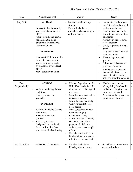| <b>STA</b>             | Arrival/Dismissal                                                                                                                                                                                                                                                                                                                                                                                                                  | Church                                                                                                                                                                                                                                                                                                                                                                                                                                                                                                                                      | Recess                                                                                                                                                                                                                                                                                                                                                                                                                                                                                                                                    |                          |
|------------------------|------------------------------------------------------------------------------------------------------------------------------------------------------------------------------------------------------------------------------------------------------------------------------------------------------------------------------------------------------------------------------------------------------------------------------------|---------------------------------------------------------------------------------------------------------------------------------------------------------------------------------------------------------------------------------------------------------------------------------------------------------------------------------------------------------------------------------------------------------------------------------------------------------------------------------------------------------------------------------------------|-------------------------------------------------------------------------------------------------------------------------------------------------------------------------------------------------------------------------------------------------------------------------------------------------------------------------------------------------------------------------------------------------------------------------------------------------------------------------------------------------------------------------------------------|--------------------------|
| <b>Stay Safe</b>       | <b>ARRIVAL</b><br>Proceed to the staircase for<br>your class at a voice level<br>of " $1"$<br>Walk carefully and use the<br>handrail on the stairs<br>Sit at your desk ready to<br>$\qquad \qquad -$<br>learn by 8:00 am.<br><b>DISMISSAL</b><br>Dismiss at 3:30pm from the<br>$\qquad \qquad -$<br>designated staircases for<br>your classrooms escorted<br>by teacher in a voice level<br>of " $1"$<br>Move carefully in a line. | Sit, stand, and kneel up<br>straight<br>Follow the hallway<br>procedure when coming to<br>and from church                                                                                                                                                                                                                                                                                                                                                                                                                                   | Immediately walk to your<br>$\overline{\phantom{0}}$<br>class' line when the whistle<br>is blown by the teacher<br>Face forward in a single<br>line with jackets and other<br>belongings<br>Always stay visible to the<br>recess monitors<br>Gently tag others during a<br>game<br>Only use teacher-approved<br>recess materials<br>Always stay on school<br>grounds<br>Follow your classroom's<br>procedure for when<br>moving cars are present<br>Remain silent once your<br>class enters the building<br>until you enter the cafeteria |                          |
| Take<br>Responsibility | <b>ARRIVAL</b><br>Walk in line facing forward<br>$\qquad \qquad -$<br>at all times<br>Keep your hands to<br>yourself.<br><b>DISMISSAL</b><br>Walk in line facing forward<br>at all times<br>Keep your hands to<br>yourself<br>Walk to your class'<br>$\overline{\phantom{0}}$<br>designated spot and wait<br>for a confirmation from<br>your teacher before leaving                                                                | Dip two fingertips into the<br>Holy Water basin, face the<br>altar, and make the Sign of<br>the Cross<br>Genuflect as a class before<br>entering your pew<br>Lower kneelers carefully<br>with your hands before<br>Mass begins<br>Place song sheet on pew<br>when not singing<br>Clap appropriately<br>During the Sign of Peace,<br>shake the hand of the<br>person to the left of you<br>and the person to the right<br>of you<br>Raise kneelers with your<br>$\qquad \qquad -$<br>hands and put your coat on<br>after the group genuflect | Watch where other are<br>$\overline{\phantom{0}}$<br>when joining the class line<br>Gather all belongings that<br>$\qquad \qquad -$<br>were brought outside<br>Agree upon the rules of the<br>$\overline{\phantom{0}}$<br>game before starting                                                                                                                                                                                                                                                                                            | $\overline{\phantom{0}}$ |
| Act Christ like        | ARRIVAL/DISMISSAL                                                                                                                                                                                                                                                                                                                                                                                                                  | Receive Eucharist or<br>blessing with reverence                                                                                                                                                                                                                                                                                                                                                                                                                                                                                             | Be positive, compassionate,<br>and include others                                                                                                                                                                                                                                                                                                                                                                                                                                                                                         |                          |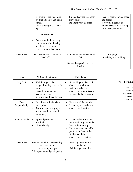|             | Be aware of the student in<br>front and back of you at all<br>times.<br>Greet others (voice level $=$<br>1)<br><b>DISMISSAL</b><br>Stand attentively waiting<br>with your teacher leaving<br>snacks and electronic<br>devices in your backpack | Sing and say the responses<br>prayerfully<br>Be attentive at all times | Respect other people's space<br>and bodies<br>If a problem cannot be<br>solved peacefully, seek help<br>from teachers on duty |
|-------------|------------------------------------------------------------------------------------------------------------------------------------------------------------------------------------------------------------------------------------------------|------------------------------------------------------------------------|-------------------------------------------------------------------------------------------------------------------------------|
| Voice Level | Arrive and dismiss at a voice<br>level of " $1$ ".                                                                                                                                                                                             | Enter and exit at a voice level<br>$0 - 1$                             | $0-4$ playing<br>0 walking into building                                                                                      |
|             |                                                                                                                                                                                                                                                | Sing and respond at a voice<br>level 3                                 |                                                                                                                               |

| <b>STA</b>             | All School Gatherings                                                                                                                                | <b>Field Trips</b>                                                                                                                                                                        |                                                                                           |
|------------------------|------------------------------------------------------------------------------------------------------------------------------------------------------|-------------------------------------------------------------------------------------------------------------------------------------------------------------------------------------------|-------------------------------------------------------------------------------------------|
| <b>Stay Safe</b>       | Walk in to your class'<br>assigned seating place in the<br>gym<br>Listen to principal and<br>—<br>teacher directions<br>Sit upright and face forward | Stay with your class and<br>$\overline{\phantom{0}}$<br>chaperone at all times<br>Ask the teacher or<br>$\overline{\phantom{0}}$<br>chaperone for permission<br>to leave the larger group | Voice Level Ex<br>$0 = Sile$<br>$1 = Whis$<br>$2 =$ Partner<br>$3 =$ Discus<br>$4 = Outd$ |
| Take<br>Responsibility | Participate actively when<br>appropriate<br>Say any responses, prayers,<br>$\qquad \qquad -$<br>or songs with the school<br>community                | Be prepared for the trip<br>Listen to your teachers and<br>chaperones directions                                                                                                          |                                                                                           |
| Act Christ-Like        | Applaud presenter<br>$\qquad \qquad -$<br>positively<br>Listen silently<br>$\overline{\phantom{0}}$                                                  | Listen to directions and<br>presentations given by the<br>host of the field trip<br>Use your manners and be<br>polite to the host of the<br>field trip and the<br>chaperones on the trip. |                                                                                           |
| Voice Level            | 0 when seated for the assembly<br>or presentation<br>1 for entering the gym<br>2 for applause and participating                                      | 0 during presentation<br>1 on the bus<br>2-3 during exploration                                                                                                                           |                                                                                           |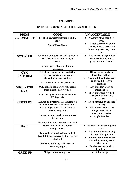### **APPENDIX E**

#### **UNIFORM DRESS CODE FOR BOYS AND GIRLS**

| <b>DRESS</b>                   | <b>CODE</b>                                                                                                                                                                                        | <b>UNACCEPTABLE</b>                                                                                                                    |
|--------------------------------|----------------------------------------------------------------------------------------------------------------------------------------------------------------------------------------------------|----------------------------------------------------------------------------------------------------------------------------------------|
| <b>SWEATSHIRT</b>              | St. Thomas sweatshirt with the STA                                                                                                                                                                 | <b>Anything other than STA</b>                                                                                                         |
|                                | logo<br><b>Spirit Wear Fleece</b>                                                                                                                                                                  | style<br>Hooded sweatshirts or zip<br>jackets in any other color<br>or with any other logo than<br><b>STA</b>                          |
| <b>SWEATER</b>                 | Solid navy blue, gray, or white pullover<br>with sleeves, vest, or a cardigan<br>sweater<br>School logo is allowable but not                                                                       | Any color or design other<br>$\bullet$<br>than a solid navy blue,<br>gray, or white sweater.                                           |
|                                | necessary.                                                                                                                                                                                         |                                                                                                                                        |
| <b>GYM</b><br><b>UNIFORM</b>   | <b>STA t-shirt or sweatshirt and STA</b><br>green gym shorts or sweatpants<br>depending on the weather<br>STA spirit t-shirts are permitted                                                        | Other pants, shorts, or<br>$\bullet$<br>shirts than indicated<br>Any non-STA athletic wear<br>underneath STA gym<br>uniforms           |
| <b>SHOES FOR</b><br><b>GYM</b> | Only athletic shoes worn with socks;<br>laces must be securely tied<br>Any color gym shoe may be worn on<br>PE days only                                                                           | Any shoe that is not an<br>athletic shoe,<br>Show is not securely tied,<br>or worn without socks<br><b>Crocs</b>                       |
| <b>JEWELRY</b>                 | Limited to a wristwatch a simple gold<br>or silver chain necklace; chains must<br>not be longer than 18" and crosses<br>must be very small<br>One pair of stud earrings are allowed<br>in the ears | Hoop earrings or any face<br>jewelry<br>Wristbands, chokers, or<br>longer, colorful, or<br>distracting jewelry<br><b>Apple Watches</b> |
|                                | No more than one small ring per hand                                                                                                                                                               |                                                                                                                                        |
| <b>HAIR</b>                    | Hair is to be neat, clean, and<br>well-groomed.                                                                                                                                                    | Extreme or distracting hair<br>styles<br>Any non-natural coloring                                                                      |
|                                | It must be of a natural hue and all<br>dye/highlights removed by the first day<br>of school.                                                                                                       | (ex: red, blue, purple)<br><b>Students should not bring</b><br>any hair grooming items                                                 |
|                                | Hair may not hang in the eyes or<br>obscure eyesight.                                                                                                                                              | with them<br><b>Bandanas or decorative</b><br>headbands                                                                                |
| <b>MAKE UP</b>                 | Not permitted at any time.                                                                                                                                                                         | All makeup<br>$\bullet$                                                                                                                |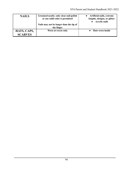| <b>NAILS</b>   | Groomed neatly; only clear nail polish<br>or one solid color is permitted | • Artificial nails, extreme<br>lengths, designs, or glitter<br><b>Acrylic nails</b> |
|----------------|---------------------------------------------------------------------------|-------------------------------------------------------------------------------------|
|                | Nails may not be longer than the tip of<br>the finger                     |                                                                                     |
| HATS, CAPS,    | Worn at recess only                                                       | <b>Hats worn inside</b>                                                             |
| <b>SCARVES</b> |                                                                           |                                                                                     |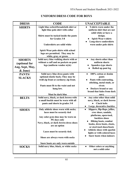| <b>DRESS</b>                                                 | <b>CODE</b>                                                                                                                                                                                                                                             | <b>UNACCEPTABLE</b>                                                                                                                                                                                                                                                                                                     |
|--------------------------------------------------------------|---------------------------------------------------------------------------------------------------------------------------------------------------------------------------------------------------------------------------------------------------------|-------------------------------------------------------------------------------------------------------------------------------------------------------------------------------------------------------------------------------------------------------------------------------------------------------------------------|
| <b>SHIRTS</b>                                                | Light blue oxford/broadcloth shirt or<br>light blue polo shirt with collar                                                                                                                                                                              | <b>T-shirts worn under the</b><br>$\bullet$<br>uniform shirt that are not<br>solid white or have a                                                                                                                                                                                                                      |
|                                                              | Shirts must be tucked inside the pants<br>for Grades 3-8<br>Undershirts are solid white                                                                                                                                                                 | design.<br><b>Spirit Wear t-shirts</b><br>Long-sleeve undershirts<br>worn under polo shirts                                                                                                                                                                                                                             |
|                                                              | Spirit Wear polo shirts with school<br>logo are permitted. They may be<br>white, gray, or green.                                                                                                                                                        |                                                                                                                                                                                                                                                                                                                         |
| <b>SHORTS</b><br>(optional for<br>Aug, Sept, May,<br>& June) | Solid navy blue walking shorts with or<br>without a cuff and no pockets on pant<br>legs (uniform vendor style)                                                                                                                                          | Any shorts other than<br>uniform shorts<br><b>Spandex-type shorts</b><br>Rolled up pant leg                                                                                                                                                                                                                             |
| PANTS/<br><b>SLACKS</b>                                      | Solid navy blue dress pants with<br>optional elastic back; They may be<br>twill zip front or corduroy zip front.                                                                                                                                        | 100% cotton or denim<br>pants<br>Pants with contrasting,<br>stitching, metal studs, or                                                                                                                                                                                                                                  |
|                                                              | Pants must fit to the waist and not<br>hang low.<br>Must be dark blue                                                                                                                                                                                   | rivets<br>Dockers brand or any<br>brand that fades from dark<br>navy                                                                                                                                                                                                                                                    |
| <b>BELTS</b>                                                 | Solid navy, black, or dark brown with<br>a small buckle must be worn with all<br>pants and shorts in grades 3-8                                                                                                                                         | Any color other than solid<br>navy, black, or dark brown<br><b>Cinch belts</b><br>Large, decorative buckles<br>$\bullet$                                                                                                                                                                                                |
| <b>SHOES</b>                                                 | Only athletic shoes worn with socks;<br>laces must be securely tied<br>Any color gym shoe may be worn on<br>PE days only<br>Navy, black, or dark brown dress shoes<br>are an option<br>Laces must be securely tied.<br>Shoes are always worn with socks | Slippers, flip-flops, jellies,<br>$\bullet$<br>croc shoes, sandals,<br>platforms, open-toed,<br>backless shoes<br><b>Hiking boots, combat</b><br>books, dress boots, cleats,<br>or steel-toed shoes/boots<br>Athletic shoes with sparkle<br>$\bullet$<br>lights or with colored laces<br><b>Snow boots when indoors</b> |
| <b>SOCKS</b>                                                 | Snow boots are only worn outside<br>Solid navy blue, black, or white socks                                                                                                                                                                              | Other colors or anything<br>$\bullet$<br>not a solid color                                                                                                                                                                                                                                                              |

# **UNIFORM DRESS CODE FOR BOYS**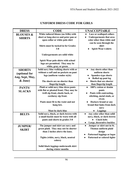| <b>DRESS</b>                          | <b>CODE</b>                                                                                                                                                           | <b>UNACCEPTABLE</b>                                                                                                                                                       |
|---------------------------------------|-----------------------------------------------------------------------------------------------------------------------------------------------------------------------|---------------------------------------------------------------------------------------------------------------------------------------------------------------------------|
| <b>BLOUSES &amp;</b><br><b>SHIRTS</b> | White tailored blouse (no frills) with<br>short or long-sleeves and peter pan or<br>open collar or white polo shirt<br>Shirts must be tucked in for Grades<br>$3 - 8$ | Lace or scalloped collars<br>$\bullet$<br><b>Undergarments that area</b><br>color other than white and<br>can be seen through the<br>shirt<br><b>Spirit Wear t-shirts</b> |
|                                       | Undergarments are solid white<br>Spirit Wear polo shirts with school<br>logo are permitted. They may be<br>white, gray, or green.                                     |                                                                                                                                                                           |
| <b>SHORTS</b>                         | Solid navy blue walking shorts with or                                                                                                                                | Any shorts other than<br>$\bullet$                                                                                                                                        |
| (optional for                         | without a cuff and no pockets on pant                                                                                                                                 | uniform shorts                                                                                                                                                            |
| Aug, Sept, May,                       | legs (uniform vendor style)                                                                                                                                           | <b>Spandex-type shorts</b><br>Rolled up pant leg                                                                                                                          |
| & June)                               | The shorts are no shorter than<br>fingertip length.                                                                                                                   | Shorts that are shorter<br>than fingertip length                                                                                                                          |
| PANTS/                                | Plaid or solid navy blue dress pants                                                                                                                                  | 100% cotton or denim<br>$\bullet$                                                                                                                                         |
| <b>SLACKS</b>                         | with flat or pleated front; They may be<br>twill zip front, elastic back, or<br>corduroy zip front.                                                                   | pants<br>Pants with contrasting,<br>stitching, metal studs, or<br>rivets                                                                                                  |
|                                       | Pants must fit to the waist and not<br>hang low.                                                                                                                      | Dockers brand or any<br>brand that fades from dark<br>navy                                                                                                                |
| <b>BELTS</b>                          | Must be dark blue<br>Solid navy, black, or dark brown with                                                                                                            | <b>Leggings</b><br>Any color other than solid<br>$\bullet$                                                                                                                |
|                                       | a small buckle must be worn with all<br>pants and shorts in grades 3-8                                                                                                | navy, black, or dark brown<br><b>Cinch belts</b><br>Large, decorative buckles                                                                                             |
| <b>JUMPER/</b>                        | The jumper and skirt are navy and                                                                                                                                     | Jumper or skirt not in St.                                                                                                                                                |
| <b>SKIRT</b>                          | green plaid. They may not be shorter                                                                                                                                  | Thomas uniform plaid                                                                                                                                                      |
|                                       | than 2 inches above the knee.                                                                                                                                         | design<br><b>Patterned leggings or logos</b>                                                                                                                              |
|                                       | Tights (white, navy, black, neutral<br>colors)                                                                                                                        | Patterned or colored tights                                                                                                                                               |
|                                       | Solid black leggings underneath skirt<br>during winter months                                                                                                         |                                                                                                                                                                           |

# **UNIFORM DRESS CODE FOR GIRLS**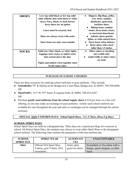| <b>SHOES</b> | Low top solid black or low top solid<br>white athletic shoe with black or white | Slippers, flip-flops, jellies,<br>$\bullet$<br>croc shoes, sandals, |
|--------------|---------------------------------------------------------------------------------|---------------------------------------------------------------------|
|              | laces; Navy, black, or dark brown                                               | platforms, open-toed,                                               |
|              | dress shoes are an option                                                       | <b>backless shoes</b>                                               |
|              |                                                                                 | <b>Hiking boots, combat</b><br>$\bullet$                            |
|              | Laces must be securely tied.                                                    | books, dress boots, cleats,<br>or steel-toed shoes/boots            |
|              | Shoes are always worn with socks                                                | <b>Athletic shoes sparkle</b>                                       |
|              |                                                                                 | lights, or with colored laces                                       |
|              | Snow boots are only worn outside                                                | <b>Snow boots when indoors</b>                                      |
|              |                                                                                 | Dress shoes with a heel<br>$\bullet$                                |
|              |                                                                                 | taller than 1.5 inches                                              |
| <b>SOCKS</b> | Solid navy blue, black, or white tights,                                        | Other colors or anything                                            |
|              | leggings, knee socks, or anklet socks                                           | not a solid color                                                   |
|              | that extend above the shoe                                                      | <b>Anklet frills or other colors</b>                                |
|              |                                                                                 | on socks                                                            |
|              | Tights and anklets worn together must                                           |                                                                     |
|              | be the same color.                                                              |                                                                     |

#### **PURCHASE OF SCHOOL UNIFORMS**

There are three resources for ordering school uniforms or gym uniforms. They include

- Schoolbelles 79<sup>th</sup> & Harlem at the Bridgeview Court Plaza, Bridgeview, IL 60455; 708-598-8008. OR
- **MartiNelli's** 3517 W. 95<sup>th</sup> Street, Evergreen Park, IL 60805; 708-425-6287. OR
- Purchase **gently used uniforms from the school supply closet** at \$10 per item, or a free will offering, or you may make an exchange of used uniforms. Gently-used school uniforms are available for sale throughout the year and sales or exchanges can be arranged through the school secretary.

#### **SPECIAL NON-UNIFORM DAYS: School Spirit Days,** *N.U.T.* **Days, Dress Up Days**

#### **SCHOOL SPIRIT DAYS**

School Spirit Days are held on a designated day. These days are a special privilege for everyone at school. On School Spirit Days, the students may choose to wear either Spirit Wear or the designated school uniform. The following chart outlines the parameters of the non-uniform day.

| <b>SCHOOL</b><br><b>SPIRIT DAY</b> | <b>SPIRIT WEAR</b>                                             | <b>ALTERNATI</b><br>VES           | <b>UNACCEPTABLE</b>                                                   |
|------------------------------------|----------------------------------------------------------------|-----------------------------------|-----------------------------------------------------------------------|
| <b>Shirt</b>                       | <b>Official STA Spirit Wear</b><br>T-shirts, gym T-shirts, STA | Solid, plain<br>green tee shirts. | Sweatshirts or Tee-shirts with a<br>design, sports insignia, or other |
|                                    | sweatshirts.                                                   |                                   | logos.                                                                |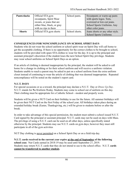| Pants/slacks  | Official STA gym<br>sweatpants, Spirit Wear<br>sweats, or jeans that are<br>either blue, black, or gray<br>with no rips in them | School pants.  | Sweatpants or warm-up pants<br>with sports logos. Torn,<br>oversized or low-cut jeans.<br>School Sports Uniforms. Any<br>other color jeans. |
|---------------|---------------------------------------------------------------------------------------------------------------------------------|----------------|---------------------------------------------------------------------------------------------------------------------------------------------|
| <b>Shorts</b> | Official STA gym shorts                                                                                                         | School shorts. | Jeans shorts or any other style.<br><b>School Sports Uniforms</b>                                                                           |

### **CONSEQUENCES FOR NONCOMPLIANCE ON SCHOOL SPIRIT DAYS**

Students who do not wear the school uniform or school spirit wear on Spirit Day will call home to get the acceptable clothing. If there is no opportunity for the correct clothes to be brought to school, students will be provided with spare STA clothes to wear for the day. It is up to the principal and assistant principal's discretion if the student loses the next School Spirit Day privilege. Students may wear school uniforms on School Spirit Days as an option.

If an article of clothing is deemed inappropriate by the principal, the student will be asked to call home for a change in clothing or for their school uniform and will receive a uniform violation. Students unable to reach a parent may be asked to put on a school uniform from the extra uniform closet instead of continuing to wear the article of clothing that was deemed inappropriate. Repeated noncompliance will be noted on the student's report card.

### **N.U.T. DAYS**

For special occasions or as a reward, the principal may declare a N.U.T. Day or *Dress Up Day*. N.U.T. stands for **N**o **U**niform **T**oday. Students may come to school out of uniform on this day. Their clothing must be appropriate for a Catholic School—modest and properly worn.

Students will be given a NUT Card on their birthday to use for the future. All summer birthdays will be given their NUT Card on the first Friday of the school year. All birthdays taken place during an extended holiday break (Easter, Thanksgiving, etc.) will be given to students before or after the break.

In order to take advantage of this special permission, the student must submit a school issued N.U.T. Card signed by the principal or assistant principal. N.U.T. cards may not be used on days with Mass. The privilege of using a N.U.T. card can be used on all other days, unless specifically stated otherwise by the principal. Students may use N.U.T. cards on gym days; however they must still participate in all of the gym activities

NUT Day clothing is never permitted on a School Spirit Day or on a field trip day.

**N.U.T. cards received in the current year expire at the end of September of the following school year.** Nut Cards earned in 2018-19 may be used until September 27, 2019. Students may return N.U.T. cards that they do not intend to use to the school office. N.U.T. **cards cannot be transferred to another student.**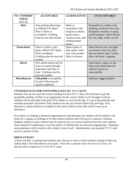| <b>NO UNIFORM</b><br><b>TODAY</b><br>(N.U.T.) | <b>ACCEPTABLE</b>                                                                                                          | <b>ALTERNATIVES</b>                                                                                                     | <b>UNACCEPTABLE</b>                                                                                                                                              |
|-----------------------------------------------|----------------------------------------------------------------------------------------------------------------------------|-------------------------------------------------------------------------------------------------------------------------|------------------------------------------------------------------------------------------------------------------------------------------------------------------|
| <b>Shirt</b>                                  | Non-uniform shirts/tops<br>or Official STA Spirit<br>Wear T-shirts or<br>sweatshirts. Clothing<br>must be neat and modest. | Shirts or<br>sweatshirts with<br>religious symbols,<br>sports names,<br>vacation areas, and<br>clothing brand<br>names. | Sweatshirts or t-shirts with<br>smoking, alcohol or beer ads,<br>derogatory remarks, or gang<br>symbols/names. Shirts that are<br>low-cut, tight, mesh, cut-off. |
| <b>Pants/slacks</b>                           | Jeans or slacks, capri<br>pants, official STA Spirit<br>Wear sweatpants.<br>Clothing must be neat and<br>modest.           | School pants or<br>dress pants. Girls<br>may wear modest<br>skirts or dresses.                                          | Jeans that are torn, too tight,<br>oversized or low-cut; skirts<br>that are shorter than 2 inches<br>above the knee. Leggings                                    |
| <b>Shorts</b>                                 | STA school shorts may be<br>worn in August through<br>September and May to<br>June. Clothing must be<br>neat and modest.   |                                                                                                                         | Jeans shorts, capris, or any<br>other style shorts than the<br>uniform shorts are<br>unacceptable.                                                               |
| <b>Miscellaneous</b>                          | Nail polish is acceptable<br>for girls following the<br>regular guidelines.                                                |                                                                                                                         | Makeup is <b>Unacceptable</b> .                                                                                                                                  |

#### **CONSEQUENCES FOR NONCOMPLIANCE ON N.U.T DAYS**

Students who do not wear the correct clothing for their N.U.T. Day will call home to get the acceptable clothing. If there is no opportunity for the correct clothes to be brought to school, students will be provided with spare STA clothes to wear for the day. It is up to the principal and assistant principal's discretion if the student loses the next School Spirit Day privilege. If an alternative school uniform is available in the used Uniform closet, this will be worn as an alternative.

If an article of clothing is deemed inappropriate by the principal, the student will be asked to call home for a change in clothing or for their school uniform and will receive a uniform violation. Students unable to reach a parent may be asked to put on a school uniform from the extra uniform closet instead of continuing to wear the article of clothing that was deemed inappropriate. Repeated noncompliance will be noted on the student's report card. Administrators can suspend N.U.T. card use for a period of time.

#### **DRESS UP DAYS**

A Dress Up Day is optional and students may choose to wear a school uniform instead of dress up clothes that is best described as not casual—more like a special event. On *Dress-Up Days*, no special card is required as it is for NUT cards.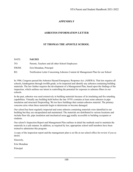### **APPENDIX F**

#### **ASBESTOS INFORMATION LETTER**

#### **ST THOMAS THE APOSTLE SCHOOL**

| DATE: | <b>Fall 2021</b>                                                                 |
|-------|----------------------------------------------------------------------------------|
| TO:   | Parents, Teachers and all other School Employees                                 |
| FROM: | Erin Monahan, Principal                                                          |
| RE:   | Notification Letter Concerning Asbestos Content & Management Plan for our School |

In 1986, Congress passed the Asbestos Hazard Emergency Response Act. (AHERA). That law requires all schools, kindergarten through twelfth grade, to be inspected and identify any asbestos-containing building materials. The law further requires the development of a Management Plan, based upon the findings of the inspection, which outlines our intent in controlling the potential for exposure to asbestos fibers in our schools.

In the past, asbestos was used extensively in building materials because of its insulating and fire retarding capabilities. Virtually any building built before the late 1970's contains at least some asbestos in pipe insulation and structural fireproofing. We too have buildings that contain asbestos material. The primary concerns arise when these materials begin to deteriorate or become damaged.

Our school has been regularly inspected and some asbestos containing materials were identified in our building but they are encapsulated and maintained. The materials are distributed in various locations and include floor tile, pipe insulation and mechanical areas not readily accessible to building occupants or students.

Our school's Inspection Report and Management Plan outlines in detail the methods used to maintain the materials in a safe manner. In addition, as required by law, appropriate school staff members have been trained to administer this program.

A copy of the inspection report and the management plan is on file at our school office for review if you so desire.

Sincerely,

Erin Monahan

Principal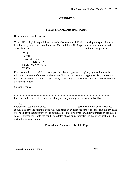### **APPENDIX G**

#### **FIELD TRIP PERMISSION FORM**

Dear Parent or Legal Guardian,

Your child is eligible to participate in a school-sponsored field trip requiring transportation to a location away from the school building. This activity will take place under the guidance and supervision of and other chaperones.

DATE - EVENT - LEAVING (time) RETURNING (time) TRANSPORTATION - COST -

If you would like your child to participate in this event, please complete, sign, and return the following statement of consent and release of liability. As parent or legal guardian, you remain fully responsible for any legal responsibility which may result from any personal actions taken by the named student.

Sincerely yours,

- - - - - - - - - - - - - - - - - - - - - - - - - - - - - - - - - - - - - - - - - - - - - - - - - - - - - - - - - - - - - - -

Please complete and return this form along with any money that is due to school by  $\mathcal{L}_\text{max}$  and  $\mathcal{L}_\text{max}$  and  $\mathcal{L}_\text{max}$ 

(date)

I hereby request that my child, \_\_\_\_\_\_\_\_\_\_\_\_\_\_\_\_\_\_\_\_\_\_, participate in the event described above. I understand that this event will take place away from the school grounds and that my child will be under the supervision of the designated school employee (or adult volunteer) on the stated dates. I further consent to the conditions stated above on participation in this event, including the method of transportation.

#### **Educational Purpose of this Field Trip**

 $\mathcal{L}_\text{max} = \mathcal{L}_\text{max} = \mathcal{L}_\text{max} = \mathcal{L}_\text{max} = \mathcal{L}_\text{max} = \mathcal{L}_\text{max} = \mathcal{L}_\text{max} = \mathcal{L}_\text{max} = \mathcal{L}_\text{max} = \mathcal{L}_\text{max} = \mathcal{L}_\text{max} = \mathcal{L}_\text{max} = \mathcal{L}_\text{max} = \mathcal{L}_\text{max} = \mathcal{L}_\text{max} = \mathcal{L}_\text{max} = \mathcal{L}_\text{max} = \mathcal{L}_\text{max} = \mathcal{$ 

 $\mathcal{L}_\text{max} = \mathcal{L}_\text{max} = \mathcal{L}_\text{max} = \mathcal{L}_\text{max} = \mathcal{L}_\text{max} = \mathcal{L}_\text{max} = \mathcal{L}_\text{max} = \mathcal{L}_\text{max} = \mathcal{L}_\text{max} = \mathcal{L}_\text{max} = \mathcal{L}_\text{max} = \mathcal{L}_\text{max} = \mathcal{L}_\text{max} = \mathcal{L}_\text{max} = \mathcal{L}_\text{max} = \mathcal{L}_\text{max} = \mathcal{L}_\text{max} = \mathcal{L}_\text{max} = \mathcal{$ 

 $\mathcal{L}_\text{max} = \frac{1}{2} \sum_{i=1}^n \mathcal{L}_\text{max}(\mathbf{z}_i - \mathbf{z}_i)$ 

Parent/Guardian Signature Date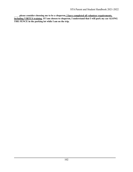\_\_\_\_ **please consider choosing me to be a chaperon. I have completed all volunteer requirements, including VIRTUS training. If I am chosen to chaperon, I understand that I will park my car ALONG THE FENCE in the parking lot while I am on the trip.**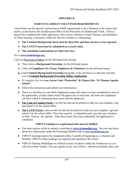## **APPENDIX H**

### **PARENT/GUARDIAN VOLUNTEER REQUIREMENTS**

Listed below are the specific instructions to fulfill requirements to be a Volunteer at the school and parish, as directed by the Archdiocesan Office of the Protection of Children and Youth. Unless a person has completed the entire application, they cannot volunteer at Saint Thomas, and attendance of Virtus training is necessary within the first two months of volunteering.

- **● The Criminal Background check must be done first and does not have to be repeated.**
- **● The CANTS Form must be submitted on a yearly basis.**
- **● The remaining requirements are done just once.**

#### Go to **[www.archchicago.org](http://www.archchicago.org)**

Click on Protecting Children (In the left-hand menu listing)

- Then click on **Background Screening** (in the left-hand menu)-
- Click on **Compliance for Clergy, Employees & Volunteers** (in the left hand menu)
- **●** Find **Criminal Background Screening** paragraph, at the end there is a link that will take you to **Criminal Background Screening Online Application**
- **●** *To complete this form u***se Access Code "Protection" & Choose Site: "St Thomas-Apostle School"**
- Follow the instructions and submit your information.
- There is a checklist on your Main Application page and when you have completed an area of the application, a Green check mark will appear next to that item. All items not completed will have a Red X indicating those items must be addressed.
- **The Code of Conduct Form** is on this list and can be printed so that you can complete, sing and submit it to the school office.
- **The CANTS Form** is also on this list and can be printed so that you can complete, sign and submit it to the school office. This form must be re-submitted each year that you volunteer at Saint Thomas the Apostle. After these forms have been submitted, the application is completed.

# **VIRTUS training is a requirement that must be fulfilled**

- You must register online to attend a workshop at **[www.virtusonline.org.](http://www.virtusonline.org)** You can read more about this requirement under the Protecting Children link at **www.archchicago.org**
- VIRTUS training needs to be completed within 2 months of beginning as a volunteer and Monthly VIRTUS online readings are required and reported to the school.
- VIRTUS Training Workshops are offered at many locations within the Archdiocese as you will see on their website. You can register at any one of them - whichever location, date, and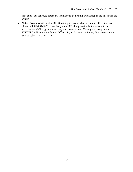time suits your schedule better. St. Thomas will be hosting a workshop in the fall and in the winter.

*●* **Note:** If you have attended VIRTUS training in another diocese or at a different school, please call 888-847-8870 to ask that your VIRTUS registration be transferred to the Archdiocese of Chicago and mention your current school. Please give a copy of your VIRTUS Certificate to the School Office. *If you have any problems, Please contact the School Office – 773-667-1142*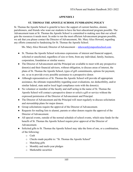### **APPENDIX I**

#### **ST. THOMAS THE APOSTLE SCHOOL FUNDRAISING POLICY**

St. Thomas the Apostle School is grateful to have the support of current families, alumni, parishioners, and friends who want our students to have the best educational program possible. The Advancement team at St. Thomas the Apostle School is committed to making sure that our school gets the resources it needs most. In order to run the most efficient Advancement program possible, we ask that you please contact the Director of Advancement, Ms. Mary Alice Howard, regarding any efforts connected to fundraising for St. Thomas the Apostle School.

Ms. Mary Alice Howard, Director of Advancement – [mhoward@stapostleschool.com](mailto:macton@stapostleschool.com)

- St. Thomas the Apostle School welcomes expressions of interest and financial support, solicited or unsolicited, regardless of size or form, from any individual, family, business, corporation, foundation or similar source.
- The Director of Advancement and the Principal are available to meet with any prospective donor(s) and their financial advisors, without obligation, to discuss areas of interest, the plans of St. Thomas the Apostle School, types of gift commitments, options for payment, etc. so as to provide every possible assistance to a prospective donor.
- Although representatives of St. Thomas the Apostle School will provide all appropriate assistance, the ultimate responsibility regarding asset evaluations, tax deductibility, and/or similar federal, state and/or local legal compliance rests with the donor(s).
- No volunteer or member of the faculty and staff acting in the name of St. Thomas the Apostle School will contact a prospective donor or solicit a gift or service without the expressed permission of the Director of Advancement and Principal.
- The Director of Advancement and the Principal will meet regularly to discuss solicitation and stewardship plans for major donors.
- Group solicitations require the approval of the Director of Advancement.
- Requests for mailing lists to alumni, parents or other donors require the approval of the Director of Advancement.
- All special events, outside of the normal schedule of school events, which raise funds for the benefit of St. Thomas the Apostle School require prior approval of the Director of Advancement.
- Solicited gifts to St. Thomas the Apostle School may take the form of one, or a combination, of the following:
	- o Cash
	- o Checks made payable to: "St. Thomas the Apostle School"
	- o Matching gifts
	- o Monthly and multi-year pledges
	- o Marketable securities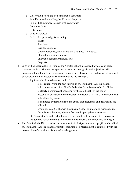- o Closely held stock and non-marketable securities
- o Real Estate and other Tangible Personal Property
- o Paid-in-full insurance policies with cash values
- o Corporate Gifts
- o Gifts-in-kind
- o Gifts of Services
- o Deferred or planned gifts including:
	- Trusts
	- **•** Annuities
	- **Exercise** Insurance policies
	- Gifts of residence, with or without a retained life interest
	- Charitable remainder unitrust
	- **•** Charitable remainder annuity trust
	- **•** Bequests
- Gifts will be accepted by St. Thomas the Apostle School, provided they are considered consistent with St. Thomas the Apostle School's mission, goals, and objectives. All proposed gifts, gifts-in-kind (equipment, art objects, real estate, etc.) and restricted gifts will be reviewed by the Director of Advancement and the Principal.
	- o A gift may be deemed unacceptable if it:
		- Is not conducive to the best interest of St. Thomas the Apostle School
		- Is in contravention of applicable Federal or State laws or school policies
		- Is clearly a commercial endeavor for the sole benefit of the donor
		- **•** Presents an unreasonable or unacceptable degree of risk due to environmental or health/safety issues
		- Is hampered by restrictions to the extent that usefulness and desirability are affected
		- Would obligate St. Thomas the Apostle School to undertake responsibilities, financial or otherwise, which it feels are inappropriate or onerous
	- o St. Thomas the Apostle School reserves the right to refuse such gifts or to counsel the donor to remove or modify the restrictions or terms and conditions of the gift.
- The Principal, the Director of Advancement or their designees may accept gifts on behalf of St. Thomas the Apostle School. Formal recognition of a received gift is completed with the presentation of a receipt or formal acknowledgement.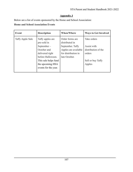# **Appendix J**

Below are a list of events sponsored by the Home and School Association:

# **Home and School Association Events**

| <b>Event</b>     | <b>Description</b>                                            | <b>When/Where</b>                                               | <b>Ways to Get Involved</b>                  |
|------------------|---------------------------------------------------------------|-----------------------------------------------------------------|----------------------------------------------|
| Taffy Apple Sale | Taffy apples are<br>pre-sold in                               | Order forms are<br>distributed in                               | Take orders                                  |
|                  | September-<br>October and<br>delivered right                  | September. Taffy<br>Apples are available<br>for distribution in | Assist with<br>distribution of the<br>orders |
|                  | before Halloween.<br>This sale helps fund<br>the upcoming HSA | late October.                                                   | Sell or buy Taffy<br>Apples                  |
|                  | events for the year.                                          |                                                                 |                                              |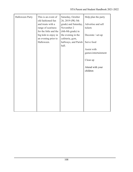| <b>Halloween Party</b> | This is an event of    | Saturday, October    | Help plan the party |
|------------------------|------------------------|----------------------|---------------------|
|                        | old fashioned fun      | 26, 2019 (PK-5th     |                     |
|                        | and treats with a      | grade) and Saturday, | Advertise and sell  |
|                        | range of scariness     | November 2           | tickets             |
|                        | for the little and the | (6th-8th grade) in   |                     |
|                        | big kids to enjoy in   | the evening in the   | Decorate / set-up   |
|                        | an evening prior to    | cafeteria, gym,      |                     |
|                        | Halloween.             | hallways, and Parish | Serve food          |
|                        |                        | hall.                |                     |
|                        |                        |                      | Assist with         |
|                        |                        |                      | games/entertainment |
|                        |                        |                      |                     |
|                        |                        |                      | Clean up            |
|                        |                        |                      |                     |
|                        |                        |                      | Attend with your    |
|                        |                        |                      | children            |
|                        |                        |                      |                     |
|                        |                        |                      |                     |
|                        |                        |                      |                     |
|                        |                        |                      |                     |
|                        |                        |                      |                     |
|                        |                        |                      |                     |
|                        |                        |                      |                     |
|                        |                        |                      |                     |
|                        |                        |                      |                     |
|                        |                        |                      |                     |
|                        |                        |                      |                     |
|                        |                        |                      |                     |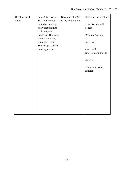| Breakfast with | Santa Claus visits                                                                                                                                                                       | December 8, 2018   | Help plan the breakfast            |
|----------------|------------------------------------------------------------------------------------------------------------------------------------------------------------------------------------------|--------------------|------------------------------------|
| Santa          | St. Thomas on a<br>Saturday morning<br>and visits families<br>while they eat<br>breakfast. There are<br>games, activities,<br>and a photo with<br>Santa as part of the<br>morning event. | in the school gym. | Advertise and sell<br>tickets      |
|                |                                                                                                                                                                                          |                    | Decorate / set-up                  |
|                |                                                                                                                                                                                          |                    | Serve food                         |
|                |                                                                                                                                                                                          |                    | Assist with<br>games/entertainment |
|                |                                                                                                                                                                                          |                    | Clean up                           |
|                |                                                                                                                                                                                          |                    | Attend with your<br>children       |
|                |                                                                                                                                                                                          |                    |                                    |
|                |                                                                                                                                                                                          |                    |                                    |
|                |                                                                                                                                                                                          |                    |                                    |
|                |                                                                                                                                                                                          |                    |                                    |
|                |                                                                                                                                                                                          |                    |                                    |